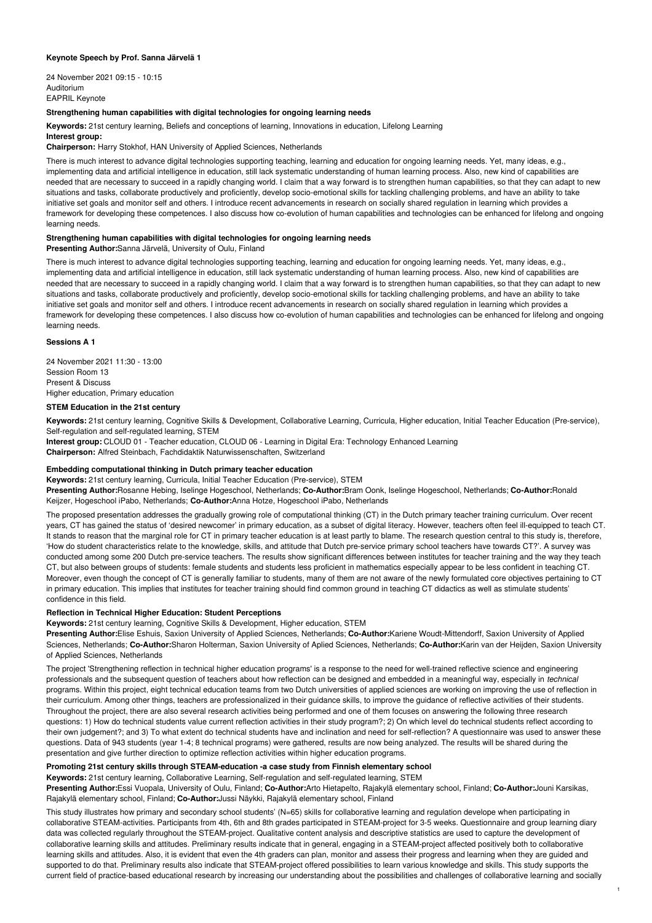## **Keynote Speech by Prof. Sanna Järvelä 1**

24 November 2021 09:15 - 10:15 Auditorium EAPRIL Keynote

## **Strengthening human capabilities with digital technologies for ongoing learning needs**

**Keywords:** 21st century learning, Beliefs and conceptions of learning, Innovations in education, Lifelong Learning

# **Interest group:**

**Chairperson:** Harry Stokhof, HAN University of Applied Sciences, Netherlands

There is much interest to advance digital technologies supporting teaching, learning and education for ongoing learning needs. Yet, many ideas, e.g., implementing data and artificial intelligence in education, still lack systematic understanding of human learning process. Also, new kind of capabilities are needed that are necessary to succeed in a rapidly changing world. I claim that a way forward is to strengthen human capabilities, so that they can adapt to new situations and tasks, collaborate productively and proficiently, develop socio-emotional skills for tackling challenging problems, and have an ability to take initiative set goals and monitor self and others. I introduce recent advancements in research on socially shared regulation in learning which provides a framework for developing these competences. I also discuss how co-evolution of human capabilities and technologies can be enhanced for lifelong and ongoing learning needs.

# **Strengthening human capabilities with digital technologies for ongoing learning needs**

**Presenting Author:**Sanna Järvelä, University of Oulu, Finland

There is much interest to advance digital technologies supporting teaching, learning and education for ongoing learning needs. Yet, many ideas, e.g., implementing data and artificial intelligence in education, still lack systematic understanding of human learning process. Also, new kind of capabilities are needed that are necessary to succeed in a rapidly changing world. I claim that a way forward is to strengthen human capabilities, so that they can adapt to new situations and tasks, collaborate productively and proficiently, develop socio-emotional skills for tackling challenging problems, and have an ability to take initiative set goals and monitor self and others. I introduce recent advancements in research on socially shared regulation in learning which provides a framework for developing these competences. I also discuss how co-evolution of human capabilities and technologies can be enhanced for lifelong and ongoing learning needs.

# **Sessions A 1**

24 November 2021 11:30 - 13:00 Session Room 13 Present & Discuss Higher education, Primary education

# **STEM Education in the 21st century**

**Keywords:** 21st century learning, Cognitive Skills & Development, Collaborative Learning, Curricula, Higher education, Initial Teacher Education (Pre-service), Self-regulation and self-regulated learning, STEM

**Interest group:** CLOUD 01 - Teacher education, CLOUD 06 - Learning in Digital Era: Technology Enhanced Learning

**Chairperson:** Alfred Steinbach, Fachdidaktik Naturwissenschaften, Switzerland

### **Embedding computational thinking in Dutch primary teacher education**

**Keywords:** 21st century learning, Curricula, Initial Teacher Education (Pre-service), STEM **Presenting Author:**Rosanne Hebing, Iselinge Hogeschool, Netherlands; **Co-Author:**Bram Oonk, Iselinge Hogeschool, Netherlands; **Co-Author:**Ronald Keijzer, Hogeschool iPabo, Netherlands; **Co-Author:**Anna Hotze, Hogeschool iPabo, Netherlands

The proposed presentation addresses the gradually growing role of computational thinking (CT) in the Dutch primary teacher training curriculum. Over recent years, CT has gained the status of 'desired newcomer' in primary education, as a subset of digital literacy. However, teachers often feel ill-equipped to teach CT. It stands to reason that the marginal role for CT in primary teacher education is at least partly to blame. The research question central to this study is, therefore, 'How do student characteristics relate to the knowledge, skills, and attitude that Dutch pre-service primary school teachers have towards CT?'. A survey was conducted among some 200 Dutch pre-service teachers. The results show significant differences between institutes for teacher training and the way they teach CT, but also between groups of students: female students and students less proficient in mathematics especially appear to be less confident in teaching CT. Moreover, even though the concept of CT is generally familiar to students, many of them are not aware of the newly formulated core objectives pertaining to CT in primary education. This implies that institutes for teacher training should find common ground in teaching CT didactics as well as stimulate students' confidence in this field.

#### **Reflection in Technical Higher Education: Student Perceptions**

**Keywords:** 21st century learning, Cognitive Skills & Development, Higher education, STEM

**Presenting Author:**Elise Eshuis, Saxion University of Applied Sciences, Netherlands; **Co-Author:**Kariene Woudt-Mittendorff, Saxion University of Applied Sciences, Netherlands; **Co-Author:**Sharon Holterman, Saxion University of Aplied Sciences, Netherlands; **Co-Author:**Karin van der Heijden, Saxion University of Applied Sciences, Netherlands

The project 'Strengthening reflection in technical higher education programs' is a response to the need for well-trained reflective science and engineering professionals and the subsequent question of teachers about how reflection can be designed and embedded in a meaningful way, especially in *technical* programs. Within this project, eight technical education teams from two Dutch universities of applied sciences are working on improving the use of reflection in their curriculum. Among other things, teachers are professionalized in their guidance skills, to improve the guidance of reflective activities of their students. Throughout the project, there are also several research activities being performed and one of them focuses on answering the following three research questions: 1) How do technical students value current reflection activities in their study program?; 2) On which level do technical students reflect according to their own judgement?; and 3) To what extent do technical students have and inclination and need for self-reflection? A questionnaire was used to answer these questions. Data of 943 students (year 1-4; 8 technical programs) were gathered, results are now being analyzed. The results will be shared during the presentation and give further direction to optimize reflection activities within higher education programs.

# **Promoting 21st century skills through STEAM-education -a case study from Finnish elementary school**

**Keywords:** 21st century learning, Collaborative Learning, Self-regulation and self-regulated learning, STEM

**Presenting Author:**Essi Vuopala, University of Oulu, Finland; **Co-Author:**Arto Hietapelto, Rajakylä elementary school, Finland; **Co-Author:**Jouni Karsikas, Rajakylä elementary school, Finland; **Co-Author:**Jussi Näykki, Rajakylä elementary school, Finland

This study illustrates how primary and secondary school students' (N=65) skills for collaborative learning and regulation develope when participating in collaborative STEAM-activities. Participants from 4th, 6th and 8th grades participated in STEAM-project for 3-5 weeks. Questionnaire and group learning diary data was collected regularly throughout the STEAM-project. Qualitative content analysis and descriptive statistics are used to capture the development of collaborative learning skills and attitudes. Preliminary results indicate that in general, engaging in a STEAM-project affected positively both to collaborative learning skills and attitudes. Also, it is evident that even the 4th graders can plan, monitor and assess their progress and learning when they are guided and supported to do that. Preliminary results also indicate that STEAM-project offered possibilities to learn various knowledge and skills. This study supports the current field of practice-based educational research by increasing our understanding about the possibilities and challenges of collaborative learning and socially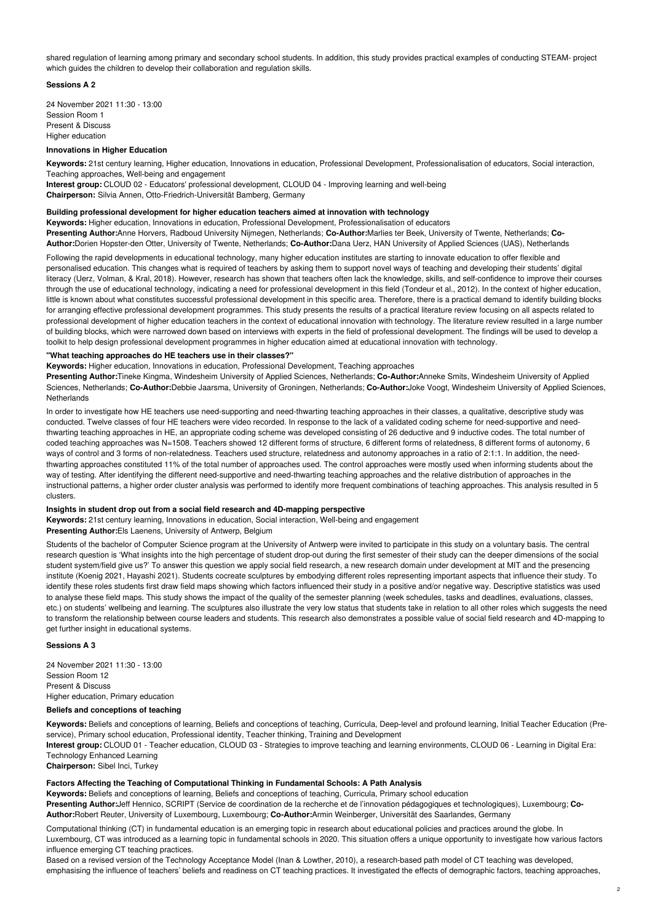shared regulation of learning among primary and secondary school students. In addition, this study provides practical examples of conducting STEAM- project which guides the children to develop their collaboration and regulation skills.

# **Sessions A 2**

24 November 2021 11:30 - 13:00 Session Room 1 Present & Discuss Higher education

#### **Innovations in Higher Education**

**Keywords:** 21st century learning, Higher education, Innovations in education, Professional Development, Professionalisation of educators, Social interaction, Teaching approaches, Well-being and engagement

**Interest group:** CLOUD 02 - Educators' professional development, CLOUD 04 - Improving learning and well-being **Chairperson:** Silvia Annen, Otto-Friedrich-Universität Bamberg, Germany

# **Building professional development for higher education teachers aimed at innovation with technology**

**Keywords:** Higher education, Innovations in education, Professional Development, Professionalisation of educators **Presenting Author:**Anne Horvers, Radboud University Nijmegen, Netherlands; **Co-Author:**Marlies ter Beek, University of Twente, Netherlands; **Co-Author:**Dorien Hopster-den Otter, University of Twente, Netherlands; **Co-Author:**Dana Uerz, HAN University of Applied Sciences (UAS), Netherlands

Following the rapid developments in educational technology, many higher education institutes are starting to innovate education to offer flexible and personalised education. This changes what is required of teachers by asking them to support novel ways of teaching and developing their students' digital literacy (Uerz, Volman, & Kral, 2018). However, research has shown that teachers often lack the knowledge, skills, and self-confidence to improve their courses through the use of educational technology, indicating a need for professional development in this field (Tondeur et al., 2012). In the context of higher education, little is known about what constitutes successful professional development in this specific area. Therefore, there is a practical demand to identify building blocks for arranging effective professional development programmes. This study presents the results of a practical literature review focusing on all aspects related to professional development of higher education teachers in the context of educational innovation with technology. The literature review resulted in a large number of building blocks, which were narrowed down based on interviews with experts in the field of professional development. The findings will be used to develop a toolkit to help design professional development programmes in higher education aimed at educational innovation with technology.

#### **"What teaching approaches do HE teachers use in their classes?"**

**Keywords:** Higher education, Innovations in education, Professional Development, Teaching approaches

**Presenting Author:**Tineke Kingma, Windesheim University of Applied Sciences, Netherlands; **Co-Author:**Anneke Smits, Windesheim University of Applied Sciences, Netherlands; **Co-Author:**Debbie Jaarsma, University of Groningen, Netherlands; **Co-Author:**Joke Voogt, Windesheim University of Applied Sciences, Netherlands

In order to investigate how HE teachers use need-supporting and need-thwarting teaching approaches in their classes, a qualitative, descriptive study was conducted. Twelve classes of four HE teachers were video recorded. In response to the lack of a validated coding scheme for need-supportive and needthwarting teaching approaches in HE, an appropriate coding scheme was developed consisting of 26 deductive and 9 inductive codes. The total number of coded teaching approaches was N=1508. Teachers showed 12 different forms of structure, 6 different forms of relatedness, 8 different forms of autonomy, 6 ways of control and 3 forms of non-relatedness. Teachers used structure, relatedness and autonomy approaches in a ratio of 2:1:1. In addition, the needthwarting approaches constituted 11% of the total number of approaches used. The control approaches were mostly used when informing students about the way of testing. After identifying the different need-supportive and need-thwarting teaching approaches and the relative distribution of approaches in the instructional patterns, a higher order cluster analysis was performed to identify more frequent combinations of teaching approaches. This analysis resulted in 5 clusters.

## **Insights in student drop out from a social field research and 4D-mapping perspective**

**Keywords:** 21st century learning, Innovations in education, Social interaction, Well-being and engagement **Presenting Author:**Els Laenens, University of Antwerp, Belgium

Students of the bachelor of Computer Science program at the University of Antwerp were invited to participate in this study on a voluntary basis. The central research question is 'What insights into the high percentage of student drop-out during the first semester of their study can the deeper dimensions of the social student system/field give us?' To answer this question we apply social field research, a new research domain under development at MIT and the presencing institute (Koenig 2021, Hayashi 2021). Students cocreate sculptures by embodying different roles representing important aspects that influence their study. To identify these roles students first draw field maps showing which factors influenced their study in a positive and/or negative way. Descriptive statistics was used to analyse these field maps. This study shows the impact of the quality of the semester planning (week schedules, tasks and deadlines, evaluations, classes, etc.) on students' wellbeing and learning. The sculptures also illustrate the very low status that students take in relation to all other roles which suggests the need to transform the relationship between course leaders and students. This research also demonstrates a possible value of social field research and 4D-mapping to get further insight in educational systems.

#### **Sessions A 3**

24 November 2021 11:30 - 13:00 Session Room 12 Present & Discuss Higher education, Primary education

### **Beliefs and conceptions of teaching**

**Keywords:** Beliefs and conceptions of learning, Beliefs and conceptions of teaching, Curricula, Deep-level and profound learning, Initial Teacher Education (Preservice), Primary school education, Professional identity, Teacher thinking, Training and Development

**Interest group:** CLOUD 01 - Teacher education, CLOUD 03 - Strategies to improve teaching and learning environments, CLOUD 06 - Learning in Digital Era: Technology Enhanced Learning

**Chairperson:** Sibel Inci, Turkey

#### **Factors Affecting the Teaching of Computational Thinking in Fundamental Schools: A Path Analysis**

**Keywords:** Beliefs and conceptions of learning, Beliefs and conceptions of teaching, Curricula, Primary school education

**Presenting Author:**Jeff Hennico, SCRIPT (Service de coordination de la recherche et de l'innovation pédagogiques et technologiques), Luxembourg; **Co-Author:**Robert Reuter, University of Luxembourg, Luxembourg; **Co-Author:**Armin Weinberger, Universität des Saarlandes, Germany

Computational thinking (CT) in fundamental education is an emerging topic in research about educational policies and practices around the globe. In Luxembourg, CT was introduced as a learning topic in fundamental schools in 2020. This situation offers a unique opportunity to investigate how various factors influence emerging CT teaching practices.

Based on a revised version of the Technology Acceptance Model (Inan & Lowther, 2010), a research-based path model of CT teaching was developed, emphasising the influence of teachers' beliefs and readiness on CT teaching practices. It investigated the effects of demographic factors, teaching approaches,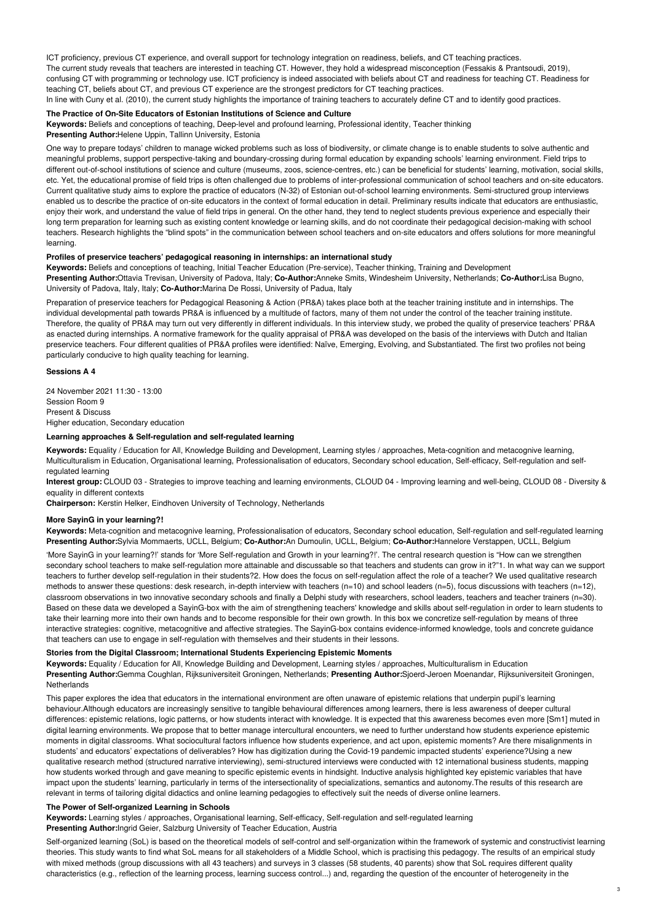ICT proficiency, previous CT experience, and overall support for technology integration on readiness, beliefs, and CT teaching practices. The current study reveals that teachers are interested in teaching CT. However, they hold a widespread misconception (Fessakis & Prantsoudi, 2019), confusing CT with programming or technology use. ICT proficiency is indeed associated with beliefs about CT and readiness for teaching CT. Readiness for teaching CT, beliefs about CT, and previous CT experience are the strongest predictors for CT teaching practices. In line with Cuny et al. (2010), the current study highlights the importance of training teachers to accurately define CT and to identify good practices.

# **The Practice of On-Site Educators of Estonian Institutions of Science and Culture**

**Keywords:** Beliefs and conceptions of teaching, Deep-level and profound learning, Professional identity, Teacher thinking **Presenting Author:**Helene Uppin, Tallinn University, Estonia

One way to prepare todays' children to manage wicked problems such as loss of biodiversity, or climate change is to enable students to solve authentic and meaningful problems, support perspective-taking and boundary-crossing during formal education by expanding schools' learning environment. Field trips to different out-of-school institutions of science and culture (museums, zoos, science-centres, etc.) can be beneficial for students' learning, motivation, social skills, etc. Yet, the educational promise of field trips is often challenged due to problems of inter-professional communication of school teachers and on-site educators. Current qualitative study aims to explore the practice of educators (N-32) of Estonian out-of-school learning environments. Semi-structured group interviews enabled us to describe the practice of on-site educators in the context of formal education in detail. Preliminary results indicate that educators are enthusiastic, enjoy their work, and understand the value of field trips in general. On the other hand, they tend to neglect students previous experience and especially their long term preparation for learning such as existing content knowledge or learning skills, and do not coordinate their pedagogical decision-making with school teachers. Research highlights the "blind spots" in the communication between school teachers and on-site educators and offers solutions for more meaningful learning.

# **Profiles of preservice teachers' pedagogical reasoning in internships: an international study**

**Keywords:** Beliefs and conceptions of teaching, Initial Teacher Education (Pre-service), Teacher thinking, Training and Development **Presenting Author:**Ottavia Trevisan, University of Padova, Italy; **Co-Author:**Anneke Smits, Windesheim University, Netherlands; **Co-Author:**Lisa Bugno, University of Padova, Italy, Italy; **Co-Author:**Marina De Rossi, University of Padua, Italy

Preparation of preservice teachers for Pedagogical Reasoning & Action (PR&A) takes place both at the teacher training institute and in internships. The individual developmental path towards PR&A is influenced by a multitude of factors, many of them not under the control of the teacher training institute. Therefore, the quality of PR&A may turn out very differently in different individuals. In this interview study, we probed the quality of preservice teachers' PR&A as enacted during internships. A normative framework for the quality appraisal of PR&A was developed on the basis of the interviews with Dutch and Italian preservice teachers. Four different qualities of PR&A profiles were identified: Naïve, Emerging, Evolving, and Substantiated. The first two profiles not being particularly conducive to high quality teaching for learning.

## **Sessions A 4**

24 November 2021 11:30 - 13:00 Session Room 9 Present & Discuss Higher education, Secondary education

### **Learning approaches & Self-regulation and self-regulated learning**

**Keywords:** Equality / Education for All, Knowledge Building and Development, Learning styles / approaches, Meta-cognition and metacognive learning, Multiculturalism in Education, Organisational learning, Professionalisation of educators, Secondary school education, Self-efficacy, Self-regulation and selfregulated learning

**Interest group:** CLOUD 03 - Strategies to improve teaching and learning environments, CLOUD 04 - Improving learning and well-being, CLOUD 08 - Diversity & equality in different contexts

**Chairperson:** Kerstin Helker, Eindhoven University of Technology, Netherlands

# **More SayinG in your learning?!**

**Keywords:** Meta-cognition and metacognive learning, Professionalisation of educators, Secondary school education, Self-regulation and self-regulated learning **Presenting Author:**Sylvia Mommaerts, UCLL, Belgium; **Co-Author:**An Dumoulin, UCLL, Belgium; **Co-Author:**Hannelore Verstappen, UCLL, Belgium

'More SayinG in your learning?!' stands for 'More Self-regulation and Growth in your learning?!'. The central research question is "How can we strengthen secondary school teachers to make self-regulation more attainable and discussable so that teachers and students can grow in it?"1. In what way can we support teachers to further develop self-regulation in their students?2. How does the focus on self-regulation affect the role of a teacher? We used qualitative research methods to answer these questions: desk research, in-depth interview with teachers (n=10) and school leaders (n=5), focus discussions with teachers (n=12), classroom observations in two innovative secondary schools and finally a Delphi study with researchers, school leaders, teachers and teacher trainers (n=30). Based on these data we developed a SayinG-box with the aim of strengthening teachers' knowledge and skills about self-regulation in order to learn students to take their learning more into their own hands and to become responsible for their own growth. In this box we concretize self-regulation by means of three interactive strategies: cognitive, metacognitive and affective strategies. The SayinG-box contains evidence-informed knowledge, tools and concrete guidance that teachers can use to engage in self-regulation with themselves and their students in their lessons.

# **Stories from the Digital Classroom; International Students Experiencing Epistemic Moments**

**Keywords:** Equality / Education for All, Knowledge Building and Development, Learning styles / approaches, Multiculturalism in Education **Presenting Author:**Gemma Coughlan, Rijksuniversiteit Groningen, Netherlands; **Presenting Author:**Sjoerd-Jeroen Moenandar, Rijksuniversiteit Groningen, **Netherlands** 

This paper explores the idea that educators in the international environment are often unaware of epistemic relations that underpin pupil's learning behaviour.Although educators are increasingly sensitive to tangible behavioural differences among learners, there is less awareness of deeper cultural differences: epistemic relations, logic patterns, or how students interact with knowledge. It is expected that this awareness becomes even more [Sm1] muted in digital learning environments. We propose that to better manage intercultural encounters, we need to further understand how students experience epistemic moments in digital classrooms. What sociocultural factors influence how students experience, and act upon, epistemic moments? Are there misalignments in students' and educators' expectations of deliverables? How has digitization during the Covid-19 pandemic impacted students' experience?Using a new qualitative research method (structured narrative interviewing), semi-structured interviews were conducted with 12 international business students, mapping how students worked through and gave meaning to specific epistemic events in hindsight. Inductive analysis highlighted key epistemic variables that have impact upon the students' learning, particularly in terms of the intersectionality of specializations, semantics and autonomy.The results of this research are relevant in terms of tailoring digital didactics and online learning pedagogies to effectively suit the needs of diverse online learners.

#### **The Power of Self-organized Learning in Schools**

**Keywords:** Learning styles / approaches, Organisational learning, Self-efficacy, Self-regulation and self-regulated learning **Presenting Author:**Ingrid Geier, Salzburg University of Teacher Education, Austria

Self-organized learning (SoL) is based on the theoretical models of self-control and self-organization within the framework of systemic and constructivist learning theories. This study wants to find what SoL means for all stakeholders of a Middle School, which is practising this pedagogy. The results of an empirical study with mixed methods (group discussions with all 43 teachers) and surveys in 3 classes (58 students, 40 parents) show that SoL requires different quality characteristics (e.g., reflection of the learning process, learning success control...) and, regarding the question of the encounter of heterogeneity in the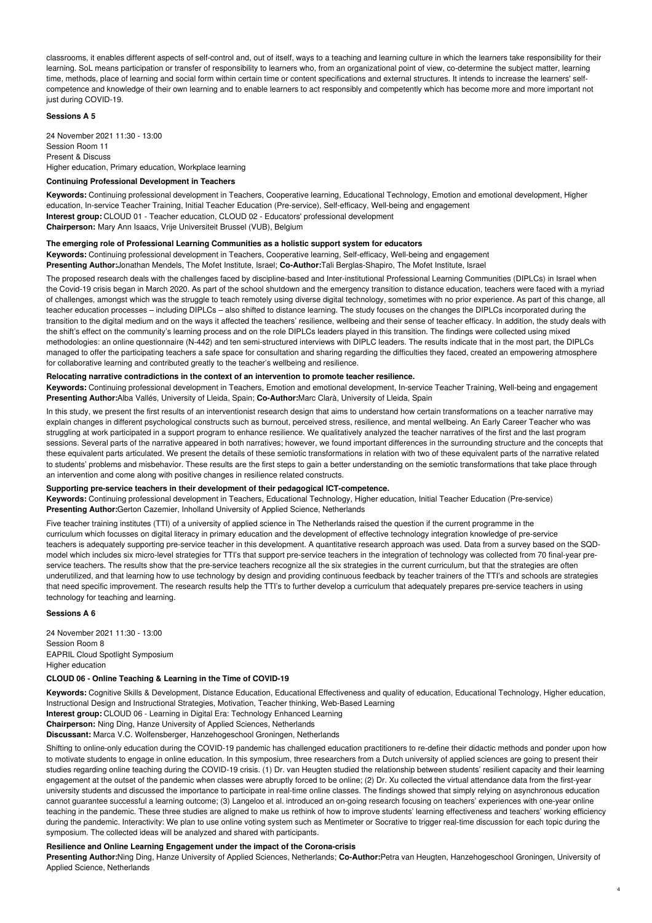classrooms, it enables different aspects of self-control and, out of itself, ways to a teaching and learning culture in which the learners take responsibility for their learning. SoL means participation or transfer of responsibility to learners who, from an organizational point of view, co-determine the subject matter, learning time, methods, place of learning and social form within certain time or content specifications and external structures. It intends to increase the learners' selfcompetence and knowledge of their own learning and to enable learners to act responsibly and competently which has become more and more important not just during COVID-19.

## **Sessions A 5**

24 November 2021 11:30 - 13:00 Session Room 11 Present & Discuss Higher education, Primary education, Workplace learning

#### **Continuing Professional Development in Teachers**

**Keywords:** Continuing professional development in Teachers, Cooperative learning, Educational Technology, Emotion and emotional development, Higher education, In-service Teacher Training, Initial Teacher Education (Pre-service), Self-efficacy, Well-being and engagement **Interest group:** CLOUD 01 - Teacher education, CLOUD 02 - Educators' professional development **Chairperson:** Mary Ann Isaacs, Vrije Universiteit Brussel (VUB), Belgium

# **The emerging role of Professional Learning Communities as a holistic support system for educators**

**Keywords:** Continuing professional development in Teachers, Cooperative learning, Self-efficacy, Well-being and engagement **Presenting Author:**Jonathan Mendels, The Mofet Institute, Israel; **Co-Author:**Tali Berglas-Shapiro, The Mofet Institute, Israel

The proposed research deals with the challenges faced by discipline-based and Inter-institutional Professional Learning Communities (DIPLCs) in Israel when the Covid-19 crisis began in March 2020. As part of the school shutdown and the emergency transition to distance education, teachers were faced with a myriad of challenges, amongst which was the struggle to teach remotely using diverse digital technology, sometimes with no prior experience. As part of this change, all teacher education processes – including DIPLCs – also shifted to distance learning. The study focuses on the changes the DIPLCs incorporated during the transition to the digital medium and on the ways it affected the teachers' resilience, wellbeing and their sense of teacher efficacy. In addition, the study deals with the shift's effect on the community's learning process and on the role DIPLCs leaders played in this transition. The findings were collected using mixed methodologies: an online questionnaire (N-442) and ten semi-structured interviews with DIPLC leaders. The results indicate that in the most part, the DIPLCs managed to offer the participating teachers a safe space for consultation and sharing regarding the difficulties they faced, created an empowering atmosphere for collaborative learning and contributed greatly to the teacher's wellbeing and resilience.

## **Relocating narrative contradictions in the context of an intervention to promote teacher resilience.**

**Keywords:** Continuing professional development in Teachers, Emotion and emotional development, In-service Teacher Training, Well-being and engagement **Presenting Author:**Alba Vallés, University of Lleida, Spain; **Co-Author:**Marc Clarà, University of Lleida, Spain

In this study, we present the first results of an interventionist research design that aims to understand how certain transformations on a teacher narrative may explain changes in different psychological constructs such as burnout, perceived stress, resilience, and mental wellbeing. An Early Career Teacher who was struggling at work participated in a support program to enhance resilience. We qualitatively analyzed the teacher narratives of the first and the last program sessions. Several parts of the narrative appeared in both narratives; however, we found important differences in the surrounding structure and the concepts that these equivalent parts articulated. We present the details of these semiotic transformations in relation with two of these equivalent parts of the narrative related to students' problems and misbehavior. These results are the first steps to gain a better understanding on the semiotic transformations that take place through an intervention and come along with positive changes in resilience related constructs.

## **Supporting pre-service teachers in their development of their pedagogical ICT-competence.**

**Keywords:** Continuing professional development in Teachers, Educational Technology, Higher education, Initial Teacher Education (Pre-service) **Presenting Author:**Gerton Cazemier, Inholland University of Applied Science, Netherlands

Five teacher training institutes (TTI) of a university of applied science in The Netherlands raised the question if the current programme in the curriculum which focusses on digital literacy in primary education and the development of effective technology integration knowledge of pre-service teachers is adequately supporting pre-service teacher in this development. A quantitative research approach was used. Data from a survey based on the SQDmodel which includes six micro-level strategies for TTI's that support pre-service teachers in the integration of technology was collected from 70 final-year preservice teachers. The results show that the pre-service teachers recognize all the six strategies in the current curriculum, but that the strategies are often underutilized, and that learning how to use technology by design and providing continuous feedback by teacher trainers of the TTI's and schools are strategies that need specific improvement. The research results help the TTI's to further develop a curriculum that adequately prepares pre-service teachers in using technology for teaching and learning.

## **Sessions A 6**

24 November 2021 11:30 - 13:00 Session Room 8 EAPRIL Cloud Spotlight Symposium Higher education

# **CLOUD 06 - Online Teaching & Learning in the Time of COVID-19**

**Keywords:** Cognitive Skills & Development, Distance Education, Educational Effectiveness and quality of education, Educational Technology, Higher education, Instructional Design and Instructional Strategies, Motivation, Teacher thinking, Web-Based Learning

**Interest group:** CLOUD 06 - Learning in Digital Era: Technology Enhanced Learning

**Chairperson:** Ning Ding, Hanze University of Applied Sciences, Netherlands

**Discussant:** Marca V.C. Wolfensberger, Hanzehogeschool Groningen, Netherlands

Shifting to online-only education during the COVID-19 pandemic has challenged education practitioners to re-define their didactic methods and ponder upon how to motivate students to engage in online education. In this symposium, three researchers from a Dutch university of applied sciences are going to present their studies regarding online teaching during the COVID-19 crisis. (1) Dr. van Heugten studied the relationship between students' resilient capacity and their learning engagement at the outset of the pandemic when classes were abruptly forced to be online; (2) Dr. Xu collected the virtual attendance data from the first-year university students and discussed the importance to participate in real-time online classes. The findings showed that simply relying on asynchronous education cannot guarantee successful a learning outcome; (3) Langeloo et al. introduced an on-going research focusing on teachers' experiences with one-year online teaching in the pandemic. These three studies are aligned to make us rethink of how to improve students' learning effectiveness and teachers' working efficiency during the pandemic. Interactivity: We plan to use online voting system such as Mentimeter or Socrative to trigger real-time discussion for each topic during the symposium. The collected ideas will be analyzed and shared with participants.

## **Resilience and Online Learning Engagement under the impact of the Corona-crisis**

**Presenting Author:**Ning Ding, Hanze University of Applied Sciences, Netherlands; **Co-Author:**Petra van Heugten, Hanzehogeschool Groningen, University of Applied Science, Netherlands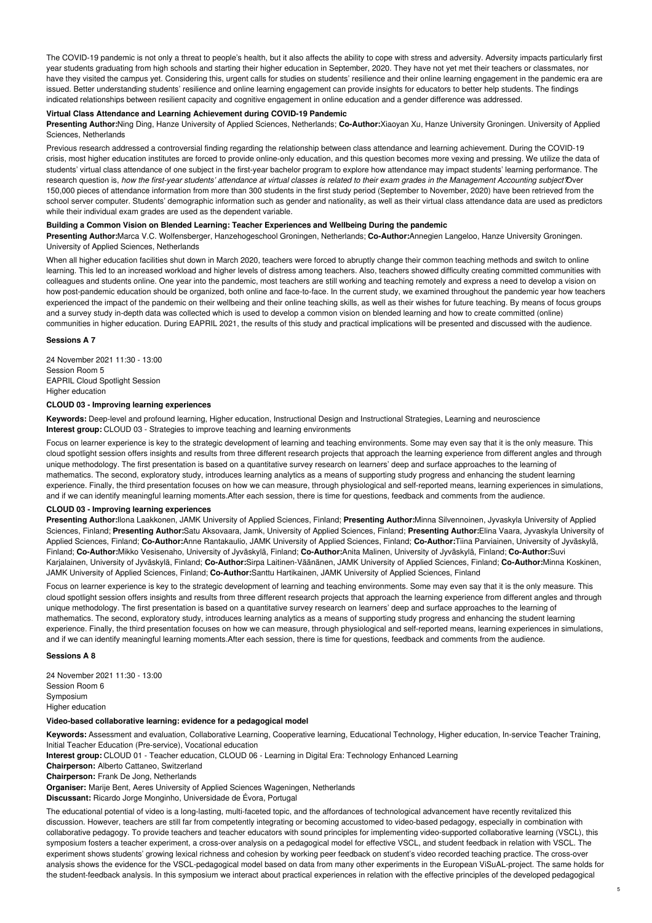The COVID-19 pandemic is not only a threat to people's health, but it also affects the ability to cope with stress and adversity. Adversity impacts particularly first year students graduating from high schools and starting their higher education in September, 2020. They have not yet met their teachers or classmates, nor have they visited the campus yet. Considering this, urgent calls for studies on students' resilience and their online learning engagement in the pandemic era are issued. Better understanding students' resilience and online learning engagement can provide insights for educators to better help students. The findings indicated relationships between resilient capacity and cognitive engagement in online education and a gender difference was addressed.

# **Virtual Class Attendance and Learning Achievement during COVID-19 Pandemic**

**Presenting Author:**Ning Ding, Hanze University of Applied Sciences, Netherlands; **Co-Author:**Xiaoyan Xu, Hanze University Groningen. University of Applied Sciences, Netherlands

Previous research addressed a controversial finding regarding the relationship between class attendance and learning achievement. During the COVID-19 crisis, most higher education institutes are forced to provide online-only education, and this question becomes more vexing and pressing. We utilize the data of students' virtual class attendance of one subject in the first-year bachelor program to explore how attendance may impact students' learning performance. The research question is, how the first-year students' attendance at virtual classes is related to their exam grades in the Management Accounting subject Dver 150,000 pieces of attendance information from more than 300 students in the first study period (September to November, 2020) have been retrieved from the school server computer. Students' demographic information such as gender and nationality, as well as their virtual class attendance data are used as predictors while their individual exam grades are used as the dependent variable.

# **Building a Common Vision on Blended Learning: Teacher Experiences and Wellbeing During the pandemic**

**Presenting Author:**Marca V.C. Wolfensberger, Hanzehogeschool Groningen, Netherlands; **Co-Author:**Annegien Langeloo, Hanze University Groningen. University of Applied Sciences, Netherlands

When all higher education facilities shut down in March 2020, teachers were forced to abruptly change their common teaching methods and switch to online learning. This led to an increased workload and higher levels of distress among teachers. Also, teachers showed difficulty creating committed communities with colleagues and students online. One year into the pandemic, most teachers are still working and teaching remotely and express a need to develop a vision on how post-pandemic education should be organized, both online and face-to-face. In the current study, we examined throughout the pandemic year how teachers experienced the impact of the pandemic on their wellbeing and their online teaching skills, as well as their wishes for future teaching. By means of focus groups and a survey study in-depth data was collected which is used to develop a common vision on blended learning and how to create committed (online) communities in higher education. During EAPRIL 2021, the results of this study and practical implications will be presented and discussed with the audience.

#### **Sessions A 7**

24 November 2021 11:30 - 13:00 Session Room 5 EAPRIL Cloud Spotlight Session Higher education

#### **CLOUD 03 - Improving learning experiences**

**Keywords:** Deep-level and profound learning, Higher education, Instructional Design and Instructional Strategies, Learning and neuroscience **Interest group:** CLOUD 03 - Strategies to improve teaching and learning environments

Focus on learner experience is key to the strategic development of learning and teaching environments. Some may even say that it is the only measure. This cloud spotlight session offers insights and results from three different research projects that approach the learning experience from different angles and through unique methodology. The first presentation is based on a quantitative survey research on learners' deep and surface approaches to the learning of mathematics. The second, exploratory study, introduces learning analytics as a means of supporting study progress and enhancing the student learning experience. Finally, the third presentation focuses on how we can measure, through physiological and self-reported means, learning experiences in simulations, and if we can identify meaningful learning moments.After each session, there is time for questions, feedback and comments from the audience.

# **CLOUD 03 - Improving learning experiences**

**Presenting Author:**Ilona Laakkonen, JAMK University of Applied Sciences, Finland; **Presenting Author:**Minna Silvennoinen, Jyvaskyla University of Applied Sciences, Finland; **Presenting Author:**Satu Aksovaara, Jamk, University of Applied Sciences, Finland; **Presenting Author:**Elina Vaara, Jyvaskyla University of Applied Sciences, Finland; **Co-Author:**Anne Rantakaulio, JAMK University of Applied Sciences, Finland; **Co-Author:**Tiina Parviainen, University of Jyväskylä, Finland; **Co-Author:**Mikko Vesisenaho, University of Jyväskylä, Finland; **Co-Author:**Anita Malinen, University of Jyväskylä, Finland; **Co-Author:**Suvi Karjalainen, University of Jyväskylä, Finland; **Co-Author:**Sirpa Laitinen-Väänänen, JAMK University of Applied Sciences, Finland; **Co-Author:**Minna Koskinen, JAMK University of Applied Sciences, Finland; **Co-Author:**Santtu Hartikainen, JAMK University of Applied Sciences, Finland

Focus on learner experience is key to the strategic development of learning and teaching environments. Some may even say that it is the only measure. This cloud spotlight session offers insights and results from three different research projects that approach the learning experience from different angles and through unique methodology. The first presentation is based on a quantitative survey research on learners' deep and surface approaches to the learning of mathematics. The second, exploratory study, introduces learning analytics as a means of supporting study progress and enhancing the student learning experience. Finally, the third presentation focuses on how we can measure, through physiological and self-reported means, learning experiences in simulations, and if we can identify meaningful learning moments.After each session, there is time for questions, feedback and comments from the audience.

# **Sessions A 8**

24 November 2021 11:30 - 13:00 Session Room 6 Symposium Higher education

## **Video-based collaborative learning: evidence for a pedagogical model**

**Keywords:** Assessment and evaluation, Collaborative Learning, Cooperative learning, Educational Technology, Higher education, In-service Teacher Training, Initial Teacher Education (Pre-service), Vocational education

**Interest group:** CLOUD 01 - Teacher education, CLOUD 06 - Learning in Digital Era: Technology Enhanced Learning

**Chairperson:** Alberto Cattaneo, Switzerland

**Chairperson:** Frank De Jong, Netherlands

**Organiser:** Marije Bent, Aeres University of Applied Sciences Wageningen, Netherlands

**Discussant:** Ricardo Jorge Monginho, Universidade de Évora, Portugal

The educational potential of video is a long-lasting, multi-faceted topic, and the affordances of technological advancement have recently revitalized this discussion. However, teachers are still far from competently integrating or becoming accustomed to video-based pedagogy, especially in combination with collaborative pedagogy. To provide teachers and teacher educators with sound principles for implementing video-supported collaborative learning (VSCL), this symposium fosters a teacher experiment, a cross-over analysis on a pedagogical model for effective VSCL, and student feedback in relation with VSCL. The experiment shows students' growing lexical richness and cohesion by working peer feedback on student's video recorded teaching practice. The cross-over analysis shows the evidence for the VSCL-pedagogical model based on data from many other experiments in the European ViSuAL-project. The same holds for the student-feedback analysis. In this symposium we interact about practical experiences in relation with the effective principles of the developed pedagogical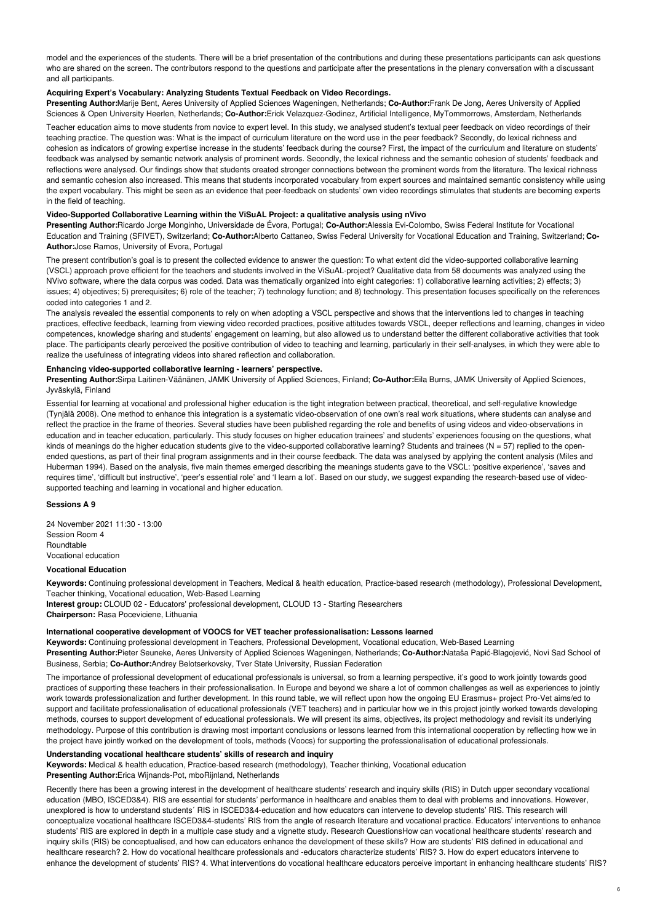model and the experiences of the students. There will be a brief presentation of the contributions and during these presentations participants can ask questions who are shared on the screen. The contributors respond to the questions and participate after the presentations in the plenary conversation with a discussant and all participants.

## **Acquiring Expert's Vocabulary: Analyzing Students Textual Feedback on Video Recordings.**

**Presenting Author:**Marije Bent, Aeres University of Applied Sciences Wageningen, Netherlands; **Co-Author:**Frank De Jong, Aeres University of Applied Sciences & Open University Heerlen, Netherlands; **Co-Author:**Erick Velazquez-Godinez, Artificial Intelligence, MyTommorrows, Amsterdam, Netherlands

Teacher education aims to move students from novice to expert level. In this study, we analysed student's textual peer feedback on video recordings of their teaching practice. The question was: What is the impact of curriculum literature on the word use in the peer feedback? Secondly, do lexical richness and cohesion as indicators of growing expertise increase in the students' feedback during the course? First, the impact of the curriculum and literature on students' feedback was analysed by semantic network analysis of prominent words. Secondly, the lexical richness and the semantic cohesion of students' feedback and reflections were analysed. Our findings show that students created stronger connections between the prominent words from the literature. The lexical richness and semantic cohesion also increased. This means that students incorporated vocabulary from expert sources and maintained semantic consistency while using the expert vocabulary. This might be seen as an evidence that peer-feedback on students' own video recordings stimulates that students are becoming experts in the field of teaching.

## **Video-Supported Collaborative Learning within the ViSuAL Project: a qualitative analysis using nVivo**

**Presenting Author:**Ricardo Jorge Monginho, Universidade de Évora, Portugal; **Co-Author:**Alessia Evi-Colombo, Swiss Federal Institute for Vocational Education and Training (SFIVET), Switzerland; **Co-Author:**Alberto Cattaneo, Swiss Federal University for Vocational Education and Training, Switzerland; **Co-Author:**Jose Ramos, University of Evora, Portugal

The present contribution's goal is to present the collected evidence to answer the question: To what extent did the video-supported collaborative learning (VSCL) approach prove efficient for the teachers and students involved in the ViSuAL-project? Qualitative data from 58 documents was analyzed using the NVivo software, where the data corpus was coded. Data was thematically organized into eight categories: 1) collaborative learning activities; 2) effects; 3) issues; 4) objectives; 5) prerequisites; 6) role of the teacher; 7) technology function; and 8) technology. This presentation focuses specifically on the references coded into categories 1 and 2.

The analysis revealed the essential components to rely on when adopting a VSCL perspective and shows that the interventions led to changes in teaching practices, effective feedback, learning from viewing video recorded practices, positive attitudes towards VSCL, deeper reflections and learning, changes in video competences, knowledge sharing and students' engagement on learning, but also allowed us to understand better the different collaborative activities that took place. The participants clearly perceived the positive contribution of video to teaching and learning, particularly in their self-analyses, in which they were able to realize the usefulness of integrating videos into shared reflection and collaboration.

## **Enhancing video-supported collaborative learning - learners' perspective.**

**Presenting Author:**Sirpa Laitinen-Väänänen, JAMK University of Applied Sciences, Finland; **Co-Author:**Eila Burns, JAMK University of Applied Sciences, Jyväskylä, Finland

Essential for learning at vocational and professional higher education is the tight integration between practical, theoretical, and self-regulative knowledge (Tynjälä 2008). One method to enhance this integration is a systematic video-observation of one own's real work situations, where students can analyse and reflect the practice in the frame of theories. Several studies have been published regarding the role and benefits of using videos and video-observations in education and in teacher education, particularly. This study focuses on higher education trainees' and students' experiences focusing on the questions, what kinds of meanings do the higher education students give to the video-supported collaborative learning? Students and trainees ( $N = 57$ ) replied to the openended questions, as part of their final program assignments and in their course feedback. The data was analysed by applying the content analysis (Miles and Huberman 1994). Based on the analysis, five main themes emerged describing the meanings students gave to the VSCL: 'positive experience', 'saves and requires time', 'difficult but instructive', 'peer's essential role' and 'I learn a lot'. Based on our study, we suggest expanding the research-based use of videosupported teaching and learning in vocational and higher education.

## **Sessions A 9**

24 November 2021 11:30 - 13:00 Session Room 4 Roundtable Vocational education

### **Vocational Education**

**Keywords:** Continuing professional development in Teachers, Medical & health education, Practice-based research (methodology), Professional Development, Teacher thinking, Vocational education, Web-Based Learning

**Interest group:** CLOUD 02 - Educators' professional development, CLOUD 13 - Starting Researchers **Chairperson:** Rasa Poceviciene, Lithuania

# **International cooperative development of VOOCS for VET teacher professionalisation: Lessons learned**

**Keywords:** Continuing professional development in Teachers, Professional Development, Vocational education, Web-Based Learning

**Presenting Author:**Pieter Seuneke, Aeres University of Applied Sciences Wageningen, Netherlands; **Co-Author:**Nataša Papić-Blagojević, Novi Sad School of Business, Serbia; **Co-Author:**Andrey Belotserkovsky, Tver State University, Russian Federation

The importance of professional development of educational professionals is universal, so from a learning perspective, it's good to work jointly towards good practices of supporting these teachers in their professionalisation. In Europe and beyond we share a lot of common challenges as well as experiences to jointly work towards professionalization and further development. In this round table, we will reflect upon how the ongoing EU Erasmus+ project Pro-Vet aims/ed to support and facilitate professionalisation of educational professionals (VET teachers) and in particular how we in this project jointly worked towards developing methods, courses to support development of educational professionals. We will present its aims, objectives, its project methodology and revisit its underlying methodology. Purpose of this contribution is drawing most important conclusions or lessons learned from this international cooperation by reflecting how we in the project have jointly worked on the development of tools, methods (Voocs) for supporting the professionalisation of educational professionals.

# **Understanding vocational healthcare students' skills of research and inquiry**

**Keywords:** Medical & health education, Practice-based research (methodology), Teacher thinking, Vocational education

**Presenting Author:**Erica Wijnands-Pot, mboRijnland, Netherlands

Recently there has been a growing interest in the development of healthcare students' research and inquiry skills (RIS) in Dutch upper secondary vocational education (MBO, ISCED3&4). RIS are essential for students' performance in healthcare and enables them to deal with problems and innovations. However, unexplored is how to understand students´ RIS in ISCED3&4-education and how educators can intervene to develop students' RIS. This research will conceptualize vocational healthcare ISCED3&4-students' RIS from the angle of research literature and vocational practice. Educators' interventions to enhance students' RIS are explored in depth in a multiple case study and a vignette study. Research QuestionsHow can vocational healthcare students' research and inquiry skills (RIS) be conceptualised, and how can educators enhance the development of these skills? How are students' RIS defined in educational and healthcare research? 2. How do vocational healthcare professionals and -educators characterize students' RIS? 3. How do expert educators intervene to enhance the development of students' RIS? 4. What interventions do vocational healthcare educators perceive important in enhancing healthcare students' RIS?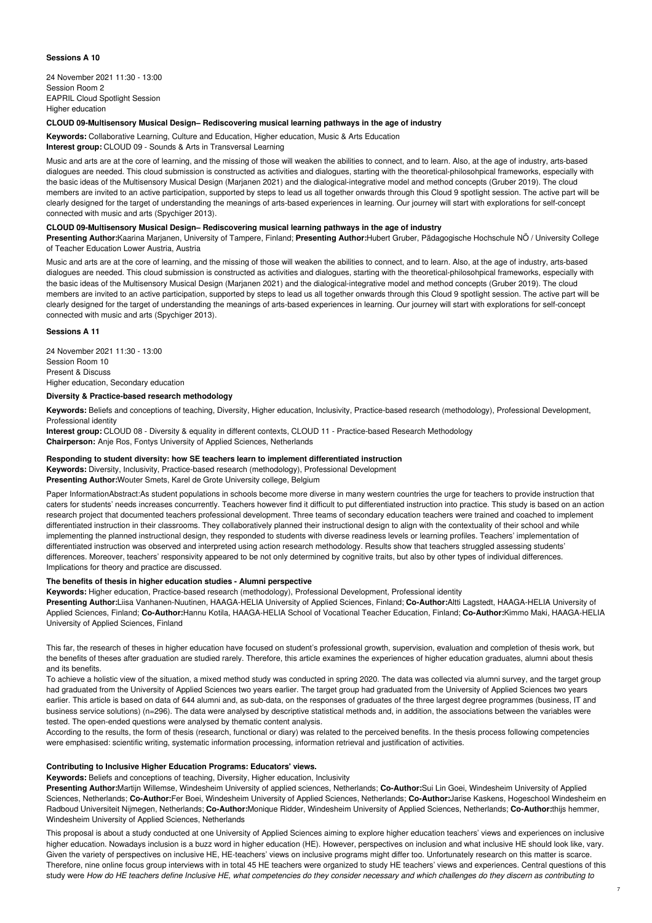# **Sessions A 10**

24 November 2021 11:30 - 13:00 Session Room 2 EAPRIL Cloud Spotlight Session Higher education

# **CLOUD 09-Multisensory Musical Design– Rediscovering musical learning pathways in the age of industry**

**Keywords:** Collaborative Learning, Culture and Education, Higher education, Music & Arts Education **Interest group:** CLOUD 09 - Sounds & Arts in Transversal Learning

Music and arts are at the core of learning, and the missing of those will weaken the abilities to connect, and to learn. Also, at the age of industry, arts-based dialogues are needed. This cloud submission is constructed as activities and dialogues, starting with the theoretical-philosohpical frameworks, especially with the basic ideas of the Multisensory Musical Design (Marjanen 2021) and the dialogical-integrative model and method concepts (Gruber 2019). The cloud members are invited to an active participation, supported by steps to lead us all together onwards through this Cloud 9 spotlight session. The active part will be clearly designed for the target of understanding the meanings of arts-based experiences in learning. Our journey will start with explorations for self-concept connected with music and arts (Spychiger 2013).

# **CLOUD 09-Multisensory Musical Design– Rediscovering musical learning pathways in the age of industry**

**Presenting Author:**Kaarina Marjanen, University of Tampere, Finland; **Presenting Author:**Hubert Gruber, Pädagogische Hochschule NÖ / University College of Teacher Education Lower Austria, Austria

Music and arts are at the core of learning, and the missing of those will weaken the abilities to connect, and to learn. Also, at the age of industry, arts-based dialogues are needed. This cloud submission is constructed as activities and dialogues, starting with the theoretical-philosohpical frameworks, especially with the basic ideas of the Multisensory Musical Design (Marjanen 2021) and the dialogical-integrative model and method concepts (Gruber 2019). The cloud members are invited to an active participation, supported by steps to lead us all together onwards through this Cloud 9 spotlight session. The active part will be clearly designed for the target of understanding the meanings of arts-based experiences in learning. Our journey will start with explorations for self-concept connected with music and arts (Spychiger 2013).

## **Sessions A 11**

24 November 2021 11:30 - 13:00 Session Room 10 Present & Discuss Higher education, Secondary education

# **Diversity & Practice-based research methodology**

**Keywords:** Beliefs and conceptions of teaching, Diversity, Higher education, Inclusivity, Practice-based research (methodology), Professional Development, Professional identity

**Interest group:** CLOUD 08 - Diversity & equality in different contexts, CLOUD 11 - Practice-based Research Methodology **Chairperson:** Anje Ros, Fontys University of Applied Sciences, Netherlands

# **Responding to student diversity: how SE teachers learn to implement differentiated instruction**

**Keywords:** Diversity, Inclusivity, Practice-based research (methodology), Professional Development

**Presenting Author:**Wouter Smets, Karel de Grote University college, Belgium

Paper InformationAbstract:As student populations in schools become more diverse in many western countries the urge for teachers to provide instruction that caters for students' needs increases concurrently. Teachers however find it difficult to put differentiated instruction into practice. This study is based on an action research project that documented teachers professional development. Three teams of secondary education teachers were trained and coached to implement differentiated instruction in their classrooms. They collaboratively planned their instructional design to align with the contextuality of their school and while implementing the planned instructional design, they responded to students with diverse readiness levels or learning profiles. Teachers' implementation of differentiated instruction was observed and interpreted using action research methodology. Results show that teachers struggled assessing students' differences. Moreover, teachers' responsivity appeared to be not only determined by cognitive traits, but also by other types of individual differences. Implications for theory and practice are discussed.

# **The benefits of thesis in higher education studies - Alumni perspective**

**Keywords:** Higher education, Practice-based research (methodology), Professional Development, Professional identity

**Presenting Author:**Liisa Vanhanen-Nuutinen, HAAGA-HELIA University of Applied Sciences, Finland; **Co-Author:**Altti Lagstedt, HAAGA-HELIA University of Applied Sciences, Finland; **Co-Author:**Hannu Kotila, HAAGA-HELIA School of Vocational Teacher Education, Finland; **Co-Author:**Kimmo Maki, HAAGA-HELIA University of Applied Sciences, Finland

This far, the research of theses in higher education have focused on student's professional growth, supervision, evaluation and completion of thesis work, but the benefits of theses after graduation are studied rarely. Therefore, this article examines the experiences of higher education graduates, alumni about thesis and its benefits.

To achieve a holistic view of the situation, a mixed method study was conducted in spring 2020. The data was collected via alumni survey, and the target group had graduated from the University of Applied Sciences two years earlier. The target group had graduated from the University of Applied Sciences two years earlier. This article is based on data of 644 alumni and, as sub-data, on the responses of graduates of the three largest degree programmes (business, IT and business service solutions) (n=296). The data were analysed by descriptive statistical methods and, in addition, the associations between the variables were tested. The open-ended questions were analysed by thematic content analysis.

According to the results, the form of thesis (research, functional or diary) was related to the perceived benefits. In the thesis process following competencies were emphasised: scientific writing, systematic information processing, information retrieval and justification of activities.

# **Contributing to Inclusive Higher Education Programs: Educators' views.**

**Keywords:** Beliefs and conceptions of teaching, Diversity, Higher education, Inclusivity

**Presenting Author:**Martijn Willemse, Windesheim University of applied sciences, Netherlands; **Co-Author:**Sui Lin Goei, Windesheim University of Applied Sciences, Netherlands; **Co-Author:**Fer Boei, Windesheim University of Applied Sciences, Netherlands; **Co-Author:**Jarise Kaskens, Hogeschool Windesheim en Radboud Universiteit Nijmegen, Netherlands; **Co-Author:**Monique Ridder, Windesheim University of Applied Sciences, Netherlands; **Co-Author:**thijs hemmer, Windesheim University of Applied Sciences, Netherlands

This proposal is about a study conducted at one University of Applied Sciences aiming to explore higher education teachers' views and experiences on inclusive higher education. Nowadays inclusion is a buzz word in higher education (HE). However, perspectives on inclusion and what inclusive HE should look like, vary. Given the variety of perspectives on inclusive HE, HE-teachers' views on inclusive programs might differ too. Unfortunately research on this matter is scarce. Therefore, nine online focus group interviews with in total 45 HE teachers were organized to study HE teachers' views and experiences. Central questions of this study were How do HE teachers define Inclusive HE, what competencies do they consider necessary and which challenges do they discern as contributing to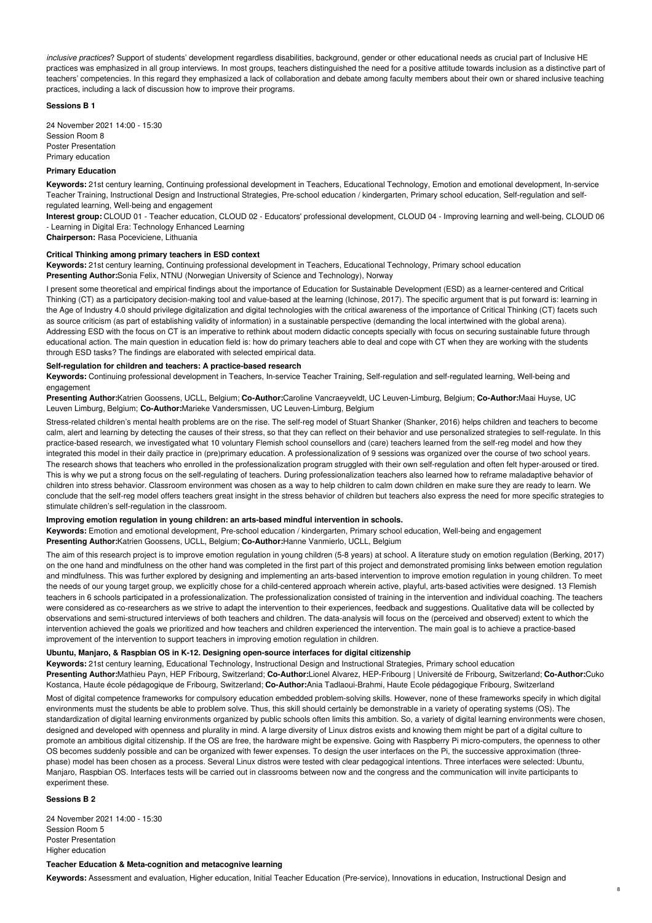*inclusive practices*? Support of students' development regardless disabilities, background, gender or other educational needs as crucial part of Inclusive HE practices was emphasized in all group interviews. In most groups, teachers distinguished the need for a positive attitude towards inclusion as a distinctive part of teachers' competencies. In this regard they emphasized a lack of collaboration and debate among faculty members about their own or shared inclusive teaching practices, including a lack of discussion how to improve their programs.

#### **Sessions B 1**

24 November 2021 14:00 - 15:30 Session Room 8 Poster Presentation Primary education

#### **Primary Education**

**Keywords:** 21st century learning, Continuing professional development in Teachers, Educational Technology, Emotion and emotional development, In-service Teacher Training, Instructional Design and Instructional Strategies, Pre-school education / kindergarten, Primary school education, Self-regulation and selfregulated learning, Well-being and engagement

**Interest group:** CLOUD 01 - Teacher education, CLOUD 02 - Educators' professional development, CLOUD 04 - Improving learning and well-being, CLOUD 06 - Learning in Digital Era: Technology Enhanced Learning

**Chairperson:** Rasa Poceviciene, Lithuania

### **Critical Thinking among primary teachers in ESD context**

**Keywords:** 21st century learning, Continuing professional development in Teachers, Educational Technology, Primary school education **Presenting Author:**Sonia Felix, NTNU (Norwegian University of Science and Technology), Norway

I present some theoretical and empirical findings about the importance of Education for Sustainable Development (ESD) as a learner-centered and Critical Thinking (CT) as a participatory decision-making tool and value-based at the learning (Ichinose, 2017). The specific argument that is put forward is: learning in the Age of Industry 4.0 should privilege digitalization and digital technologies with the critical awareness of the importance of Critical Thinking (CT) facets such as source criticism (as part of establishing validity of information) in a sustainable perspective (demanding the local intertwined with the global arena). Addressing ESD with the focus on CT is an imperative to rethink about modern didactic concepts specially with focus on securing sustainable future through educational action. The main question in education field is: how do primary teachers able to deal and cope with CT when they are working with the students through ESD tasks? The findings are elaborated with selected empirical data.

#### **Self-regulation for children and teachers: A practice-based research**

**Keywords:** Continuing professional development in Teachers, In-service Teacher Training, Self-regulation and self-regulated learning, Well-being and engagement

**Presenting Author:**Katrien Goossens, UCLL, Belgium; **Co-Author:**Caroline Vancraeyveldt, UC Leuven-Limburg, Belgium; **Co-Author:**Maai Huyse, UC Leuven Limburg, Belgium; **Co-Author:**Marieke Vandersmissen, UC Leuven-Limburg, Belgium

Stress-related children's mental health problems are on the rise. The self-reg model of Stuart Shanker (Shanker, 2016) helps children and teachers to become calm, alert and learning by detecting the causes of their stress, so that they can reflect on their behavior and use personalized strategies to self-regulate. In this practice-based research, we investigated what 10 voluntary Flemish school counsellors and (care) teachers learned from the self-reg model and how they integrated this model in their daily practice in (pre)primary education. A professionalization of 9 sessions was organized over the course of two school years. The research shows that teachers who enrolled in the professionalization program struggled with their own self-regulation and often felt hyper-aroused or tired. This is why we put a strong focus on the self-regulating of teachers. During professionalization teachers also learned how to reframe maladaptive behavior of children into stress behavior. Classroom environment was chosen as a way to help children to calm down children en make sure they are ready to learn. We conclude that the self-reg model offers teachers great insight in the stress behavior of children but teachers also express the need for more specific strategies to stimulate children's self-regulation in the classroom.

## **Improving emotion regulation in young children: an arts-based mindful intervention in schools.**

**Keywords:** Emotion and emotional development, Pre-school education / kindergarten, Primary school education, Well-being and engagement **Presenting Author:**Katrien Goossens, UCLL, Belgium; **Co-Author:**Hanne Vanmierlo, UCLL, Belgium

The aim of this research project is to improve emotion regulation in young children (5-8 years) at school. A literature study on emotion regulation (Berking, 2017) on the one hand and mindfulness on the other hand was completed in the first part of this project and demonstrated promising links between emotion regulation and mindfulness. This was further explored by designing and implementing an arts-based intervention to improve emotion regulation in young children. To meet the needs of our young target group, we explicitly chose for a child-centered approach wherein active, playful, arts-based activities were designed. 13 Flemish teachers in 6 schools participated in a professionalization. The professionalization consisted of training in the intervention and individual coaching. The teachers were considered as co-researchers as we strive to adapt the intervention to their experiences, feedback and suggestions. Qualitative data will be collected by observations and semi-structured interviews of both teachers and children. The data-analysis will focus on the (perceived and observed) extent to which the intervention achieved the goals we prioritized and how teachers and children experienced the intervention. The main goal is to achieve a practice-based improvement of the intervention to support teachers in improving emotion regulation in children.

## **Ubuntu, Manjaro, & Raspbian OS in K-12. Designing open-source interfaces for digital citizenship**

**Keywords:** 21st century learning, Educational Technology, Instructional Design and Instructional Strategies, Primary school education **Presenting Author:**Mathieu Payn, HEP Fribourg, Switzerland; **Co-Author:**Lionel Alvarez, HEP-Fribourg | Université de Fribourg, Switzerland; **Co-Author:**Cuko Kostanca, Haute école pédagogique de Fribourg, Switzerland; **Co-Author:**Ania Tadlaoui-Brahmi, Haute Ecole pédagogique Fribourg, Switzerland

Most of digital competence frameworks for compulsory education embedded problem-solving skills. However, none of these frameworks specify in which digital environments must the students be able to problem solve. Thus, this skill should certainly be demonstrable in a variety of operating systems (OS). The standardization of digital learning environments organized by public schools often limits this ambition. So, a variety of digital learning environments were chosen, designed and developed with openness and plurality in mind. A large diversity of Linux distros exists and knowing them might be part of a digital culture to promote an ambitious digital citizenship. If the OS are free, the hardware might be expensive. Going with Raspberry Pi micro-computers, the openness to other OS becomes suddenly possible and can be organized with fewer expenses. To design the user interfaces on the Pi, the successive approximation (threephase) model has been chosen as a process. Several Linux distros were tested with clear pedagogical intentions. Three interfaces were selected: Ubuntu, Manjaro, Raspbian OS. Interfaces tests will be carried out in classrooms between now and the congress and the communication will invite participants to experiment these.

**Sessions B 2**

24 November 2021 14:00 - 15:30 Session Room 5 Poster Presentation Higher education

# **Teacher Education & Meta-cognition and metacognive learning**

**Keywords:** Assessment and evaluation, Higher education, Initial Teacher Education (Pre-service), Innovations in education, Instructional Design and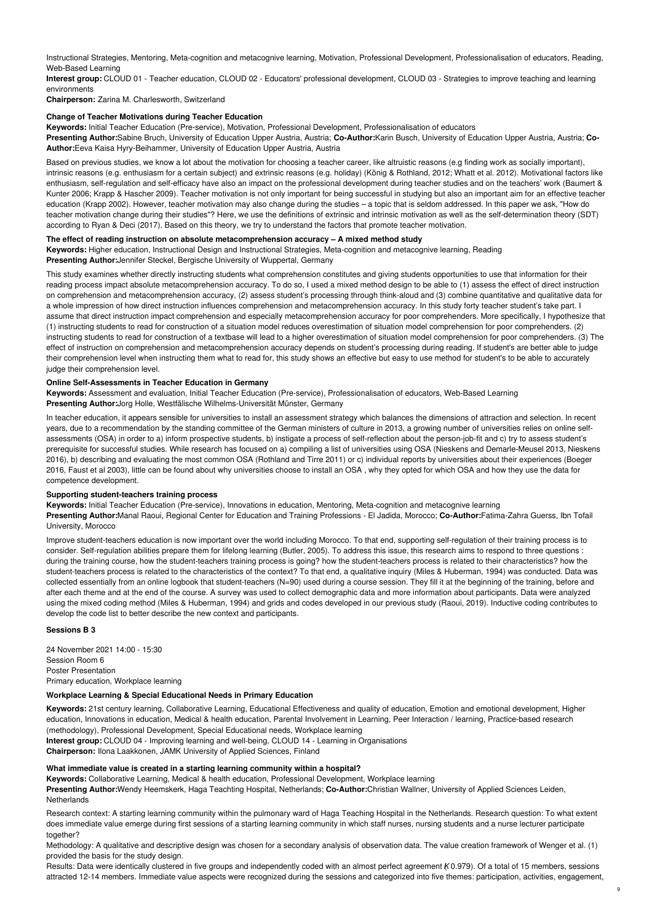Instructional Strategies, Mentoring, Meta-cognition and metacognive learning, Motivation, Professional Development, Professionalisation of educators, Reading, Web-Based Learning

**Interest group:** CLOUD 01 - Teacher education, CLOUD 02 - Educators' professional development, CLOUD 03 - Strategies to improve teaching and learning environments

**Chairperson:** Zarina M. Charlesworth, Switzerland

## **Change of Teacher Motivations during Teacher Education**

**Keywords:** Initial Teacher Education (Pre-service), Motivation, Professional Development, Professionalisation of educators

**Presenting Author:**Sabine Bruch, University of Education Upper Austria, Austria; **Co-Author:**Karin Busch, University of Education Upper Austria, Austria; **Co-Author:**Eeva Kaisa Hyry-Beihammer, University of Education Upper Austria, Austria

Based on previous studies, we know a lot about the motivation for choosing a teacher career, like altruistic reasons (e.g finding work as socially important), intrinsic reasons (e.g. enthusiasm for a certain subject) and extrinsic reasons (e.g. holiday) (König & Rothland, 2012; Whatt et al. 2012). Motivational factors like enthusiasm, self-regulation and self-efficacy have also an impact on the professional development during teacher studies and on the teachers' work (Baumert & Kunter 2006; Krapp & Hascher 2009). Teacher motivation is not only important for being successful in studying but also an important aim for an effective teacher education (Krapp 2002). However, teacher motivation may also change during the studies – a topic that is seldom addressed. In this paper we ask, "How do teacher motivation change during their studies"? Here, we use the definitions of extrinsic and intrinsic motivation as well as the self-determination theory (SDT) according to Ryan & Deci (2017). Based on this theory, we try to understand the factors that promote teacher motivation.

## **The effect of reading instruction on absolute metacomprehension accuracy – A mixed method study**

**Keywords:** Higher education, Instructional Design and Instructional Strategies, Meta-cognition and metacognive learning, Reading **Presenting Author:**Jennifer Steckel, Bergische University of Wuppertal, Germany

This study examines whether directly instructing students what comprehension constitutes and giving students opportunities to use that information for their reading process impact absolute metacomprehension accuracy. To do so, I used a mixed method design to be able to (1) assess the effect of direct instruction on comprehension and metacomprehension accuracy, (2) assess student's processing through think-aloud and (3) combine quantitative and qualitative data for a whole impression of how direct instruction influences comprehension and metacomprehension accuracy. In this study forty teacher student's take part. I assume that direct instruction impact comprehension and especially metacomprehension accuracy for poor comprehenders. More specifically, I hypothesize that (1) instructing students to read for construction of a situation model reduces overestimation of situation model comprehension for poor comprehenders. (2) instructing students to read for construction of a textbase will lead to a higher overestimation of situation model comprehension for poor comprehenders. (3) The effect of instruction on comprehension and metacomprehension accuracy depends on student's processing during reading. If student's are better able to judge their comprehension level when instructing them what to read for, this study shows an effective but easy to use method for student's to be able to accurately judge their comprehension level.

## **Online Self-Assessments in Teacher Education in Germany**

**Keywords:** Assessment and evaluation, Initial Teacher Education (Pre-service), Professionalisation of educators, Web-Based Learning **Presenting Author:**Jorg Holle, Westfälische Wilhelms-Universität Münster, Germany

In teacher education, it appears sensible for universities to install an assessment strategy which balances the dimensions of attraction and selection. In recent years, due to a recommendation by the standing committee of the German ministers of culture in 2013, a growing number of universities relies on online selfassessments (OSA) in order to a) inform prospective students, b) instigate a process of self-reflection about the person-job-fit and c) try to assess student's prerequisite for successful studies. While research has focused on a) compiling a list of universities using OSA (Nieskens and Demarle-Meusel 2013, Nieskens 2016), b) describing and evaluating the most common OSA (Rothland and Tirre 2011) or c) individual reports by universities about their experiences (Boeger 2016, Faust et al 2003), little can be found about why universities choose to install an OSA , why they opted for which OSA and how they use the data for competence development.

### **Supporting student-teachers training process**

**Keywords:** Initial Teacher Education (Pre-service), Innovations in education, Mentoring, Meta-cognition and metacognive learning **Presenting Author:**Manal Raoui, Regional Center for Education and Training Professions - El Jadida, Morocco; **Co-Author:**Fatima-Zahra Guerss, Ibn Tofail University, Morocco

Improve student-teachers education is now important over the world including Morocco. To that end, supporting self-regulation of their training process is to consider. Self-regulation abilities prepare them for lifelong learning (Butler, 2005). To address this issue, this research aims to respond to three questions : during the training course, how the student-teachers training process is going? how the student-teachers process is related to their characteristics? how the student-teachers process is related to the characteristics of the context? To that end, a qualitative inquiry (Miles & Huberman, 1994) was conducted. Data was collected essentially from an online logbook that student-teachers (N=90) used during a course session. They fill it at the beginning of the training, before and after each theme and at the end of the course. A survey was used to collect demographic data and more information about participants. Data were analyzed using the mixed coding method (Miles & Huberman, 1994) and grids and codes developed in our previous study (Raoui, 2019). Inductive coding contributes to develop the code list to better describe the new context and participants.

### **Sessions B 3**

24 November 2021 14:00 - 15:30 Session Room 6 Poster Presentation Primary education, Workplace learning

### **Workplace Learning & Special Educational Needs in Primary Education**

**Keywords:** 21st century learning, Collaborative Learning, Educational Effectiveness and quality of education, Emotion and emotional development, Higher education, Innovations in education, Medical & health education, Parental Involvement in Learning, Peer Interaction / learning, Practice-based research (methodology), Professional Development, Special Educational needs, Workplace learning **Interest group:** CLOUD 04 - Improving learning and well-being, CLOUD 14 - Learning in Organisations

**Chairperson:** Ilona Laakkonen, JAMK University of Applied Sciences, Finland

## **What immediate value is created in a starting learning community within a hospital?**

**Keywords:** Collaborative Learning, Medical & health education, Professional Development, Workplace learning

**Presenting Author:**Wendy Heemskerk, Haga Teachting Hospital, Netherlands; **Co-Author:**Christian Wallner, University of Applied Sciences Leiden, **Netherlands** 

Research context: A starting learning community within the pulmonary ward of Haga Teaching Hospital in the Netherlands. Research question: To what extent does immediate value emerge during first sessions of a starting learning community in which staff nurses, nursing students and a nurse lecturer participate together?

Methodology: A qualitative and descriptive design was chosen for a secondary analysis of observation data. The value creation framework of Wenger et al. (1) provided the basis for the study design.

Results: Data were identically clustered in five groups and independently coded with an almost perfect agreement *K*(0.979). Of a total of 15 members, sessions attracted 12-14 members. Immediate value aspects were recognized during the sessions and categorized into five themes: participation, activities, engagement,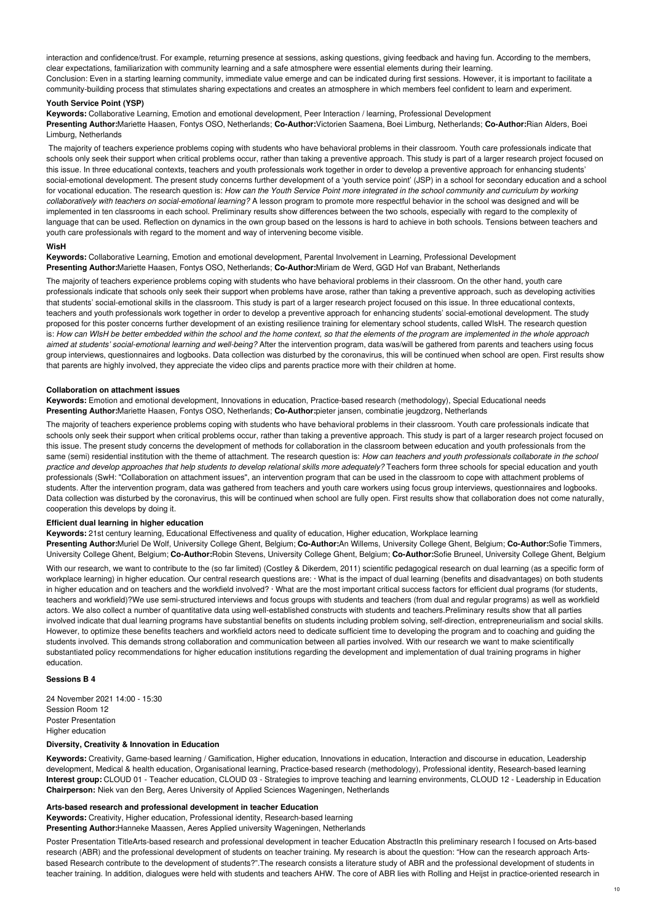interaction and confidence/trust. For example, returning presence at sessions, asking questions, giving feedback and having fun. According to the members, clear expectations, familiarization with community learning and a safe atmosphere were essential elements during their learning. Conclusion: Even in a starting learning community, immediate value emerge and can be indicated during first sessions. However, it is important to facilitate a community-building process that stimulates sharing expectations and creates an atmosphere in which members feel confident to learn and experiment.

## **Youth Service Point (YSP)**

**Keywords:** Collaborative Learning, Emotion and emotional development, Peer Interaction / learning, Professional Development **Presenting Author:**Mariette Haasen, Fontys OSO, Netherlands; **Co-Author:**Victorien Saamena, Boei Limburg, Netherlands; **Co-Author:**Rian Alders, Boei Limburg, Netherlands

The majority of teachers experience problems coping with students who have behavioral problems in their classroom. Youth care professionals indicate that schools only seek their support when critical problems occur, rather than taking a preventive approach. This study is part of a larger research project focused on this issue. In three educational contexts, teachers and youth professionals work together in order to develop a preventive approach for enhancing students' social-emotional development. The present study concerns further development of a 'youth service point' (JSP) in a school for secondary education and a school for vocational education. The research question is: How can the Youth Service Point more integrated in the school community and curriculum by working *collaboratively with teachers on social-emotional learning?* A lesson program to promote more respectful behavior in the school was designed and will be implemented in ten classrooms in each school. Preliminary results show differences between the two schools, especially with regard to the complexity of language that can be used. Reflection on dynamics in the own group based on the lessons is hard to achieve in both schools. Tensions between teachers and youth care professionals with regard to the moment and way of intervening become visible.

## **WisH**

**Keywords:** Collaborative Learning, Emotion and emotional development, Parental Involvement in Learning, Professional Development **Presenting Author:**Mariette Haasen, Fontys OSO, Netherlands; **Co-Author:**Miriam de Werd, GGD Hof van Brabant, Netherlands

The majority of teachers experience problems coping with students who have behavioral problems in their classroom. On the other hand, youth care professionals indicate that schools only seek their support when problems have arose, rather than taking a preventive approach, such as developing activities that students' social-emotional skills in the classroom. This study is part of a larger research project focused on this issue. In three educational contexts, teachers and youth professionals work together in order to develop a preventive approach for enhancing students' social-emotional development. The study proposed for this poster concerns further development of an existing resilience training for elementary school students, called WIsH. The research question is: How can WIsH be better embedded within the school and the home context, so that the elements of the program are implemented in the whole approach *aimed at students' social-emotional learning and well-being?* After the intervention program, data was/will be gathered from parents and teachers using focus group interviews, questionnaires and logbooks. Data collection was disturbed by the coronavirus, this will be continued when school are open. First results show that parents are highly involved, they appreciate the video clips and parents practice more with their children at home.

## **Collaboration on attachment issues**

**Keywords:** Emotion and emotional development, Innovations in education, Practice-based research (methodology), Special Educational needs **Presenting Author:**Mariette Haasen, Fontys OSO, Netherlands; **Co-Author:**pieter jansen, combinatie jeugdzorg, Netherlands

The majority of teachers experience problems coping with students who have behavioral problems in their classroom. Youth care professionals indicate that schools only seek their support when critical problems occur, rather than taking a preventive approach. This study is part of a larger research project focused on this issue. The present study concerns the development of methods for collaboration in the classroom between education and youth professionals from the same (semi) residential institution with the theme of attachment. The research question is: How can teachers and youth professionals collaborate in the school practice and develop approaches that help students to develop relational skills more adequately? Teachers form three schools for special education and youth professionals (SwH: "Collaboration on attachment issues", an intervention program that can be used in the classroom to cope with attachment problems of students. After the intervention program, data was gathered from teachers and youth care workers using focus group interviews, questionnaires and logbooks. Data collection was disturbed by the coronavirus, this will be continued when school are fully open. First results show that collaboration does not come naturally, cooperation this develops by doing it.

#### **Efficient dual learning in higher education**

**Keywords:** 21st century learning, Educational Effectiveness and quality of education, Higher education, Workplace learning

**Presenting Author:**Muriel De Wolf, University College Ghent, Belgium; **Co-Author:**An Willems, University College Ghent, Belgium; **Co-Author:**Sofie Timmers, University College Ghent, Belgium; **Co-Author:**Robin Stevens, University College Ghent, Belgium; **Co-Author:**Sofie Bruneel, University College Ghent, Belgium

With our research, we want to contribute to the (so far limited) (Costley & Dikerdem, 2011) scientific pedagogical research on dual learning (as a specific form of workplace learning) in higher education. Our central research questions are: · What is the impact of dual learning (benefits and disadvantages) on both students in higher education and on teachers and the workfield involved? · What are the most important critical success factors for efficient dual programs (for students, teachers and workfield)?We use semi-structured interviews and focus groups with students and teachers (from dual and regular programs) as well as workfield actors. We also collect a number of quantitative data using well-established constructs with students and teachers. Preliminary results show that all parties involved indicate that dual learning programs have substantial benefits on students including problem solving, self-direction, entrepreneurialism and social skills. However, to optimize these benefits teachers and workfield actors need to dedicate sufficient time to developing the program and to coaching and guiding the students involved. This demands strong collaboration and communication between all parties involved. With our research we want to make scientifically substantiated policy recommendations for higher education institutions regarding the development and implementation of dual training programs in higher education.

## **Sessions B 4**

24 November 2021 14:00 - 15:30 Session Room 12 Poster Presentation Higher education

#### **Diversity, Creativity & Innovation in Education**

**Keywords:** Creativity, Game-based learning / Gamification, Higher education, Innovations in education, Interaction and discourse in education, Leadership development, Medical & health education, Organisational learning, Practice-based research (methodology), Professional identity, Research-based learning **Interest group:** CLOUD 01 - Teacher education, CLOUD 03 - Strategies to improve teaching and learning environments, CLOUD 12 - Leadership in Education **Chairperson:** Niek van den Berg, Aeres University of Applied Sciences Wageningen, Netherlands

teacher training. In addition, dialogues were held with students and teachers AHW. The core of ABR lies with Rolling and Heijst in practice-oriented research in

#### **Arts-based research and professional development in teacher Education**

**Keywords:** Creativity, Higher education, Professional identity, Research-based learning **Presenting Author:**Hanneke Maassen, Aeres Applied university Wageningen, Netherlands

Poster Presentation TitleArts-based research and professional development in teacher Education AbstractIn this preliminary research I focused on Arts-based research (ABR) and the professional development of students on teacher training. My research is about the question: "How can the research approach Artsbased Research contribute to the development of students?".The research consists a literature study of ABR and the professional development of students in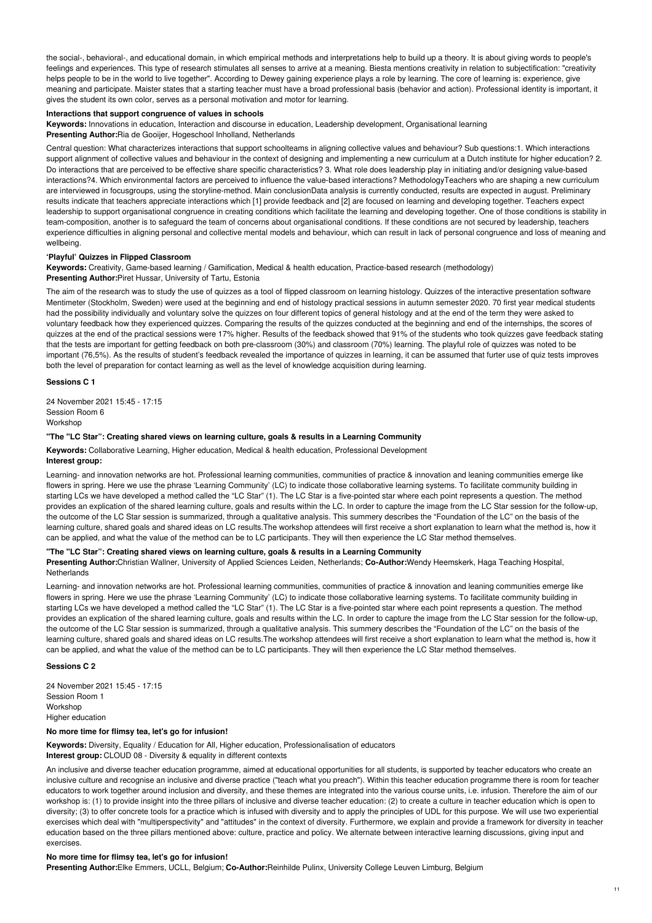the social-, behavioral-, and educational domain, in which empirical methods and interpretations help to build up a theory. It is about giving words to people's feelings and experiences. This type of research stimulates all senses to arrive at a meaning. Biesta mentions creativity in relation to subjectification: "creativity helps people to be in the world to live together". According to Dewey gaining experience plays a role by learning. The core of learning is: experience, give meaning and participate. Maister states that a starting teacher must have a broad professional basis (behavior and action). Professional identity is important, it gives the student its own color, serves as a personal motivation and motor for learning.

## **Interactions that support congruence of values in schools**

**Keywords:** Innovations in education, Interaction and discourse in education, Leadership development, Organisational learning **Presenting Author:**Ria de Gooijer, Hogeschool Inholland, Netherlands

Central question: What characterizes interactions that support schoolteams in aligning collective values and behaviour? Sub questions:1. Which interactions support alignment of collective values and behaviour in the context of designing and implementing a new curriculum at a Dutch institute for higher education? 2. Do interactions that are perceived to be effective share specific characteristics? 3. What role does leadership play in initiating and/or designing value-based interactions?4. Which environmental factors are perceived to influence the value-based interactions? MethodologyTeachers who are shaping a new curriculum are interviewed in focusgroups, using the storyline-method. Main conclusionData analysis is currently conducted, results are expected in august. Preliminary results indicate that teachers appreciate interactions which [1] provide feedback and [2] are focused on learning and developing together. Teachers expect leadership to support organisational congruence in creating conditions which facilitate the learning and developing together. One of those conditions is stability in team-composition, another is to safeguard the team of concerns about organisational conditions. If these conditions are not secured by leadership, teachers experience difficulties in aligning personal and collective mental models and behaviour, which can result in lack of personal congruence and loss of meaning and wellbeing.

## **'Playful' Quizzes in Flipped Classroom**

**Keywords:** Creativity, Game-based learning / Gamification, Medical & health education, Practice-based research (methodology) **Presenting Author:**Piret Hussar, University of Tartu, Estonia

The aim of the research was to study the use of quizzes as a tool of flipped classroom on learning histology. Quizzes of the interactive presentation software Mentimeter (Stockholm, Sweden) were used at the beginning and end of histology practical sessions in autumn semester 2020. 70 first year medical students had the possibility individually and voluntary solve the quizzes on four different topics of general histology and at the end of the term they were asked to voluntary feedback how they experienced quizzes. Comparing the results of the quizzes conducted at the beginning and end of the internships, the scores of quizzes at the end of the practical sessions were 17% higher. Results of the feedback showed that 91% of the students who took quizzes gave feedback stating that the tests are important for getting feedback on both pre-classroom (30%) and classroom (70%) learning. The playful role of quizzes was noted to be important (76,5%). As the results of student's feedback revealed the importance of quizzes in learning, it can be assumed that furter use of quiz tests improves both the level of preparation for contact learning as well as the level of knowledge acquisition during learning.

## **Sessions C 1**

24 November 2021 15:45 - 17:15 Session Room 6 Workshop

### **"The "LC Star": Creating shared views on learning culture, goals & results in a Learning Community**

**Keywords:** Collaborative Learning, Higher education, Medical & health education, Professional Development **Interest group:**

Learning- and innovation networks are hot. Professional learning communities, communities of practice & innovation and leaning communities emerge like flowers in spring. Here we use the phrase 'Learning Community' (LC) to indicate those collaborative learning systems. To facilitate community building in starting LCs we have developed a method called the "LC Star" (1). The LC Star is a five-pointed star where each point represents a question. The method provides an explication of the shared learning culture, goals and results within the LC. In order to capture the image from the LC Star session for the follow-up, the outcome of the LC Star session is summarized, through a qualitative analysis. This summery describes the "Foundation of the LC" on the basis of the learning culture, shared goals and shared ideas on LC results.The workshop attendees will first receive a short explanation to learn what the method is, how it can be applied, and what the value of the method can be to LC participants. They will then experience the LC Star method themselves.

# **"The "LC Star": Creating shared views on learning culture, goals & results in a Learning Community**

**Presenting Author:**Christian Wallner, University of Applied Sciences Leiden, Netherlands; **Co-Author:**Wendy Heemskerk, Haga Teaching Hospital, **Netherlands** 

Learning- and innovation networks are hot. Professional learning communities, communities of practice & innovation and leaning communities emerge like flowers in spring. Here we use the phrase 'Learning Community' (LC) to indicate those collaborative learning systems. To facilitate community building in starting LCs we have developed a method called the "LC Star" (1). The LC Star is a five-pointed star where each point represents a question. The method provides an explication of the shared learning culture, goals and results within the LC. In order to capture the image from the LC Star session for the follow-up, the outcome of the LC Star session is summarized, through a qualitative analysis. This summery describes the "Foundation of the LC" on the basis of the learning culture, shared goals and shared ideas on LC results.The workshop attendees will first receive a short explanation to learn what the method is, how it can be applied, and what the value of the method can be to LC participants. They will then experience the LC Star method themselves.

# **Sessions C 2**

24 November 2021 15:45 - 17:15 Session Room 1 Workshop Higher education

## **No more time for flimsy tea, let's go for infusion!**

**Keywords:** Diversity, Equality / Education for All, Higher education, Professionalisation of educators **Interest group:** CLOUD 08 - Diversity & equality in different contexts

An inclusive and diverse teacher education programme, aimed at educational opportunities for all students, is supported by teacher educators who create an inclusive culture and recognise an inclusive and diverse practice ("teach what you preach"). Within this teacher education programme there is room for teacher educators to work together around inclusion and diversity, and these themes are integrated into the various course units, i.e. infusion. Therefore the aim of our workshop is: (1) to provide insight into the three pillars of inclusive and diverse teacher education: (2) to create a culture in teacher education which is open to diversity; (3) to offer concrete tools for a practice which is infused with diversity and to apply the principles of UDL for this purpose. We will use two experiential exercises which deal with "multiperspectivity" and "attitudes" in the context of diversity. Furthermore, we explain and provide a framework for diversity in teacher education based on the three pillars mentioned above: culture, practice and policy. We alternate between interactive learning discussions, giving input and exercises.

# **No more time for flimsy tea, let's go for infusion!**

**Presenting Author:**Elke Emmers, UCLL, Belgium; **Co-Author:**Reinhilde Pulinx, University College Leuven Limburg, Belgium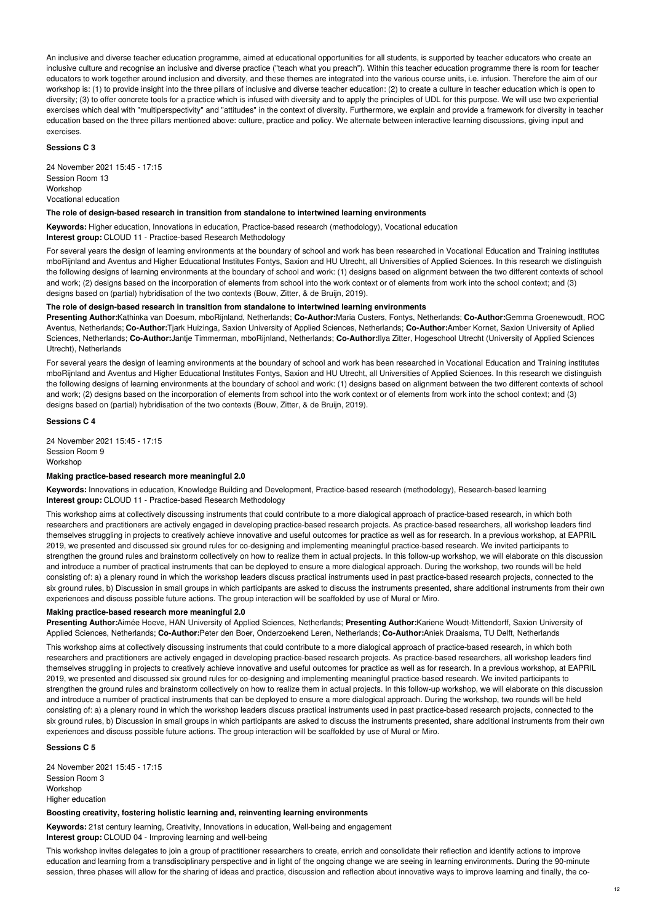An inclusive and diverse teacher education programme, aimed at educational opportunities for all students, is supported by teacher educators who create an inclusive culture and recognise an inclusive and diverse practice ("teach what you preach"). Within this teacher education programme there is room for teacher educators to work together around inclusion and diversity, and these themes are integrated into the various course units, i.e. infusion. Therefore the aim of our workshop is: (1) to provide insight into the three pillars of inclusive and diverse teacher education: (2) to create a culture in teacher education which is open to diversity; (3) to offer concrete tools for a practice which is infused with diversity and to apply the principles of UDL for this purpose. We will use two experiential exercises which deal with "multiperspectivity" and "attitudes" in the context of diversity. Furthermore, we explain and provide a framework for diversity in teacher education based on the three pillars mentioned above: culture, practice and policy. We alternate between interactive learning discussions, giving input and exercises.

### **Sessions C 3**

24 November 2021 15:45 - 17:15 Session Room 13 Workshop Vocational education

#### **The role of design-based research in transition from standalone to intertwined learning environments**

**Keywords:** Higher education, Innovations in education, Practice-based research (methodology), Vocational education **Interest group:** CLOUD 11 - Practice-based Research Methodology

For several years the design of learning environments at the boundary of school and work has been researched in Vocational Education and Training institutes mboRijnland and Aventus and Higher Educational Institutes Fontys, Saxion and HU Utrecht, all Universities of Applied Sciences. In this research we distinguish the following designs of learning environments at the boundary of school and work: (1) designs based on alignment between the two different contexts of school and work; (2) designs based on the incorporation of elements from school into the work context or of elements from work into the school context; and (3) designs based on (partial) hybridisation of the two contexts (Bouw, Zitter, & de Bruijn, 2019).

# **The role of design-based research in transition from standalone to intertwined learning environments**

**Presenting Author:**Kathinka van Doesum, mboRijnland, Netherlands; **Co-Author:**Maria Custers, Fontys, Netherlands; **Co-Author:**Gemma Groenewoudt, ROC Aventus, Netherlands; **Co-Author:**Tjark Huizinga, Saxion University of Applied Sciences, Netherlands; **Co-Author:**Amber Kornet, Saxion University of Aplied Sciences, Netherlands; **Co-Author:**Jantje Timmerman, mboRijnland, Netherlands; **Co-Author:**Ilya Zitter, Hogeschool Utrecht (University of Applied Sciences Utrecht), Netherlands

For several years the design of learning environments at the boundary of school and work has been researched in Vocational Education and Training institutes mboRijnland and Aventus and Higher Educational Institutes Fontys, Saxion and HU Utrecht, all Universities of Applied Sciences. In this research we distinguish the following designs of learning environments at the boundary of school and work: (1) designs based on alignment between the two different contexts of school and work; (2) designs based on the incorporation of elements from school into the work context or of elements from work into the school context; and (3) designs based on (partial) hybridisation of the two contexts (Bouw, Zitter, & de Bruijn, 2019).

## **Sessions C 4**

24 November 2021 15:45 - 17:15 Session Room 9 Workshop

# **Making practice-based research more meaningful 2.0**

**Keywords:** Innovations in education, Knowledge Building and Development, Practice-based research (methodology), Research-based learning **Interest group:** CLOUD 11 - Practice-based Research Methodology

This workshop aims at collectively discussing instruments that could contribute to a more dialogical approach of practice-based research, in which both researchers and practitioners are actively engaged in developing practice-based research projects. As practice-based researchers, all workshop leaders find themselves struggling in projects to creatively achieve innovative and useful outcomes for practice as well as for research. In a previous workshop, at EAPRIL 2019, we presented and discussed six ground rules for co-designing and implementing meaningful practice-based research. We invited participants to strengthen the ground rules and brainstorm collectively on how to realize them in actual projects. In this follow-up workshop, we will elaborate on this discussion and introduce a number of practical instruments that can be deployed to ensure a more dialogical approach. During the workshop, two rounds will be held consisting of: a) a plenary round in which the workshop leaders discuss practical instruments used in past practice-based research projects, connected to the six ground rules, b) Discussion in small groups in which participants are asked to discuss the instruments presented, share additional instruments from their own experiences and discuss possible future actions. The group interaction will be scaffolded by use of Mural or Miro.

#### **Making practice-based research more meaningful 2.0**

**Presenting Author:**Aimée Hoeve, HAN University of Applied Sciences, Netherlands; **Presenting Author:**Kariene Woudt-Mittendorff, Saxion University of Applied Sciences, Netherlands; **Co-Author:**Peter den Boer, Onderzoekend Leren, Netherlands; **Co-Author:**Aniek Draaisma, TU Delft, Netherlands

This workshop aims at collectively discussing instruments that could contribute to a more dialogical approach of practice-based research, in which both researchers and practitioners are actively engaged in developing practice-based research projects. As practice-based researchers, all workshop leaders find themselves struggling in projects to creatively achieve innovative and useful outcomes for practice as well as for research. In a previous workshop, at EAPRIL 2019, we presented and discussed six ground rules for co-designing and implementing meaningful practice-based research. We invited participants to strengthen the ground rules and brainstorm collectively on how to realize them in actual projects. In this follow-up workshop, we will elaborate on this discussion and introduce a number of practical instruments that can be deployed to ensure a more dialogical approach. During the workshop, two rounds will be held consisting of: a) a plenary round in which the workshop leaders discuss practical instruments used in past practice-based research projects, connected to the six ground rules, b) Discussion in small groups in which participants are asked to discuss the instruments presented, share additional instruments from their own experiences and discuss possible future actions. The group interaction will be scaffolded by use of Mural or Miro.

# **Sessions C 5**

24 November 2021 15:45 - 17:15 Session Room 3 Workshop Higher education

### **Boosting creativity, fostering holistic learning and, reinventing learning environments**

**Keywords:** 21st century learning, Creativity, Innovations in education, Well-being and engagement **Interest group:** CLOUD 04 - Improving learning and well-being

This workshop invites delegates to join a group of practitioner researchers to create, enrich and consolidate their reflection and identify actions to improve education and learning from a transdisciplinary perspective and in light of the ongoing change we are seeing in learning environments. During the 90-minute session, three phases will allow for the sharing of ideas and practice, discussion and reflection about innovative ways to improve learning and finally, the co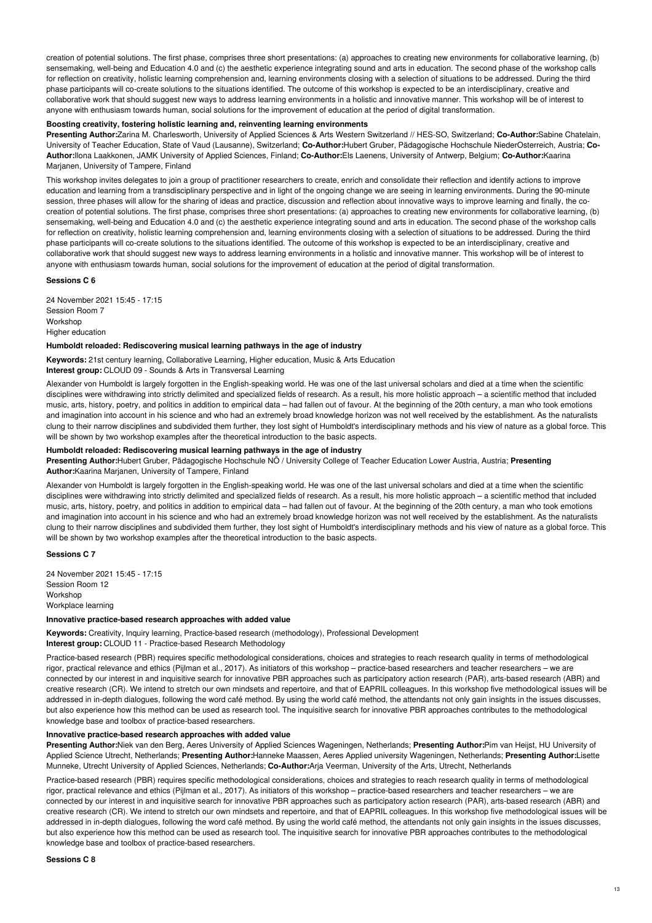creation of potential solutions. The first phase, comprises three short presentations: (a) approaches to creating new environments for collaborative learning, (b) sensemaking, well-being and Education 4.0 and (c) the aesthetic experience integrating sound and arts in education. The second phase of the workshop calls for reflection on creativity, holistic learning comprehension and, learning environments closing with a selection of situations to be addressed. During the third phase participants will co-create solutions to the situations identified. The outcome of this workshop is expected to be an interdisciplinary, creative and collaborative work that should suggest new ways to address learning environments in a holistic and innovative manner. This workshop will be of interest to anyone with enthusiasm towards human, social solutions for the improvement of education at the period of digital transformation.

#### **Boosting creativity, fostering holistic learning and, reinventing learning environments**

**Presenting Author:**Zarina M. Charlesworth, University of Applied Sciences & Arts Western Switzerland // HES-SO, Switzerland; **Co-Author:**Sabine Chatelain, University of Teacher Education, State of Vaud (Lausanne), Switzerland; **Co-Author:**Hubert Gruber, Pädagogische Hochschule NiederOsterreich, Austria; **Co-Author:**Ilona Laakkonen, JAMK University of Applied Sciences, Finland; **Co-Author:**Els Laenens, University of Antwerp, Belgium; **Co-Author:**Kaarina Marjanen, University of Tampere, Finland

This workshop invites delegates to join a group of practitioner researchers to create, enrich and consolidate their reflection and identify actions to improve education and learning from a transdisciplinary perspective and in light of the ongoing change we are seeing in learning environments. During the 90-minute session, three phases will allow for the sharing of ideas and practice, discussion and reflection about innovative ways to improve learning and finally, the cocreation of potential solutions. The first phase, comprises three short presentations: (a) approaches to creating new environments for collaborative learning, (b) sensemaking, well-being and Education 4.0 and (c) the aesthetic experience integrating sound and arts in education. The second phase of the workshop calls for reflection on creativity, holistic learning comprehension and, learning environments closing with a selection of situations to be addressed. During the third phase participants will co-create solutions to the situations identified. The outcome of this workshop is expected to be an interdisciplinary, creative and collaborative work that should suggest new ways to address learning environments in a holistic and innovative manner. This workshop will be of interest to anyone with enthusiasm towards human, social solutions for the improvement of education at the period of digital transformation.

# **Sessions C 6**

24 November 2021 15:45 - 17:15 Session Room 7 Workshop Higher education

#### **Humboldt reloaded: Rediscovering musical learning pathways in the age of industry**

**Keywords:** 21st century learning, Collaborative Learning, Higher education, Music & Arts Education

**Interest group:** CLOUD 09 - Sounds & Arts in Transversal Learning

Alexander von Humboldt is largely forgotten in the English-speaking world. He was one of the last universal scholars and died at a time when the scientific disciplines were withdrawing into strictly delimited and specialized fields of research. As a result, his more holistic approach – a scientific method that included music, arts, history, poetry, and politics in addition to empirical data – had fallen out of favour. At the beginning of the 20th century, a man who took emotions and imagination into account in his science and who had an extremely broad knowledge horizon was not well received by the establishment. As the naturalists clung to their narrow disciplines and subdivided them further, they lost sight of Humboldt's interdisciplinary methods and his view of nature as a global force. This will be shown by two workshop examples after the theoretical introduction to the basic aspects.

# **Humboldt reloaded: Rediscovering musical learning pathways in the age of industry**

**Presenting Author:**Hubert Gruber, Pädagogische Hochschule NÖ / University College of Teacher Education Lower Austria, Austria; **Presenting Author:**Kaarina Marjanen, University of Tampere, Finland

Alexander von Humboldt is largely forgotten in the English-speaking world. He was one of the last universal scholars and died at a time when the scientific disciplines were withdrawing into strictly delimited and specialized fields of research. As a result, his more holistic approach – a scientific method that included music, arts, history, poetry, and politics in addition to empirical data – had fallen out of favour. At the beginning of the 20th century, a man who took emotions and imagination into account in his science and who had an extremely broad knowledge horizon was not well received by the establishment. As the naturalists clung to their narrow disciplines and subdivided them further, they lost sight of Humboldt's interdisciplinary methods and his view of nature as a global force. This will be shown by two workshop examples after the theoretical introduction to the basic aspects.

## **Sessions C 7**

24 November 2021 15:45 - 17:15 Session Room 12 Workshop Workplace learning

#### **Innovative practice-based research approaches with added value**

**Keywords:** Creativity, Inquiry learning, Practice-based research (methodology), Professional Development **Interest group:** CLOUD 11 - Practice-based Research Methodology

Practice-based research (PBR) requires specific methodological considerations, choices and strategies to reach research quality in terms of methodological rigor, practical relevance and ethics (Pijlman et al., 2017). As initiators of this workshop – practice-based researchers and teacher researchers – we are connected by our interest in and inquisitive search for innovative PBR approaches such as participatory action research (PAR), arts-based research (ABR) and creative research (CR). We intend to stretch our own mindsets and repertoire, and that of EAPRIL colleagues. In this workshop five methodological issues will be addressed in in-depth dialogues, following the word café method. By using the world café method, the attendants not only gain insights in the issues discusses, but also experience how this method can be used as research tool. The inquisitive search for innovative PBR approaches contributes to the methodological knowledge base and toolbox of practice-based researchers.

#### **Innovative practice-based research approaches with added value**

**Presenting Author:**Niek van den Berg, Aeres University of Applied Sciences Wageningen, Netherlands; **Presenting Author:**Pim van Heijst, HU University of Applied Science Utrecht, Netherlands; **Presenting Author:**Hanneke Maassen, Aeres Applied university Wageningen, Netherlands; **Presenting Author:**Lisette Munneke, Utrecht University of Applied Sciences, Netherlands; **Co-Author:**Arja Veerman, University of the Arts, Utrecht, Netherlands

Practice-based research (PBR) requires specific methodological considerations, choices and strategies to reach research quality in terms of methodological rigor, practical relevance and ethics (Pijlman et al., 2017). As initiators of this workshop – practice-based researchers and teacher researchers – we are connected by our interest in and inquisitive search for innovative PBR approaches such as participatory action research (PAR), arts-based research (ABR) and creative research (CR). We intend to stretch our own mindsets and repertoire, and that of EAPRIL colleagues. In this workshop five methodological issues will be addressed in in-depth dialogues, following the word café method. By using the world café method, the attendants not only gain insights in the issues discusses, but also experience how this method can be used as research tool. The inquisitive search for innovative PBR approaches contributes to the methodological knowledge base and toolbox of practice-based researchers.

## **Sessions C 8**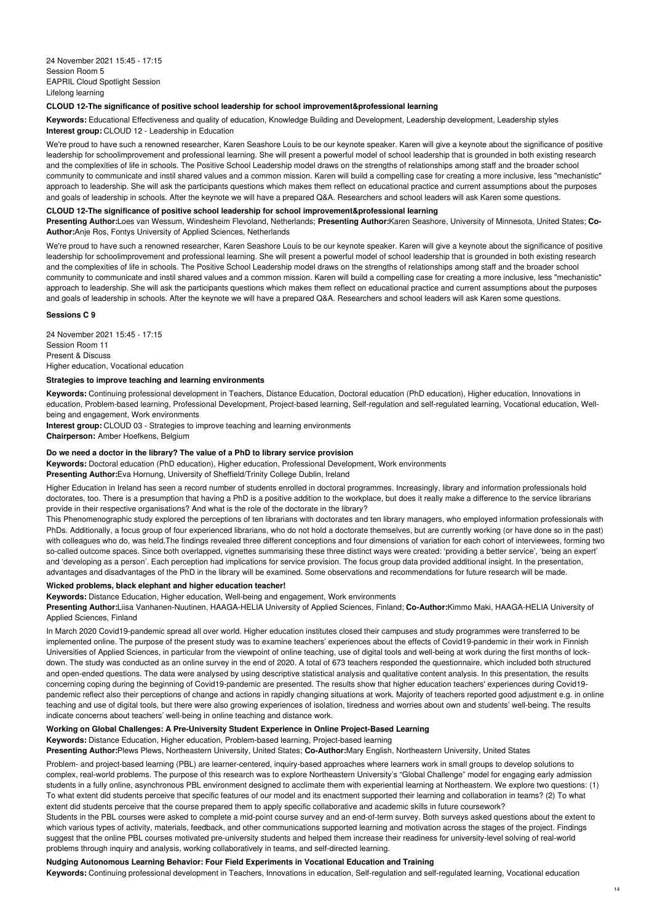# **CLOUD 12-The significance of positive school leadership for school improvement&professional learning**

**Keywords:** Educational Effectiveness and quality of education, Knowledge Building and Development, Leadership development, Leadership styles **Interest group:** CLOUD 12 - Leadership in Education

We're proud to have such a renowned researcher, Karen Seashore Louis to be our keynote speaker. Karen will give a keynote about the significance of positive leadership for schoolimprovement and professional learning. She will present a powerful model of school leadership that is grounded in both existing research and the complexities of life in schools. The Positive School Leadership model draws on the strengths of relationships among staff and the broader school community to communicate and instil shared values and a common mission. Karen will build a compelling case for creating a more inclusive, less "mechanistic" approach to leadership. She will ask the participants questions which makes them reflect on educational practice and current assumptions about the purposes and goals of leadership in schools. After the keynote we will have a prepared Q&A. Researchers and school leaders will ask Karen some questions.

# **CLOUD 12-The significance of positive school leadership for school improvement&professional learning**

**Presenting Author:**Loes van Wessum, Windesheim Flevoland, Netherlands; **Presenting Author:**Karen Seashore, University of Minnesota, United States; **Co-Author:**Anje Ros, Fontys University of Applied Sciences, Netherlands

We're proud to have such a renowned researcher, Karen Seashore Louis to be our keynote speaker. Karen will give a keynote about the significance of positive leadership for schoolimprovement and professional learning. She will present a powerful model of school leadership that is grounded in both existing research and the complexities of life in schools. The Positive School Leadership model draws on the strengths of relationships among staff and the broader school community to communicate and instil shared values and a common mission. Karen will build a compelling case for creating a more inclusive, less "mechanistic" approach to leadership. She will ask the participants questions which makes them reflect on educational practice and current assumptions about the purposes and goals of leadership in schools. After the keynote we will have a prepared Q&A. Researchers and school leaders will ask Karen some questions.

#### **Sessions C 9**

24 November 2021 15:45 - 17:15 Session Room 11 Present & Discuss Higher education, Vocational education

#### **Strategies to improve teaching and learning environments**

**Keywords:** Continuing professional development in Teachers, Distance Education, Doctoral education (PhD education), Higher education, Innovations in education, Problem-based learning, Professional Development, Project-based learning, Self-regulation and self-regulated learning, Vocational education, Wellbeing and engagement, Work environments

**Interest group:** CLOUD 03 - Strategies to improve teaching and learning environments **Chairperson:** Amber Hoefkens, Belgium

### **Do we need a doctor in the library? The value of a PhD to library service provision**

**Keywords:** Doctoral education (PhD education), Higher education, Professional Development, Work environments **Presenting Author:**Eva Hornung, University of Sheffield/Trinity College Dublin, Ireland

Higher Education in Ireland has seen a record number of students enrolled in doctoral programmes. Increasingly, library and information professionals hold doctorates, too. There is a presumption that having a PhD is a positive addition to the workplace, but does it really make a difference to the service librarians provide in their respective organisations? And what is the role of the doctorate in the library?

This Phenomenographic study explored the perceptions of ten librarians with doctorates and ten library managers, who employed information professionals with PhDs. Additionally, a focus group of four experienced librarians, who do not hold a doctorate themselves, but are currently working (or have done so in the past) with colleagues who do, was held.The findings revealed three different conceptions and four dimensions of variation for each cohort of interviewees, forming two so-called outcome spaces. Since both overlapped, vignettes summarising these three distinct ways were created: 'providing a better service', 'being an expert' and 'developing as a person'. Each perception had implications for service provision. The focus group data provided additional insight. In the presentation, advantages and disadvantages of the PhD in the library will be examined. Some observations and recommendations for future research will be made.

## **Wicked problems, black elephant and higher education teacher!**

**Keywords:** Distance Education, Higher education, Well-being and engagement, Work environments

**Presenting Author:**Liisa Vanhanen-Nuutinen, HAAGA-HELIA University of Applied Sciences, Finland; **Co-Author:**Kimmo Maki, HAAGA-HELIA University of Applied Sciences, Finland

In March 2020 Covid19-pandemic spread all over world. Higher education institutes closed their campuses and study programmes were transferred to be implemented online. The purpose of the present study was to examine teachers' experiences about the effects of Covid19-pandemic in their work in Finnish Universities of Applied Sciences, in particular from the viewpoint of online teaching, use of digital tools and well-being at work during the first months of lockdown. The study was conducted as an online survey in the end of 2020. A total of 673 teachers responded the questionnaire, which included both structured and open-ended questions. The data were analysed by using descriptive statistical analysis and qualitative content analysis. In this presentation, the results concerning coping during the beginning of Covid19-pandemic are presented. The results show that higher education teachers' experiences during Covid19 pandemic reflect also their perceptions of change and actions in rapidly changing situations at work. Majority of teachers reported good adjustment e.g. in online teaching and use of digital tools, but there were also growing experiences of isolation, tiredness and worries about own and students' well-being. The results indicate concerns about teachers' well-being in online teaching and distance work.

# **Working on Global Challenges: A Pre-University Student Experience in Online Project-Based Learning**

**Keywords:** Distance Education, Higher education, Problem-based learning, Project-based learning

**Presenting Author:**Plews Plews, Northeastern University, United States; **Co-Author:**Mary English, Northeastern University, United States

Problem- and project-based learning (PBL) are learner-centered, inquiry-based approaches where learners work in small groups to develop solutions to complex, real-world problems. The purpose of this research was to explore Northeastern University's "Global Challenge" model for engaging early admission students in a fully online, asynchronous PBL environment designed to acclimate them with experiential learning at Northeastern. We explore two questions: (1) To what extent did students perceive that specific features of our model and its enactment supported their learning and collaboration in teams? (2) To what extent did students perceive that the course prepared them to apply specific collaborative and academic skills in future coursework?

Students in the PBL courses were asked to complete a mid-point course survey and an end-of-term survey. Both surveys asked questions about the extent to which various types of activity, materials, feedback, and other communications supported learning and motivation across the stages of the project. Findings suggest that the online PBL courses motivated pre-university students and helped them increase their readiness for university-level solving of real-world problems through inquiry and analysis, working collaboratively in teams, and self-directed learning.

## **Nudging Autonomous Learning Behavior: Four Field Experiments in Vocational Education and Training**

**Keywords:** Continuing professional development in Teachers, Innovations in education, Self-regulation and self-regulated learning, Vocational education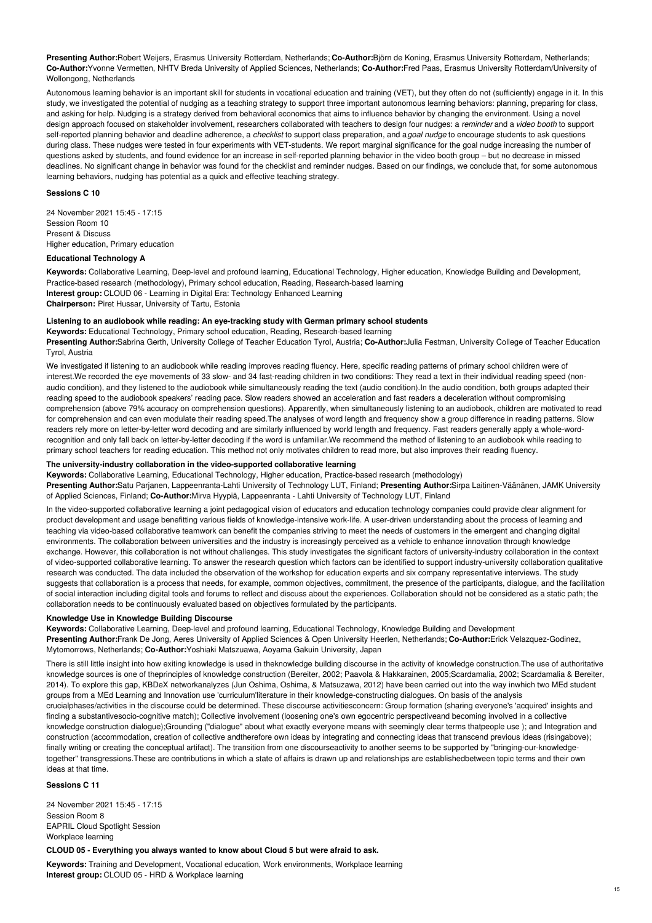**Presenting Author:**Robert Weijers, Erasmus University Rotterdam, Netherlands; **Co-Author:**Björn de Koning, Erasmus University Rotterdam, Netherlands; **Co-Author:**Yvonne Vermetten, NHTV Breda University of Applied Sciences, Netherlands; **Co-Author:**Fred Paas, Erasmus University Rotterdam/University of Wollongong, Netherlands

Autonomous learning behavior is an important skill for students in vocational education and training (VET), but they often do not (sufficiently) engage in it. In this study, we investigated the potential of nudging as a teaching strategy to support three important autonomous learning behaviors: planning, preparing for class, and asking for help. Nudging is a strategy derived from behavioral economics that aims to influence behavior by changing the environment. Using a novel design approach focused on stakeholder involvement, researchers collaborated with teachers to design four nudges: a *reminder* and a *video booth* to support self-reported planning behavior and deadline adherence, a *checklist* to support class preparation, and a*goal nudge* to encourage students to ask questions during class. These nudges were tested in four experiments with VET-students. We report marginal significance for the goal nudge increasing the number of questions asked by students, and found evidence for an increase in self-reported planning behavior in the video booth group – but no decrease in missed deadlines. No significant change in behavior was found for the checklist and reminder nudges. Based on our findings, we conclude that, for some autonomous learning behaviors, nudging has potential as a quick and effective teaching strategy.

## **Sessions C 10**

24 November 2021 15:45 - 17:15 Session Room 10 Present & Discuss Higher education, Primary education

# **Educational Technology A**

**Keywords:** Collaborative Learning, Deep-level and profound learning, Educational Technology, Higher education, Knowledge Building and Development, Practice-based research (methodology), Primary school education, Reading, Research-based learning **Interest group:** CLOUD 06 - Learning in Digital Era: Technology Enhanced Learning **Chairperson:** Piret Hussar, University of Tartu, Estonia

## **Listening to an audiobook while reading: An eye-tracking study with German primary school students**

**Keywords:** Educational Technology, Primary school education, Reading, Research-based learning

**Presenting Author:**Sabrina Gerth, University College of Teacher Education Tyrol, Austria; **Co-Author:**Julia Festman, University College of Teacher Education Tyrol, Austria

We investigated if listening to an audiobook while reading improves reading fluency. Here, specific reading patterns of primary school children were of interest.We recorded the eye movements of 33 slow- and 34 fast-reading children in two conditions: They read a text in their individual reading speed (nonaudio condition), and they listened to the audiobook while simultaneously reading the text (audio condition). In the audio condition, both groups adapted their reading speed to the audiobook speakers' reading pace. Slow readers showed an acceleration and fast readers a deceleration without compromising comprehension (above 79% accuracy on comprehension questions). Apparently, when simultaneously listening to an audiobook, children are motivated to read for comprehension and can even modulate their reading speed. The analyses of word length and frequency show a group difference in reading patterns. Slow readers rely more on letter-by-letter word decoding and are similarly influenced by world length and frequency. Fast readers generally apply a whole-wordrecognition and only fall back on letter-by-letter decoding if the word is unfamiliar.We recommend the method of listening to an audiobook while reading to primary school teachers for reading education. This method not only motivates children to read more, but also improves their reading fluency.

# **The university-industry collaboration in the video-supported collaborative learning**

**Keywords:** Collaborative Learning, Educational Technology, Higher education, Practice-based research (methodology)

**Presenting Author:**Satu Parjanen, Lappeenranta-Lahti University of Technology LUT, Finland; **Presenting Author:**Sirpa Laitinen-Väänänen, JAMK University of Applied Sciences, Finland; **Co-Author:**Mirva Hyypiä, Lappeenranta - Lahti University of Technology LUT, Finland

In the video-supported collaborative learning a joint pedagogical vision of educators and education technology companies could provide clear alignment for product development and usage benefitting various fields of knowledge-intensive work-life. A user-driven understanding about the process of learning and teaching via video-based collaborative teamwork can benefit the companies striving to meet the needs of customers in the emergent and changing digital environments. The collaboration between universities and the industry is increasingly perceived as a vehicle to enhance innovation through knowledge exchange. However, this collaboration is not without challenges. This study investigates the significant factors of university-industry collaboration in the context of video-supported collaborative learning. To answer the research question which factors can be identified to support industry-university collaboration qualitative research was conducted. The data included the observation of the workshop for education experts and six company representative interviews. The study suggests that collaboration is a process that needs, for example, common objectives, commitment, the presence of the participants, dialogue, and the facilitation of social interaction including digital tools and forums to reflect and discuss about the experiences. Collaboration should not be considered as a static path; the collaboration needs to be continuously evaluated based on objectives formulated by the participants.

# **Knowledge Use in Knowledge Building Discourse**

**Keywords:** Collaborative Learning, Deep-level and profound learning, Educational Technology, Knowledge Building and Development **Presenting Author:**Frank De Jong, Aeres University of Applied Sciences & Open University Heerlen, Netherlands; **Co-Author:**Erick Velazquez-Godinez, Mytomorrows, Netherlands; **Co-Author:**Yoshiaki Matszuawa, Aoyama Gakuin University, Japan

There is still little insight into how exiting knowledge is used in theknowledge building discourse in the activity of knowledge construction.The use of authoritative knowledge sources is one of theprinciples of knowledge construction (Bereiter, 2002; Paavola & Hakkarainen, 2005;Scardamalia, 2002; Scardamalia & Bereiter, 2014). To explore this gap, KBDeX networkanalyzes (Jun Oshima, Oshima, & Matsuzawa, 2012) have been carried out into the way inwhich two MEd student groups from a MEd Learning and Innovation use 'curriculum'literature in their knowledge-constructing dialogues. On basis of the analysis crucialphases/activities in the discourse could be determined. These discourse activitiesconcern: Group formation (sharing everyone's 'acquired' insights and finding a substantivesocio-cognitive match); Collective involvement (loosening one's own egocentric perspectiveand becoming involved in a collective knowledge construction dialogue);Grounding ("dialogue" about what exactly everyone means with seemingly clear terms thatpeople use ); and Integration and construction (accommodation, creation of collective andtherefore own ideas by integrating and connecting ideas that transcend previous ideas (risingabove); finally writing or creating the conceptual artifact). The transition from one discourseactivity to another seems to be supported by "bringing-our-knowledgetogether" transgressions.These are contributions in which a state of affairs is drawn up and relationships are establishedbetween topic terms and their own ideas at that time.

**Sessions C 11**

24 November 2021 15:45 - 17:15 Session Room 8 EAPRIL Cloud Spotlight Session Workplace learning

# **CLOUD 05 - Everything you always wanted to know about Cloud 5 but were afraid to ask.**

**Keywords:** Training and Development, Vocational education, Work environments, Workplace learning **Interest group:** CLOUD 05 - HRD & Workplace learning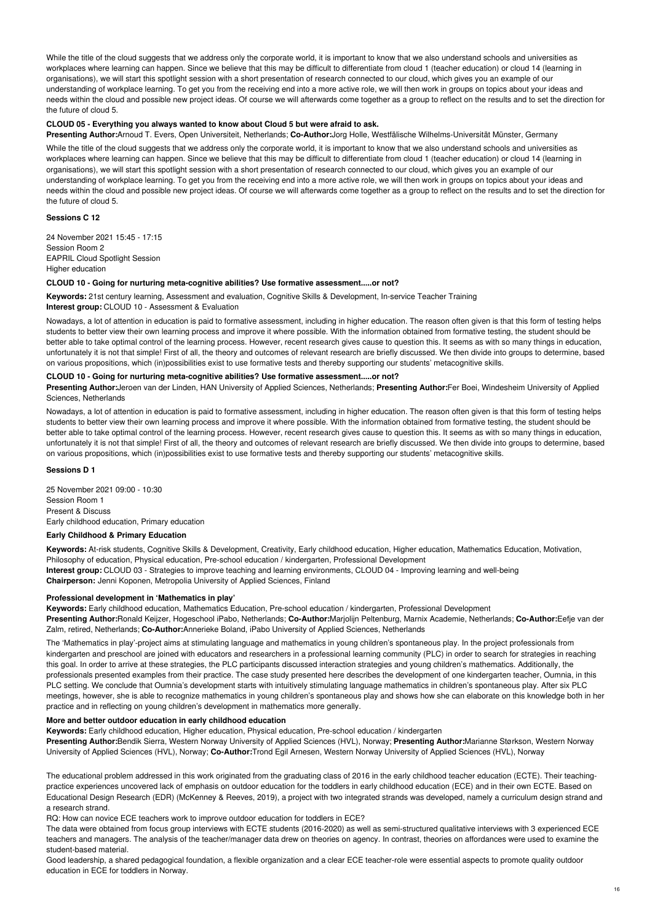While the title of the cloud suggests that we address only the corporate world, it is important to know that we also understand schools and universities as workplaces where learning can happen. Since we believe that this may be difficult to differentiate from cloud 1 (teacher education) or cloud 14 (learning in organisations), we will start this spotlight session with a short presentation of research connected to our cloud, which gives you an example of our understanding of workplace learning. To get you from the receiving end into a more active role, we will then work in groups on topics about your ideas and needs within the cloud and possible new project ideas. Of course we will afterwards come together as a group to reflect on the results and to set the direction for the future of cloud 5.

## **CLOUD 05 - Everything you always wanted to know about Cloud 5 but were afraid to ask.**

**Presenting Author:**Arnoud T. Evers, Open Universiteit, Netherlands; **Co-Author:**Jorg Holle, Westfälische Wilhelms-Universität Münster, Germany

While the title of the cloud suggests that we address only the corporate world, it is important to know that we also understand schools and universities as workplaces where learning can happen. Since we believe that this may be difficult to differentiate from cloud 1 (teacher education) or cloud 14 (learning in organisations), we will start this spotlight session with a short presentation of research connected to our cloud, which gives you an example of our understanding of workplace learning. To get you from the receiving end into a more active role, we will then work in groups on topics about your ideas and needs within the cloud and possible new project ideas. Of course we will afterwards come together as a group to reflect on the results and to set the direction for the future of cloud 5.

# **Sessions C 12**

24 November 2021 15:45 - 17:15 Session Room 2 EAPRIL Cloud Spotlight Session Higher education

#### **CLOUD 10 - Going for nurturing meta-cognitive abilities? Use formative assessment.....or not?**

**Keywords:** 21st century learning, Assessment and evaluation, Cognitive Skills & Development, In-service Teacher Training **Interest group:** CLOUD 10 - Assessment & Evaluation

Nowadays, a lot of attention in education is paid to formative assessment, including in higher education. The reason often given is that this form of testing helps students to better view their own learning process and improve it where possible. With the information obtained from formative testing, the student should be better able to take optimal control of the learning process. However, recent research gives cause to question this. It seems as with so many things in education, unfortunately it is not that simple! First of all, the theory and outcomes of relevant research are briefly discussed. We then divide into groups to determine, based on various propositions, which (in)possibilities exist to use formative tests and thereby supporting our students' metacognitive skills.

# **CLOUD 10 - Going for nurturing meta-cognitive abilities? Use formative assessment.....or not?**

**Presenting Author:**Jeroen van der Linden, HAN University of Applied Sciences, Netherlands; **Presenting Author:**Fer Boei, Windesheim University of Applied Sciences, Netherlands

Nowadays, a lot of attention in education is paid to formative assessment, including in higher education. The reason often given is that this form of testing helps students to better view their own learning process and improve it where possible. With the information obtained from formative testing, the student should be better able to take optimal control of the learning process. However, recent research gives cause to question this. It seems as with so many things in education, unfortunately it is not that simple! First of all, the theory and outcomes of relevant research are briefly discussed. We then divide into groups to determine, based on various propositions, which (in)possibilities exist to use formative tests and thereby supporting our students' metacognitive skills.

### **Sessions D 1**

25 November 2021 09:00 - 10:30 Session Room 1 Present & Discuss Early childhood education, Primary education

# **Early Childhood & Primary Education**

**Keywords:** At-risk students, Cognitive Skills & Development, Creativity, Early childhood education, Higher education, Mathematics Education, Motivation, Philosophy of education, Physical education, Pre-school education / kindergarten, Professional Development **Interest group:** CLOUD 03 - Strategies to improve teaching and learning environments, CLOUD 04 - Improving learning and well-being **Chairperson:** Jenni Koponen, Metropolia University of Applied Sciences, Finland

#### **Professional development in 'Mathematics in play'**

**Keywords:** Early childhood education, Mathematics Education, Pre-school education / kindergarten, Professional Development **Presenting Author:**Ronald Keijzer, Hogeschool iPabo, Netherlands; **Co-Author:**Marjolijn Peltenburg, Marnix Academie, Netherlands; **Co-Author:**Eefje van der Zalm, retired, Netherlands; **Co-Author:**Annerieke Boland, iPabo University of Applied Sciences, Netherlands

The 'Mathematics in play'-project aims at stimulating language and mathematics in young children's spontaneous play. In the project professionals from kindergarten and preschool are joined with educators and researchers in a professional learning community (PLC) in order to search for strategies in reaching this goal. In order to arrive at these strategies, the PLC participants discussed interaction strategies and young children's mathematics. Additionally, the professionals presented examples from their practice. The case study presented here describes the development of one kindergarten teacher, Oumnia, in this PLC setting. We conclude that Oumnia's development starts with intuitively stimulating language mathematics in children's spontaneous play. After six PLC meetings, however, she is able to recognize mathematics in young children's spontaneous play and shows how she can elaborate on this knowledge both in her practice and in reflecting on young children's development in mathematics more generally.

#### **More and better outdoor education in early childhood education**

**Keywords:** Early childhood education, Higher education, Physical education, Pre-school education / kindergarten

**Presenting Author:**Bendik Sierra, Western Norway University of Applied Sciences (HVL), Norway; **Presenting Author:**Marianne Størkson, Western Norway University of Applied Sciences (HVL), Norway; **Co-Author:**Trond Egil Arnesen, Western Norway University of Applied Sciences (HVL), Norway

The educational problem addressed in this work originated from the graduating class of 2016 in the early childhood teacher education (ECTE). Their teachingpractice experiences uncovered lack of emphasis on outdoor education for the toddlers in early childhood education (ECE) and in their own ECTE. Based on Educational Design Research (EDR) (McKenney & Reeves, 2019), a project with two integrated strands was developed, namely a curriculum design strand and a research strand.

RQ: How can novice ECE teachers work to improve outdoor education for toddlers in ECE?

The data were obtained from focus group interviews with ECTE students (2016-2020) as well as semi-structured qualitative interviews with 3 experienced ECE teachers and managers. The analysis of the teacher/manager data drew on theories on agency. In contrast, theories on affordances were used to examine the student-based material.

Good leadership, a shared pedagogical foundation, a flexible organization and a clear ECE teacher-role were essential aspects to promote quality outdoor education in ECE for toddlers in Norway.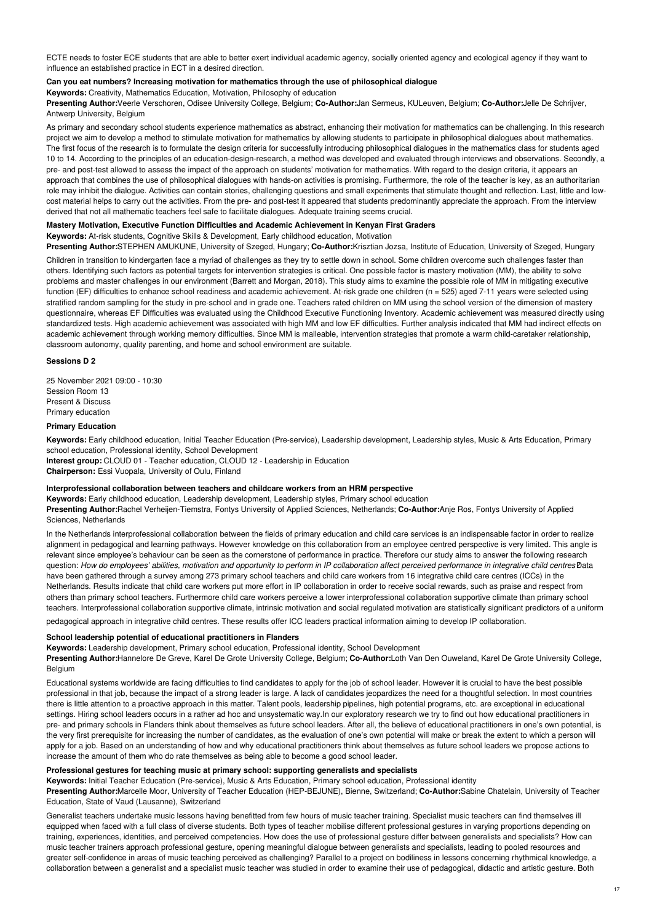ECTE needs to foster ECE students that are able to better exert individual academic agency, socially oriented agency and ecological agency if they want to influence an established practice in ECT in a desired direction.

# **Can you eat numbers? Increasing motivation for mathematics through the use of philosophical dialogue**

**Keywords:** Creativity, Mathematics Education, Motivation, Philosophy of education

**Presenting Author:**Veerle Verschoren, Odisee University College, Belgium; **Co-Author:**Jan Sermeus, KULeuven, Belgium; **Co-Author:**Jelle De Schrijver, Antwerp University, Belgium

As primary and secondary school students experience mathematics as abstract, enhancing their motivation for mathematics can be challenging. In this research project we aim to develop a method to stimulate motivation for mathematics by allowing students to participate in philosophical dialogues about mathematics. The first focus of the research is to formulate the design criteria for successfully introducing philosophical dialogues in the mathematics class for students aged 10 to 14. According to the principles of an education-design-research, a method was developed and evaluated through interviews and observations. Secondly, a pre- and post-test allowed to assess the impact of the approach on students' motivation for mathematics. With regard to the design criteria, it appears an approach that combines the use of philosophical dialogues with hands-on activities is promising. Furthermore, the role of the teacher is key, as an authoritarian role may inhibit the dialogue. Activities can contain stories, challenging questions and small experiments that stimulate thought and reflection. Last, little and lowcost material helps to carry out the activities. From the pre- and post-test it appeared that students predominantly appreciate the approach. From the interview derived that not all mathematic teachers feel safe to facilitate dialogues. Adequate training seems crucial.

# **Mastery Motivation, Executive Function Difficulties and Academic Achievement in Kenyan First Graders**

**Keywords:** At-risk students, Cognitive Skills & Development, Early childhood education, Motivation

**Presenting Author:**STEPHEN AMUKUNE, University of Szeged, Hungary; **Co-Author:**Krisztian Jozsa, Institute of Education, University of Szeged, Hungary

Children in transition to kindergarten face a myriad of challenges as they try to settle down in school. Some children overcome such challenges faster than others. Identifying such factors as potential targets for intervention strategies is critical. One possible factor is mastery motivation (MM), the ability to solve problems and master challenges in our environment (Barrett and Morgan, 2018). This study aims to examine the possible role of MM in mitigating executive function (EF) difficulties to enhance school readiness and academic achievement. At-risk grade one children (n = 525) aged 7-11 years were selected using stratified random sampling for the study in pre-school and in grade one. Teachers rated children on MM using the school version of the dimension of mastery questionnaire, whereas EF Difficulties was evaluated using the Childhood Executive Functioning Inventory. Academic achievement was measured directly using standardized tests. High academic achievement was associated with high MM and low EF difficulties. Further analysis indicated that MM had indirect effects on academic achievement through working memory difficulties. Since MM is malleable, intervention strategies that promote a warm child-caretaker relationship, classroom autonomy, quality parenting, and home and school environment are suitable.

#### **Sessions D 2**

25 November 2021 09:00 - 10:30 Session Room 13 Present & Discuss Primary education

# **Primary Education**

**Keywords:** Early childhood education, Initial Teacher Education (Pre-service), Leadership development, Leadership styles, Music & Arts Education, Primary school education, Professional identity, School Development

**Interest group:** CLOUD 01 - Teacher education, CLOUD 12 - Leadership in Education **Chairperson:** Essi Vuopala, University of Oulu, Finland

## **Interprofessional collaboration between teachers and childcare workers from an HRM perspective**

**Keywords:** Early childhood education, Leadership development, Leadership styles, Primary school education

**Presenting Author:**Rachel Verheijen-Tiemstra, Fontys University of Applied Sciences, Netherlands; **Co-Author:**Anje Ros, Fontys University of Applied Sciences, Netherlands

In the Netherlands interprofessional collaboration between the fields of primary education and child care services is an indispensable factor in order to realize alignment in pedagogical and learning pathways. However knowledge on this collaboration from an employee centred perspective is very limited. This angle is relevant since employee's behaviour can be seen as the cornerstone of performance in practice. Therefore our study aims to answer the following research question: How do employees' abilities, motivation and opportunity to perform in IP collaboration affect perceived performance in integrative child centres Data have been gathered through a survey among 273 primary school teachers and child care workers from 16 integrative child care centres (ICCs) in the Netherlands. Results indicate that child care workers put more effort in IP collaboration in order to receive social rewards, such as praise and respect from others than primary school teachers. Furthermore child care workers perceive a lower interprofessional collaboration supportive climate than primary school teachers. Interprofessional collaboration supportive climate, intrinsic motivation and social regulated motivation are statistically significant predictors of a uniform

pedagogical approach in integrative child centres. These results offer ICC leaders practical information aiming to develop IP collaboration.

# **School leadership potential of educational practitioners in Flanders**

**Keywords:** Leadership development, Primary school education, Professional identity, School Development

**Presenting Author:**Hannelore De Greve, Karel De Grote University College, Belgium; **Co-Author:**Loth Van Den Ouweland, Karel De Grote University College, **Belgium** 

Educational systems worldwide are facing difficulties to find candidates to apply for the job of school leader. However it is crucial to have the best possible professional in that job, because the impact of a strong leader is large. A lack of candidates jeopardizes the need for a thoughtful selection. In most countries there is little attention to a proactive approach in this matter. Talent pools, leadership pipelines, high potential programs, etc. are exceptional in educational settings. Hiring school leaders occurs in a rather ad hoc and unsystematic way.In our exploratory research we try to find out how educational practitioners in pre- and primary schools in Flanders think about themselves as future school leaders. After all, the believe of educational practitioners in one's own potential, is the very first prerequisite for increasing the number of candidates, as the evaluation of one's own potential will make or break the extent to which a person will apply for a job. Based on an understanding of how and why educational practitioners think about themselves as future school leaders we propose actions to increase the amount of them who do rate themselves as being able to become a good school leader.

# **Professional gestures for teaching music at primary school: supporting generalists and specialists**

**Keywords:** Initial Teacher Education (Pre-service), Music & Arts Education, Primary school education, Professional identity

**Presenting Author:**Marcelle Moor, University of Teacher Education (HEP-BEJUNE), Bienne, Switzerland; **Co-Author:**Sabine Chatelain, University of Teacher Education, State of Vaud (Lausanne), Switzerland

Generalist teachers undertake music lessons having benefitted from few hours of music teacher training. Specialist music teachers can find themselves ill equipped when faced with a full class of diverse students. Both types of teacher mobilise different professional gestures in varying proportions depending on training, experiences, identities, and perceived competencies. How does the use of professional gesture differ between generalists and specialists? How can music teacher trainers approach professional gesture, opening meaningful dialogue between generalists and specialists, leading to pooled resources and greater self-confidence in areas of music teaching perceived as challenging? Parallel to a project on bodiliness in lessons concerning rhythmical knowledge, a collaboration between a generalist and a specialist music teacher was studied in order to examine their use of pedagogical, didactic and artistic gesture. Both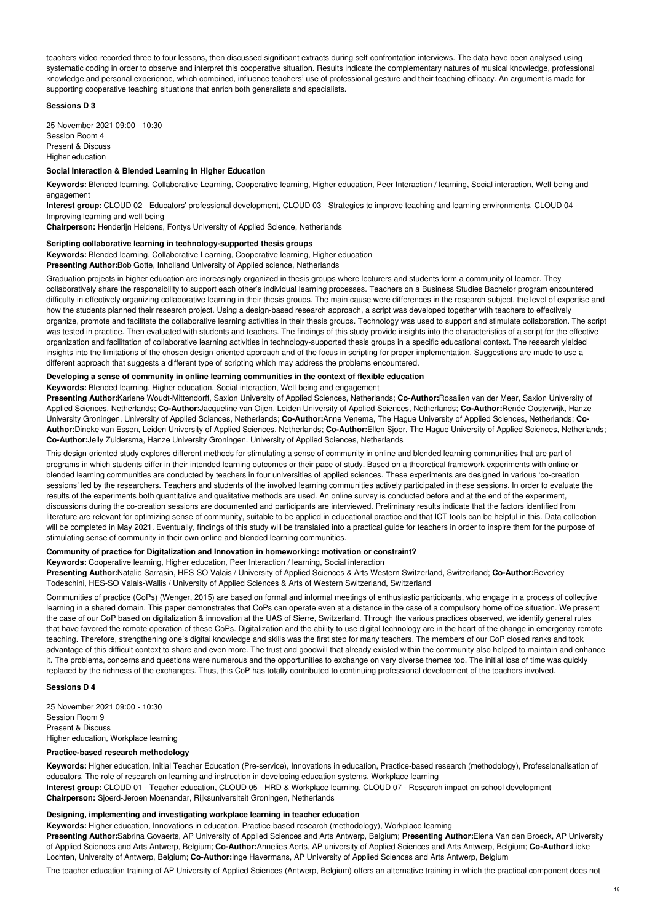teachers video-recorded three to four lessons, then discussed significant extracts during self-confrontation interviews. The data have been analysed using systematic coding in order to observe and interpret this cooperative situation. Results indicate the complementary natures of musical knowledge, professional knowledge and personal experience, which combined, influence teachers' use of professional gesture and their teaching efficacy. An argument is made for supporting cooperative teaching situations that enrich both generalists and specialists.

# **Sessions D 3**

25 November 2021 09:00 - 10:30 Session Room 4 Present & Discuss Higher education

### **Social Interaction & Blended Learning in Higher Education**

**Keywords:** Blended learning, Collaborative Learning, Cooperative learning, Higher education, Peer Interaction / learning, Social interaction, Well-being and engagement

**Interest group:** CLOUD 02 - Educators' professional development, CLOUD 03 - Strategies to improve teaching and learning environments, CLOUD 04 - Improving learning and well-being

**Chairperson:** Henderijn Heldens, Fontys University of Applied Science, Netherlands

#### **Scripting collaborative learning in technology-supported thesis groups**

**Keywords:** Blended learning, Collaborative Learning, Cooperative learning, Higher education **Presenting Author:**Bob Gotte, Inholland University of Applied science, Netherlands

Graduation projects in higher education are increasingly organized in thesis groups where lecturers and students form a community of learner. They collaboratively share the responsibility to support each other's individual learning processes. Teachers on a Business Studies Bachelor program encountered difficulty in effectively organizing collaborative learning in their thesis groups. The main cause were differences in the research subject, the level of expertise and how the students planned their research project. Using a design-based research approach, a script was developed together with teachers to effectively organize, promote and facilitate the collaborative learning activities in their thesis groups. Technology was used to support and stimulate collaboration. The script was tested in practice. Then evaluated with students and teachers. The findings of this study provide insights into the characteristics of a script for the effective organization and facilitation of collaborative learning activities in technology-supported thesis groups in a specific educational context. The research yielded insights into the limitations of the chosen design-oriented approach and of the focus in scripting for proper implementation. Suggestions are made to use a different approach that suggests a different type of scripting which may address the problems encountered.

# **Developing a sense of community in online learning communities in the context of flexible education**

**Keywords:** Blended learning, Higher education, Social interaction, Well-being and engagement

**Presenting Author:**Kariene Woudt-Mittendorff, Saxion University of Applied Sciences, Netherlands; **Co-Author:**Rosalien van der Meer, Saxion University of Applied Sciences, Netherlands; **Co-Author:**Jacqueline van Oijen, Leiden University of Applied Sciences, Netherlands; **Co-Author:**Renée Oosterwijk, Hanze University Groningen. University of Applied Sciences, Netherlands; **Co-Author:**Anne Venema, The Hague University of Applied Sciences, Netherlands; **Co-Author:**Dineke van Essen, Leiden University of Applied Sciences, Netherlands; **Co-Author:**Ellen Sjoer, The Hague University of Applied Sciences, Netherlands; **Co-Author:**Jelly Zuidersma, Hanze University Groningen. University of Applied Sciences, Netherlands

This design-oriented study explores different methods for stimulating a sense of community in online and blended learning communities that are part of programs in which students differ in their intended learning outcomes or their pace of study. Based on a theoretical framework experiments with online or blended learning communities are conducted by teachers in four universities of applied sciences. These experiments are designed in various 'co-creation sessions' led by the researchers. Teachers and students of the involved learning communities actively participated in these sessions. In order to evaluate the results of the experiments both quantitative and qualitative methods are used. An online survey is conducted before and at the end of the experiment, discussions during the co-creation sessions are documented and participants are interviewed. Preliminary results indicate that the factors identified from literature are relevant for optimizing sense of community, suitable to be applied in educational practice and that ICT tools can be helpful in this. Data collection will be completed in May 2021. Eventually, findings of this study will be translated into a practical guide for teachers in order to inspire them for the purpose of stimulating sense of community in their own online and blended learning communities.

# **Community of practice for Digitalization and Innovation in homeworking: motivation or constraint?**

#### **Keywords:** Cooperative learning, Higher education, Peer Interaction / learning, Social interaction

**Presenting Author:**Natalie Sarrasin, HES-SO Valais / University of Applied Sciences & Arts Western Switzerland, Switzerland; **Co-Author:**Beverley Todeschini, HES-SO Valais-Wallis / University of Applied Sciences & Arts of Western Switzerland, Switzerland

Communities of practice (CoPs) (Wenger, 2015) are based on formal and informal meetings of enthusiastic participants, who engage in a process of collective learning in a shared domain. This paper demonstrates that CoPs can operate even at a distance in the case of a compulsory home office situation. We present the case of our CoP based on digitalization & innovation at the UAS of Sierre, Switzerland. Through the various practices observed, we identify general rules that have favored the remote operation of these CoPs. Digitalization and the ability to use digital technology are in the heart of the change in emergency remote teaching. Therefore, strengthening one's digital knowledge and skills was the first step for many teachers. The members of our CoP closed ranks and took advantage of this difficult context to share and even more. The trust and goodwill that already existed within the community also helped to maintain and enhance it. The problems, concerns and questions were numerous and the opportunities to exchange on very diverse themes too. The initial loss of time was quickly replaced by the richness of the exchanges. Thus, this CoP has totally contributed to continuing professional development of the teachers involved.

## **Sessions D 4**

25 November 2021 09:00 - 10:30 Session Room 9 Present & Discuss Higher education, Workplace learning

# **Practice-based research methodology**

**Keywords:** Higher education, Initial Teacher Education (Pre-service), Innovations in education, Practice-based research (methodology), Professionalisation of educators, The role of research on learning and instruction in developing education systems, Workplace learning **Interest group:** CLOUD 01 - Teacher education, CLOUD 05 - HRD & Workplace learning, CLOUD 07 - Research impact on school development **Chairperson:** Sjoerd-Jeroen Moenandar, Rijksuniversiteit Groningen, Netherlands

## **Designing, implementing and investigating workplace learning in teacher education**

**Keywords:** Higher education, Innovations in education, Practice-based research (methodology), Workplace learning

**Presenting Author:**Sabrina Govaerts, AP University of Applied Sciences and Arts Antwerp, Belgium; **Presenting Author:**Elena Van den Broeck, AP University of Applied Sciences and Arts Antwerp, Belgium; **Co-Author:**Annelies Aerts, AP university of Applied Sciences and Arts Antwerp, Belgium; **Co-Author:**Lieke Lochten, University of Antwerp, Belgium; **Co-Author:**Inge Havermans, AP University of Applied Sciences and Arts Antwerp, Belgium

The teacher education training of AP University of Applied Sciences (Antwerp, Belgium) offers an alternative training in which the practical component does not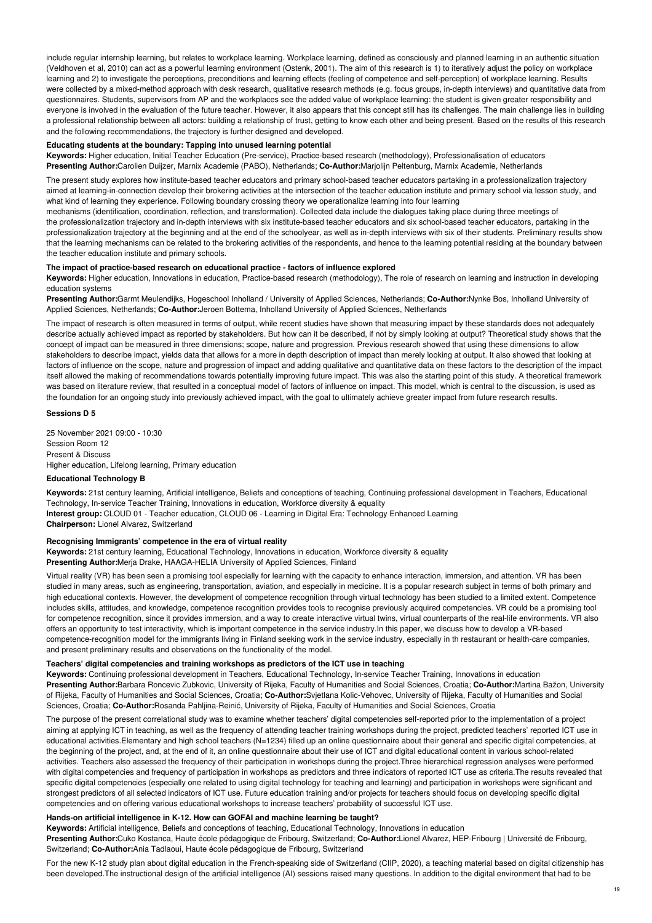include regular internship learning, but relates to workplace learning. Workplace learning, defined as consciously and planned learning in an authentic situation (Veldhoven et al, 2010) can act as a powerful learning environment (Ostenk, 2001). The aim of this research is 1) to iteratively adjust the policy on workplace learning and 2) to investigate the perceptions, preconditions and learning effects (feeling of competence and self-perception) of workplace learning. Results were collected by a mixed-method approach with desk research, qualitative research methods (e.g. focus groups, in-depth interviews) and quantitative data from questionnaires. Students, supervisors from AP and the workplaces see the added value of workplace learning: the student is given greater responsibility and everyone is involved in the evaluation of the future teacher. However, it also appears that this concept still has its challenges. The main challenge lies in building a professional relationship between all actors: building a relationship of trust, getting to know each other and being present. Based on the results of this research and the following recommendations, the trajectory is further designed and developed.

#### **Educating students at the boundary: Tapping into unused learning potential**

**Keywords:** Higher education, Initial Teacher Education (Pre-service), Practice-based research (methodology), Professionalisation of educators **Presenting Author:**Carolien Duijzer, Marnix Academie (PABO), Netherlands; **Co-Author:**Marjolijn Peltenburg, Marnix Academie, Netherlands

The present study explores how institute-based teacher educators and primary school-based teacher educators partaking in a professionalization trajectory aimed at learning-in-connection develop their brokering activities at the intersection of the teacher education institute and primary school via lesson study, and what kind of learning they experience. Following boundary crossing theory we operationalize learning into four learning

mechanisms (identification, coordination, reflection, and transformation). Collected data include the dialogues taking place during three meetings of the professionalization trajectory and in-depth interviews with six institute-based teacher educators and six school-based teacher educators, partaking in the professionalization trajectory at the beginning and at the end of the schoolyear, as well as in-depth interviews with six of their students. Preliminary results show that the learning mechanisms can be related to the brokering activities of the respondents, and hence to the learning potential residing at the boundary between the teacher education institute and primary schools.

## **The impact of practice-based research on educational practice - factors of influence explored**

**Keywords:** Higher education, Innovations in education, Practice-based research (methodology), The role of research on learning and instruction in developing education systems

**Presenting Author:**Garmt Meulendijks, Hogeschool Inholland / University of Applied Sciences, Netherlands; **Co-Author:**Nynke Bos, Inholland University of Applied Sciences, Netherlands; **Co-Author:**Jeroen Bottema, Inholland University of Applied Sciences, Netherlands

The impact of research is often measured in terms of output, while recent studies have shown that measuring impact by these standards does not adequately describe actually achieved impact as reported by stakeholders. But how can it be described, if not by simply looking at output? Theoretical study shows that the concept of impact can be measured in three dimensions; scope, nature and progression. Previous research showed that using these dimensions to allow stakeholders to describe impact, yields data that allows for a more in depth description of impact than merely looking at output. It also showed that looking at factors of influence on the scope, nature and progression of impact and adding qualitative and quantitative data on these factors to the description of the impact itself allowed the making of recommendations towards potentially improving future impact. This was also the starting point of this study. A theoretical framework was based on literature review, that resulted in a conceptual model of factors of influence on impact. This model, which is central to the discussion, is used as the foundation for an ongoing study into previously achieved impact, with the goal to ultimately achieve greater impact from future research results.

# **Sessions D 5**

25 November 2021 09:00 - 10:30 Session Room 12 Present & Discuss Higher education, Lifelong learning, Primary education

# **Educational Technology B**

**Keywords:** 21st century learning, Artificial intelligence, Beliefs and conceptions of teaching, Continuing professional development in Teachers, Educational Technology, In-service Teacher Training, Innovations in education, Workforce diversity & equality **Interest group:** CLOUD 01 - Teacher education, CLOUD 06 - Learning in Digital Era: Technology Enhanced Learning **Chairperson:** Lionel Alvarez, Switzerland

# **Recognising Immigrants' competence in the era of virtual reality**

**Keywords:** 21st century learning, Educational Technology, Innovations in education, Workforce diversity & equality **Presenting Author:**Merja Drake, HAAGA-HELIA University of Applied Sciences, Finland

Virtual reality (VR) has been seen a promising tool especially for learning with the capacity to enhance interaction, immersion, and attention. VR has been studied in many areas, such as engineering, transportation, aviation, and especially in medicine. It is a popular research subject in terms of both primary and high educational contexts. However, the development of competence recognition through virtual technology has been studied to a limited extent. Competence includes skills, attitudes, and knowledge, competence recognition provides tools to recognise previously acquired competencies. VR could be a promising tool for competence recognition, since it provides immersion, and a way to create interactive virtual twins, virtual counterparts of the real-life environments. VR also offers an opportunity to test interactivity, which is important competence in the service industry.In this paper, we discuss how to develop a VR-based competence-recognition model for the immigrants living in Finland seeking work in the service industry, especially in th restaurant or health-care companies, and present preliminary results and observations on the functionality of the model.

# **Teachers' digital competencies and training workshops as predictors of the ICT use in teaching**

**Keywords:** Continuing professional development in Teachers, Educational Technology, In-service Teacher Training, Innovations in education **Presenting Author:**Barbara Roncevic Zubkovic, University of Rijeka, Faculty of Humanities and Social Sciences, Croatia; **Co-Author:**Martina Bažon, University of Rijeka, Faculty of Humanities and Social Sciences, Croatia; **Co-Author:**Svjetlana Kolic-Vehovec, University of Rijeka, Faculty of Humanities and Social Sciences, Croatia; **Co-Author:**Rosanda Pahljina-Reinić, University of Rijeka, Faculty of Humanities and Social Sciences, Croatia

The purpose of the present correlational study was to examine whether teachers' digital competencies self-reported prior to the implementation of a project aiming at applying ICT in teaching, as well as the frequency of attending teacher training workshops during the project, predicted teachers' reported ICT use in educational activities.Elementary and high school teachers (N=1234) filled up an online questionnaire about their general and specific digital competencies, at the beginning of the project, and, at the end of it, an online questionnaire about their use of ICT and digital educational content in various school-related activities. Teachers also assessed the frequency of their participation in workshops during the project.Three hierarchical regression analyses were performed with digital competencies and frequency of participation in workshops as predictors and three indicators of reported ICT use as criteria.The results revealed that specific digital competencies (especially one related to using digital technology for teaching and learning) and participation in workshops were significant and strongest predictors of all selected indicators of ICT use. Future education training and/or projects for teachers should focus on developing specific digital competencies and on offering various educational workshops to increase teachers' probability of successful ICT use.

### **Hands-on artificial intelligence in K-12. How can GOFAI and machine learning be taught?**

**Keywords:** Artificial intelligence, Beliefs and conceptions of teaching, Educational Technology, Innovations in education

**Presenting Author:**Cuko Kostanca, Haute école pédagogique de Fribourg, Switzerland; **Co-Author:**Lionel Alvarez, HEP-Fribourg | Université de Fribourg, Switzerland; **Co-Author:**Ania Tadlaoui, Haute école pédagogique de Fribourg, Switzerland

For the new K-12 study plan about digital education in the French-speaking side of Switzerland (CIIP, 2020), a teaching material based on digital citizenship has been developed.The instructional design of the artificial intelligence (AI) sessions raised many questions. In addition to the digital environment that had to be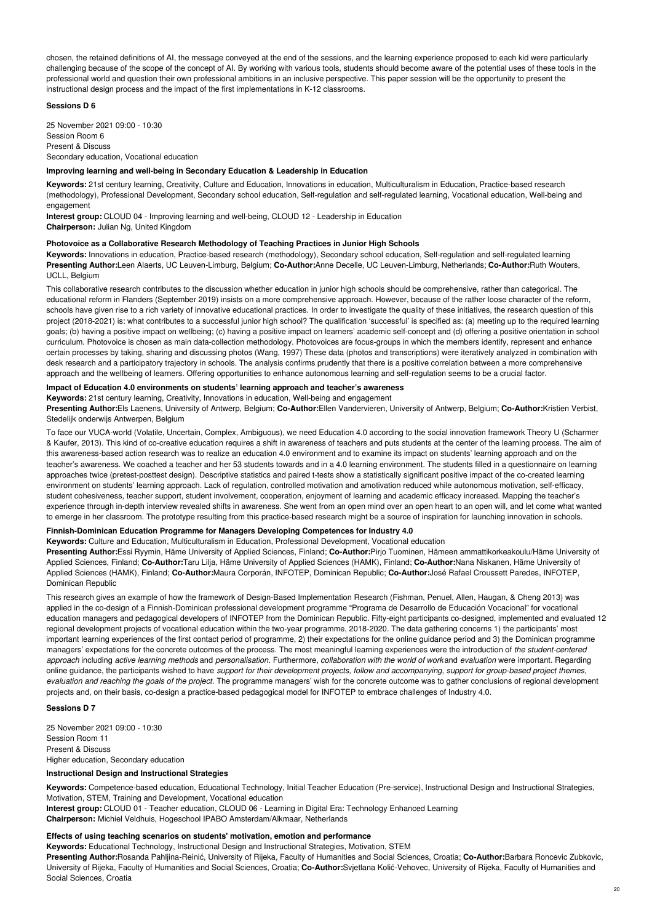chosen, the retained definitions of AI, the message conveyed at the end of the sessions, and the learning experience proposed to each kid were particularly challenging because of the scope of the concept of AI. By working with various tools, students should become aware of the potential uses of these tools in the professional world and question their own professional ambitions in an inclusive perspective. This paper session will be the opportunity to present the instructional design process and the impact of the first implementations in K-12 classrooms.

## **Sessions D 6**

25 November 2021 09:00 - 10:30 Session Room 6 Present & Discuss Secondary education, Vocational education

## **Improving learning and well-being in Secondary Education & Leadership in Education**

**Keywords:** 21st century learning, Creativity, Culture and Education, Innovations in education, Multiculturalism in Education, Practice-based research (methodology), Professional Development, Secondary school education, Self-regulation and self-regulated learning, Vocational education, Well-being and engagement

**Interest group:** CLOUD 04 - Improving learning and well-being, CLOUD 12 - Leadership in Education **Chairperson:** Julian Ng, United Kingdom

### **Photovoice as a Collaborative Research Methodology of Teaching Practices in Junior High Schools**

**Keywords:** Innovations in education, Practice-based research (methodology), Secondary school education, Self-regulation and self-regulated learning **Presenting Author:**Leen Alaerts, UC Leuven-Limburg, Belgium; **Co-Author:**Anne Decelle, UC Leuven-Limburg, Netherlands; **Co-Author:**Ruth Wouters, UCLL, Belgium

This collaborative research contributes to the discussion whether education in junior high schools should be comprehensive, rather than categorical. The educational reform in Flanders (September 2019) insists on a more comprehensive approach. However, because of the rather loose character of the reform, schools have given rise to a rich variety of innovative educational practices. In order to investigate the quality of these initiatives, the research question of this project (2018-2021) is: what contributes to a successful junior high school? The qualification 'successful' is specified as: (a) meeting up to the required learning goals; (b) having a positive impact on wellbeing; (c) having a positive impact on learners' academic self-concept and (d) offering a positive orientation in school curriculum. Photovoice is chosen as main data-collection methodology. Photovoices are focus-groups in which the members identify, represent and enhance certain processes by taking, sharing and discussing photos (Wang, 1997) These data (photos and transcriptions) were iteratively analyzed in combination with desk research and a participatory trajectory in schools. The analysis confirms prudently that there is a positive correlation between a more comprehensive approach and the wellbeing of learners. Offering opportunities to enhance autonomous learning and self-regulation seems to be a crucial factor.

# **Impact of Education 4.0 environments on students' learning approach and teacher's awareness**

**Keywords:** 21st century learning, Creativity, Innovations in education, Well-being and engagement **Presenting Author:**Els Laenens, University of Antwerp, Belgium; **Co-Author:**Ellen Vandervieren, University of Antwerp, Belgium; **Co-Author:**Kristien Verbist,

#### Stedelijk onderwijs Antwerpen, Belgium

To face our VUCA-world (Volatile, Uncertain, Complex, Ambiguous), we need Education 4.0 according to the social innovation framework Theory U (Scharmer & Kaufer, 2013). This kind of co-creative education requires a shift in awareness of teachers and puts students at the center of the learning process. The aim of this awareness-based action research was to realize an education 4.0 environment and to examine its impact on students' learning approach and on the teacher's awareness. We coached a teacher and her 53 students towards and in a 4.0 learning environment. The students filled in a questionnaire on learning approaches twice (pretest-posttest design). Descriptive statistics and paired t-tests show a statistically significant positive impact of the co-created learning environment on students' learning approach. Lack of regulation, controlled motivation and amotivation reduced while autonomous motivation, self-efficacy, student cohesiveness, teacher support, student involvement, cooperation, enjoyment of learning and academic efficacy increased. Mapping the teacher's experience through in-depth interview revealed shifts in awareness. She went from an open mind over an open heart to an open will, and let come what wanted to emerge in her classroom. The prototype resulting from this practice-based research might be a source of inspiration for launching innovation in schools.

# **Finnish-Dominican Education Programme for Managers Developing Competences for Industry 4.0**

**Keywords:** Culture and Education, Multiculturalism in Education, Professional Development, Vocational education

**Presenting Author:**Essi Ryymin, Häme University of Applied Sciences, Finland; **Co-Author:**Pirjo Tuominen, Hämeen ammattikorkeakoulu/Häme University of Applied Sciences, Finland; **Co-Author:**Taru Lilja, Häme University of Applied Sciences (HAMK), Finland; **Co-Author:**Nana Niskanen, Häme University of Applied Sciences (HAMK), Finland; **Co-Author:**Maura Corporán, INFOTEP, Dominican Republic; **Co-Author:**José Rafael Croussett Paredes, INFOTEP, Dominican Republic

This research gives an example of how the framework of Design-Based Implementation Research (Fishman, Penuel, Allen, Haugan, & Cheng 2013) was applied in the co-design of a Finnish-Dominican professional development programme "Programa de Desarrollo de Educación Vocacional" for vocational education managers and pedagogical developers of INFOTEP from the Dominican Republic. Fifty-eight participants co-designed, implemented and evaluated 12 regional development projects of vocational education within the two-year programme, 2018-2020. The data gathering concerns 1) the participants' most important learning experiences of the first contact period of programme, 2) their expectations for the online guidance period and 3) the Dominican programme managers' expectations for the concrete outcomes of the process. The most meaningful learning experiences were the introduction of *the student-centered* approach including active learning methods and personalisation. Furthermore, collaboration with the world of workand evaluation were important. Regarding online guidance, the participants wished to have support for their development projects, follow and accompanying, support for group-based project themes, *evaluation and reaching the goals of the project.* The programme managers' wish for the concrete outcome was to gather conclusions of regional development projects and, on their basis, co-design a practice-based pedagogical model for INFOTEP to embrace challenges of Industry 4.0.

#### **Sessions D 7**

25 November 2021 09:00 - 10:30 Session Room 11 Present & Discuss Higher education, Secondary education

### **Instructional Design and Instructional Strategies**

**Keywords:** Competence-based education, Educational Technology, Initial Teacher Education (Pre-service), Instructional Design and Instructional Strategies, Motivation, STEM, Training and Development, Vocational education

**Interest group:** CLOUD 01 - Teacher education, CLOUD 06 - Learning in Digital Era: Technology Enhanced Learning **Chairperson:** Michiel Veldhuis, Hogeschool IPABO Amsterdam/Alkmaar, Netherlands

## **Effects of using teaching scenarios on students' motivation, emotion and performance**

**Keywords:** Educational Technology, Instructional Design and Instructional Strategies, Motivation, STEM

**Presenting Author:**Rosanda Pahljina-Reinić, University of Rijeka, Faculty of Humanities and Social Sciences, Croatia; **Co-Author:**Barbara Roncevic Zubkovic, University of Rijeka, Faculty of Humanities and Social Sciences, Croatia; **Co-Author:**Svjetlana Kolić-Vehovec, University of Rijeka, Faculty of Humanities and Social Sciences, Croatia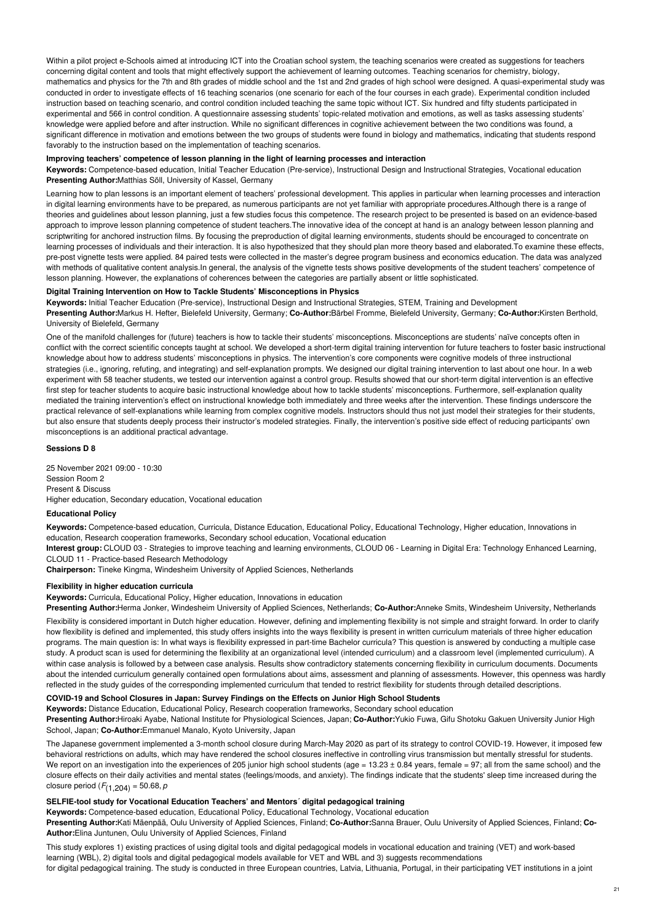Within a pilot project e-Schools aimed at introducing ICT into the Croatian school system, the teaching scenarios were created as suggestions for teachers concerning digital content and tools that might effectively support the achievement of learning outcomes. Teaching scenarios for chemistry, biology, mathematics and physics for the 7th and 8th grades of middle school and the 1st and 2nd grades of high school were designed. A quasi-experimental study was conducted in order to investigate effects of 16 teaching scenarios (one scenario for each of the four courses in each grade). Experimental condition included instruction based on teaching scenario, and control condition included teaching the same topic without ICT. Six hundred and fifty students participated in experimental and 566 in control condition. A questionnaire assessing students' topic-related motivation and emotions, as well as tasks assessing students' knowledge were applied before and after instruction. While no significant differences in cognitive achievement between the two conditions was found, a significant difference in motivation and emotions between the two groups of students were found in biology and mathematics, indicating that students respond favorably to the instruction based on the implementation of teaching scenarios.

#### **Improving teachers' competence of lesson planning in the light of learning processes and interaction**

**Keywords:** Competence-based education, Initial Teacher Education (Pre-service), Instructional Design and Instructional Strategies, Vocational education **Presenting Author:**Matthias Söll, University of Kassel, Germany

Learning how to plan lessons is an important element of teachers' professional development. This applies in particular when learning processes and interaction in digital learning environments have to be prepared, as numerous participants are not yet familiar with appropriate procedures.Although there is a range of theories and guidelines about lesson planning, just a few studies focus this competence. The research project to be presented is based on an evidence-based approach to improve lesson planning competence of student teachers.The innovative idea of the concept at hand is an analogy between lesson planning and scriptwriting for anchored instruction films. By focusing the preproduction of digital learning environments, students should be encouraged to concentrate on learning processes of individuals and their interaction. It is also hypothesized that they should plan more theory based and elaborated. To examine these effects, pre-post vignette tests were applied. 84 paired tests were collected in the master's degree program business and economics education. The data was analyzed with methods of qualitative content analysis.In general, the analysis of the vignette tests shows positive developments of the student teachers' competence of lesson planning. However, the explanations of coherences between the categories are partially absent or little sophisticated.

### **Digital Training Intervention on How to Tackle Students' Misconceptions in Physics**

**Keywords:** Initial Teacher Education (Pre-service), Instructional Design and Instructional Strategies, STEM, Training and Development **Presenting Author:**Markus H. Hefter, Bielefeld University, Germany; **Co-Author:**Bärbel Fromme, Bielefeld University, Germany; **Co-Author:**Kirsten Berthold, University of Bielefeld, Germany

One of the manifold challenges for (future) teachers is how to tackle their students' misconceptions. Misconceptions are students' naïve concepts often in conflict with the correct scientific concepts taught at school. We developed a short-term digital training intervention for future teachers to foster basic instructional knowledge about how to address students' misconceptions in physics. The intervention's core components were cognitive models of three instructional strategies (i.e., ignoring, refuting, and integrating) and self-explanation prompts. We designed our digital training intervention to last about one hour. In a web experiment with 58 teacher students, we tested our intervention against a control group. Results showed that our short-term digital intervention is an effective first step for teacher students to acquire basic instructional knowledge about how to tackle students' misconceptions. Furthermore, self-explanation quality mediated the training intervention's effect on instructional knowledge both immediately and three weeks after the intervention. These findings underscore the practical relevance of self-explanations while learning from complex cognitive models. Instructors should thus not just model their strategies for their students, but also ensure that students deeply process their instructor's modeled strategies. Finally, the intervention's positive side effect of reducing participants' own misconceptions is an additional practical advantage.

#### **Sessions D 8**

25 November 2021 09:00 - 10:30 Session Room 2 Present & Discuss Higher education, Secondary education, Vocational education

# **Educational Policy**

**Keywords:** Competence-based education, Curricula, Distance Education, Educational Policy, Educational Technology, Higher education, Innovations in education, Research cooperation frameworks, Secondary school education, Vocational education

**Interest group:** CLOUD 03 - Strategies to improve teaching and learning environments, CLOUD 06 - Learning in Digital Era: Technology Enhanced Learning, CLOUD 11 - Practice-based Research Methodology

**Chairperson:** Tineke Kingma, Windesheim University of Applied Sciences, Netherlands

#### **Flexibility in higher education curricula**

**Keywords:** Curricula, Educational Policy, Higher education, Innovations in education

**Presenting Author:**Herma Jonker, Windesheim University of Applied Sciences, Netherlands; **Co-Author:**Anneke Smits, Windesheim University, Netherlands

Flexibility is considered important in Dutch higher education. However, defining and implementing flexibility is not simple and straight forward. In order to clarify how flexibility is defined and implemented, this study offers insights into the ways flexibility is present in written curriculum materials of three higher education programs. The main question is: In what ways is flexibility expressed in part-time Bachelor curricula? This question is answered by conducting a multiple case study. A product scan is used for determining the flexibility at an organizational level (intended curriculum) and a classroom level (implemented curriculum). A within case analysis is followed by a between case analysis. Results show contradictory statements concerning flexibility in curriculum documents. Documents about the intended curriculum generally contained open formulations about aims, assessment and planning of assessments. However, this openness was hardly reflected in the study guides of the corresponding implemented curriculum that tended to restrict flexibility for students through detailed descriptions.

#### **COVID-19 and School Closures in Japan: Survey Findings on the Effects on Junior High School Students**

**Keywords:** Distance Education, Educational Policy, Research cooperation frameworks, Secondary school education

**Presenting Author:**Hiroaki Ayabe, National Institute for Physiological Sciences, Japan; **Co-Author:**Yukio Fuwa, Gifu Shotoku Gakuen University Junior High School, Japan; **Co-Author:**Emmanuel Manalo, Kyoto University, Japan

The Japanese government implemented a 3-month school closure during March-May 2020 as part of its strategy to control COVID-19. However, it imposed few behavioral restrictions on adults, which may have rendered the school closures ineffective in controlling virus transmission but mentally stressful for students. We report on an investigation into the experiences of 205 junior high school students (age =  $13.23 \pm 0.84$  years, female =  $97$ ; all from the same school) and the closure effects on their daily activities and mental states (feelings/moods, and anxiety). The findings indicate that the students' sleep time increased during the closure period (*F*(1,204) = 50.68, *p*

# **SELFIE-tool study for Vocational Education Teachers' and Mentors´ digital pedagogical training**

**Keywords:** Competence-based education, Educational Policy, Educational Technology, Vocational education

**Presenting Author:**Kati Mäenpää, Oulu University of Applied Sciences, Finland; **Co-Author:**Sanna Brauer, Oulu University of Applied Sciences, Finland; **Co-Author:**Elina Juntunen, Oulu University of Applied Sciences, Finland

This study explores 1) existing practices of using digital tools and digital pedagogical models in vocational education and training (VET) and work-based learning (WBL), 2) digital tools and digital pedagogical models available for VET and WBL and 3) suggests recommendations for digital pedagogical training. The study is conducted in three European countries, Latvia, Lithuania, Portugal, in their participating VET institutions in a joint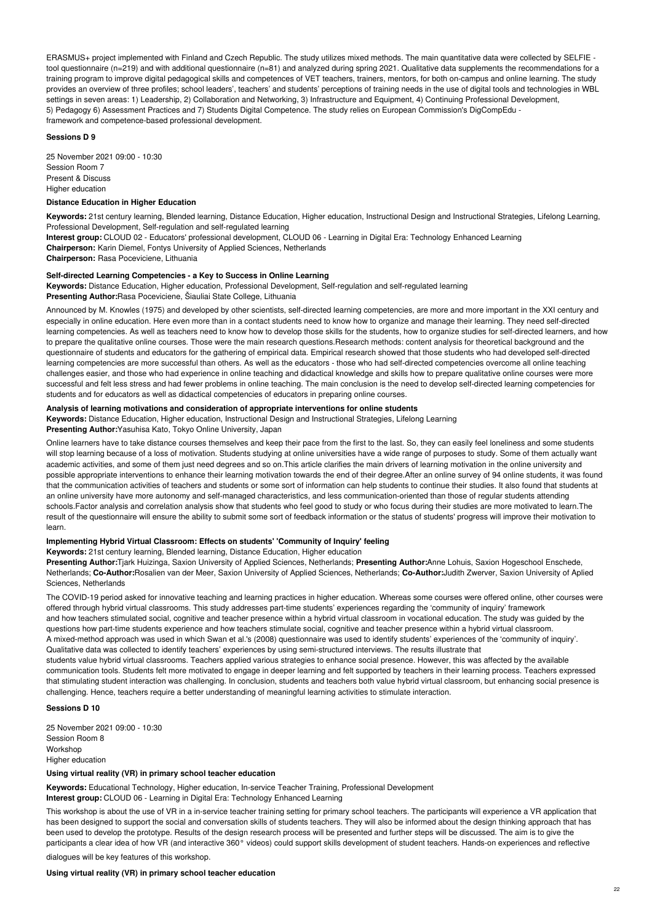ERASMUS+ project implemented with Finland and Czech Republic. The study utilizes mixed methods. The main quantitative data were collected by SELFIE tool questionnaire (n=219) and with additional questionnaire (n=81) and analyzed during spring 2021. Qualitative data supplements the recommendations for a training program to improve digital pedagogical skills and competences of VET teachers, trainers, mentors, for both on-campus and online learning. The study provides an overview of three profiles; school leaders', teachers' and students' perceptions of training needs in the use of digital tools and technologies in WBL settings in seven areas: 1) Leadership, 2) Collaboration and Networking, 3) Infrastructure and Equipment, 4) Continuing Professional Development, 5) Pedagogy 6) Assessment Practices and 7) Students Digital Competence. The study relies on European Commission's DigCompEdu framework and competence-based professional development.

#### **Sessions D 9**

25 November 2021 09:00 - 10:30 Session Room 7 Present & Discuss Higher education

# **Distance Education in Higher Education**

**Keywords:** 21st century learning, Blended learning, Distance Education, Higher education, Instructional Design and Instructional Strategies, Lifelong Learning, Professional Development, Self-regulation and self-regulated learning

**Interest group:** CLOUD 02 - Educators' professional development, CLOUD 06 - Learning in Digital Era: Technology Enhanced Learning **Chairperson:** Karin Diemel, Fontys University of Applied Sciences, Netherlands **Chairperson:** Rasa Poceviciene, Lithuania

#### **Self-directed Learning Competencies - a Key to Success in Online Learning**

**Keywords:** Distance Education, Higher education, Professional Development, Self-regulation and self-regulated learning **Presenting Author:**Rasa Poceviciene, Šiauliai State College, Lithuania

Announced by M. Knowles (1975) and developed by other scientists, self-directed learning competencies, are more and more important in the XXI century and especially in online education. Here even more than in a contact students need to know how to organize and manage their learning. They need self-directed learning competencies. As well as teachers need to know how to develop those skills for the students, how to organize studies for self-directed learners, and how to prepare the qualitative online courses. Those were the main research questions.Research methods: content analysis for theoretical background and the questionnaire of students and educators for the gathering of empirical data. Empirical research showed that those students who had developed self-directed learning competencies are more successful than others. As well as the educators - those who had self-directed competencies overcome all online teaching challenges easier, and those who had experience in online teaching and didactical knowledge and skills how to prepare qualitative online courses were more successful and felt less stress and had fewer problems in online teaching. The main conclusion is the need to develop self-directed learning competencies for students and for educators as well as didactical competencies of educators in preparing online courses.

### **Analysis of learning motivations and consideration of appropriate interventions for online students**

**Keywords:** Distance Education, Higher education, Instructional Design and Instructional Strategies, Lifelong Learning **Presenting Author:**Yasuhisa Kato, Tokyo Online University, Japan

Online learners have to take distance courses themselves and keep their pace from the first to the last. So, they can easily feel loneliness and some students will stop learning because of a loss of motivation. Students studying at online universities have a wide range of purposes to study. Some of them actually want academic activities, and some of them just need degrees and so on. This article clarifies the main drivers of learning motivation in the online university and possible appropriate interventions to enhance their learning motivation towards the end of their degree.After an online survey of 94 online students, it was found that the communication activities of teachers and students or some sort of information can help students to continue their studies. It also found that students at an online university have more autonomy and self-managed characteristics, and less communication-oriented than those of regular students attending schools.Factor analysis and correlation analysis show that students who feel good to study or who focus during their studies are more motivated to learn.The result of the questionnaire will ensure the ability to submit some sort of feedback information or the status of students' progress will improve their motivation to learn.

## **Implementing Hybrid Virtual Classroom: Effects on students' 'Community of Inquiry' feeling**

#### **Keywords:** 21st century learning, Blended learning, Distance Education, Higher education

**Presenting Author:**Tjark Huizinga, Saxion University of Applied Sciences, Netherlands; **Presenting Author:**Anne Lohuis, Saxion Hogeschool Enschede, Netherlands; **Co-Author:**Rosalien van der Meer, Saxion University of Applied Sciences, Netherlands; **Co-Author:**Judith Zwerver, Saxion University of Aplied Sciences, Netherlands

The COVID-19 period asked for innovative teaching and learning practices in higher education. Whereas some courses were offered online, other courses were offered through hybrid virtual classrooms. This study addresses part-time students' experiences regarding the 'community of inquiry' framework and how teachers stimulated social, cognitive and teacher presence within a hybrid virtual classroom in vocational education. The study was guided by the questions how part-time students experience and how teachers stimulate social, cognitive and teacher presence within a hybrid virtual classroom. A mixed-method approach was used in which Swan et al.'s (2008) questionnaire was used to identify students' experiences of the 'community of inquiry'. Qualitative data was collected to identify teachers' experiences by using semi-structured interviews. The results illustrate that students value hybrid virtual classrooms. Teachers applied various strategies to enhance social presence. However, this was affected by the available communication tools. Students felt more motivated to engage in deeper learning and felt supported by teachers in their learning process. Teachers expressed that stimulating student interaction was challenging. In conclusion, students and teachers both value hybrid virtual classroom, but enhancing social presence is challenging. Hence, teachers require a better understanding of meaningful learning activities to stimulate interaction.

#### **Sessions D 10**

25 November 2021 09:00 - 10:30 Session Room 8 Workshop Higher education

# **Using virtual reality (VR) in primary school teacher education**

**Keywords:** Educational Technology, Higher education, In-service Teacher Training, Professional Development **Interest group:** CLOUD 06 - Learning in Digital Era: Technology Enhanced Learning

This workshop is about the use of VR in a in-service teacher training setting for primary school teachers. The participants will experience a VR application that has been designed to support the social and conversation skills of students teachers. They will also be informed about the design thinking approach that has been used to develop the prototype. Results of the design research process will be presented and further steps will be discussed. The aim is to give the participants a clear idea of how VR (and interactive 360° videos) could support skills development of student teachers. Hands-on experiences and reflective

dialogues will be key features of this workshop.

## **Using virtual reality (VR) in primary school teacher education**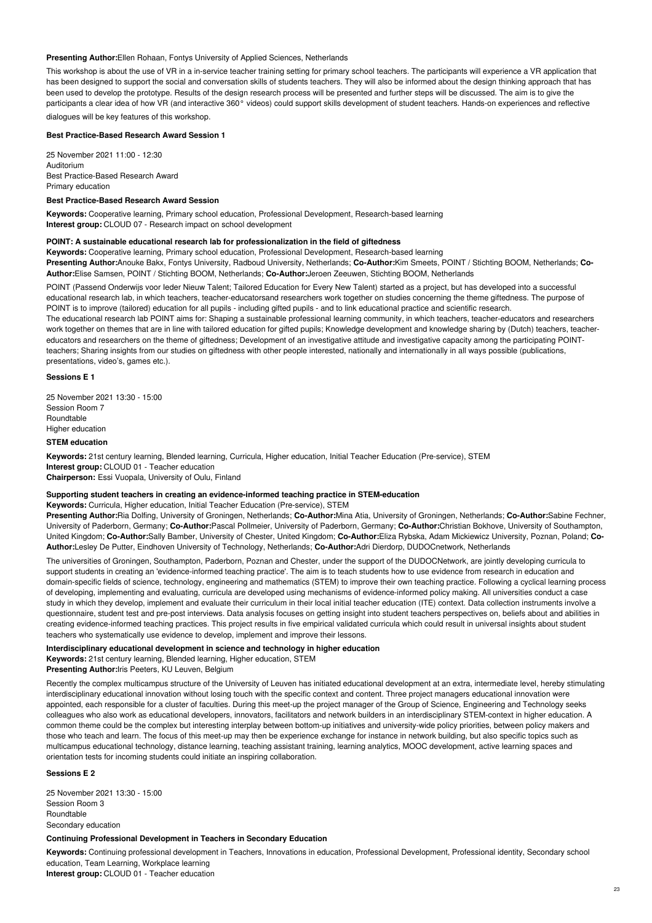## **Presenting Author:**Ellen Rohaan, Fontys University of Applied Sciences, Netherlands

This workshop is about the use of VR in a in-service teacher training setting for primary school teachers. The participants will experience a VR application that has been designed to support the social and conversation skills of students teachers. They will also be informed about the design thinking approach that has been used to develop the prototype. Results of the design research process will be presented and further steps will be discussed. The aim is to give the participants a clear idea of how VR (and interactive 360° videos) could support skills development of student teachers. Hands-on experiences and reflective

dialogues will be key features of this workshop.

## **Best Practice-Based Research Award Session 1**

25 November 2021 11:00 - 12:30 Auditorium Best Practice-Based Research Award Primary education

# **Best Practice-Based Research Award Session**

**Keywords:** Cooperative learning, Primary school education, Professional Development, Research-based learning **Interest group:** CLOUD 07 - Research impact on school development

#### **POINT: A sustainable educational research lab for professionalization in the field of giftedness**

**Keywords:** Cooperative learning, Primary school education, Professional Development, Research-based learning **Presenting Author:**Anouke Bakx, Fontys University, Radboud University, Netherlands; **Co-Author:**Kim Smeets, POINT / Stichting BOOM, Netherlands; **Co-Author:**Elise Samsen, POINT / Stichting BOOM, Netherlands; **Co-Author:**Jeroen Zeeuwen, Stichting BOOM, Netherlands

POINT (Passend Onderwijs voor Ieder Nieuw Talent; Tailored Education for Every New Talent) started as a project, but has developed into a successful educational research lab, in which teachers, teacher-educatorsand researchers work together on studies concerning the theme giftedness. The purpose of POINT is to improve (tailored) education for all pupils - including gifted pupils - and to link educational practice and scientific research.

The educational research lab POINT aims for: Shaping a sustainable professional learning community, in which teachers, teacher-educators and researchers work together on themes that are in line with tailored education for gifted pupils; Knowledge development and knowledge sharing by (Dutch) teachers, teachereducators and researchers on the theme of giftedness; Development of an investigative attitude and investigative capacity among the participating POINTteachers; Sharing insights from our studies on giftedness with other people interested, nationally and internationally in all ways possible (publications, presentations, video's, games etc.).

## **Sessions E 1**

25 November 2021 13:30 - 15:00 Session Room 7 Roundtable Higher education

# **STEM education**

**Keywords:** 21st century learning, Blended learning, Curricula, Higher education, Initial Teacher Education (Pre-service), STEM **Interest group:** CLOUD 01 - Teacher education **Chairperson:** Essi Vuopala, University of Oulu, Finland

#### **Supporting student teachers in creating an evidence-informed teaching practice in STEM-education**

**Keywords:** Curricula, Higher education, Initial Teacher Education (Pre-service), STEM

**Presenting Author:**Ria Dolfing, University of Groningen, Netherlands; **Co-Author:**Mina Atia, University of Groningen, Netherlands; **Co-Author:**Sabine Fechner, University of Paderborn, Germany; **Co-Author:**Pascal Pollmeier, University of Paderborn, Germany; **Co-Author:**Christian Bokhove, University of Southampton, United Kingdom; **Co-Author:**Sally Bamber, University of Chester, United Kingdom; **Co-Author:**Eliza Rybska, Adam Mickiewicz University, Poznan, Poland; **Co-Author:**Lesley De Putter, Eindhoven University of Technology, Netherlands; **Co-Author:**Adri Dierdorp, DUDOCnetwork, Netherlands

The universities of Groningen, Southampton, Paderborn, Poznan and Chester, under the support of the DUDOCNetwork, are jointly developing curricula to support students in creating an 'evidence-informed teaching practice'. The aim is to teach students how to use evidence from research in education and domain-specific fields of science, technology, engineering and mathematics (STEM) to improve their own teaching practice. Following a cyclical learning process of developing, implementing and evaluating, curricula are developed using mechanisms of evidence-informed policy making. All universities conduct a case study in which they develop, implement and evaluate their curriculum in their local initial teacher education (ITE) context. Data collection instruments involve a questionnaire, student test and pre-post interviews. Data analysis focuses on getting insight into student teachers perspectives on, beliefs about and abilities in creating evidence-informed teaching practices. This project results in five empirical validated curricula which could result in universal insights about student teachers who systematically use evidence to develop, implement and improve their lessons.

### **Interdisciplinary educational development in science and technology in higher education**

**Keywords:** 21st century learning, Blended learning, Higher education, STEM

**Presenting Author:**Iris Peeters, KU Leuven, Belgium

Recently the complex multicampus structure of the University of Leuven has initiated educational development at an extra, intermediate level, hereby stimulating interdisciplinary educational innovation without losing touch with the specific context and content. Three project managers educational innovation were appointed, each responsible for a cluster of faculties. During this meet-up the project manager of the Group of Science, Engineering and Technology seeks colleagues who also work as educational developers, innovators, facilitators and network builders in an interdisciplinary STEM-context in higher education. A common theme could be the complex but interesting interplay between bottom-up initiatives and university-wide policy priorities, between policy makers and those who teach and learn. The focus of this meet-up may then be experience exchange for instance in network building, but also specific topics such as multicampus educational technology, distance learning, teaching assistant training, learning analytics, MOOC development, active learning spaces and orientation tests for incoming students could initiate an inspiring collaboration.

## **Sessions E 2**

25 November 2021 13:30 - 15:00 Session Room 3 **Roundtable** Secondary education

#### **Continuing Professional Development in Teachers in Secondary Education**

**Keywords:** Continuing professional development in Teachers, Innovations in education, Professional Development, Professional identity, Secondary school education, Team Learning, Workplace learning

**Interest group:** CLOUD 01 - Teacher education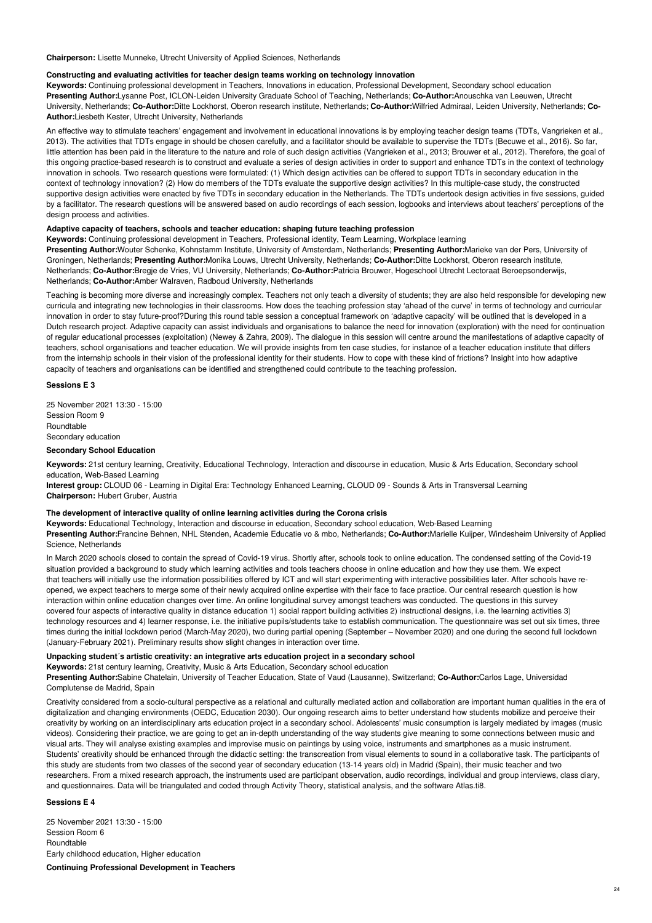**Chairperson:** Lisette Munneke, Utrecht University of Applied Sciences, Netherlands

#### **Constructing and evaluating activities for teacher design teams working on technology innovation**

**Keywords:** Continuing professional development in Teachers, Innovations in education, Professional Development, Secondary school education **Presenting Author:**Lysanne Post, ICLON-Leiden University Graduate School of Teaching, Netherlands; **Co-Author:**Anouschka van Leeuwen, Utrecht University, Netherlands; **Co-Author:**Ditte Lockhorst, Oberon research institute, Netherlands; **Co-Author:**Wilfried Admiraal, Leiden University, Netherlands; **Co-Author:**Liesbeth Kester, Utrecht University, Netherlands

An effective way to stimulate teachers' engagement and involvement in educational innovations is by employing teacher design teams (TDTs, Vangrieken et al., 2013). The activities that TDTs engage in should be chosen carefully, and a facilitator should be available to supervise the TDTs (Becuwe et al., 2016). So far, little attention has been paid in the literature to the nature and role of such design activities (Vangrieken et al., 2013; Brouwer et al., 2012). Therefore, the goal of this ongoing practice-based research is to construct and evaluate a series of design activities in order to support and enhance TDTs in the context of technology innovation in schools. Two research questions were formulated: (1) Which design activities can be offered to support TDTs in secondary education in the context of technology innovation? (2) How do members of the TDTs evaluate the supportive design activities? In this multiple-case study, the constructed supportive design activities were enacted by five TDTs in secondary education in the Netherlands. The TDTs undertook design activities in five sessions, guided by a facilitator. The research questions will be answered based on audio recordings of each session, logbooks and interviews about teachers' perceptions of the design process and activities.

### **Adaptive capacity of teachers, schools and teacher education: shaping future teaching profession**

**Keywords:** Continuing professional development in Teachers, Professional identity, Team Learning, Workplace learning **Presenting Author:**Wouter Schenke, Kohnstamm Institute, University of Amsterdam, Netherlands; **Presenting Author:**Marieke van der Pers, University of Groningen, Netherlands; **Presenting Author:**Monika Louws, Utrecht University, Netherlands; **Co-Author:**Ditte Lockhorst, Oberon research institute, Netherlands; **Co-Author:**Bregje de Vries, VU University, Netherlands; **Co-Author:**Patricia Brouwer, Hogeschool Utrecht Lectoraat Beroepsonderwijs, Netherlands; **Co-Author:**Amber Walraven, Radboud University, Netherlands

Teaching is becoming more diverse and increasingly complex. Teachers not only teach a diversity of students; they are also held responsible for developing new curricula and integrating new technologies in their classrooms. How does the teaching profession stay 'ahead of the curve' in terms of technology and curricular innovation in order to stay future-proof?During this round table session a conceptual framework on 'adaptive capacity' will be outlined that is developed in a Dutch research project. Adaptive capacity can assist individuals and organisations to balance the need for innovation (exploration) with the need for continuation of regular educational processes (exploitation) (Newey & Zahra, 2009). The dialogue in this session will centre around the manifestations of adaptive capacity of teachers, school organisations and teacher education. We will provide insights from ten case studies, for instance of a teacher education institute that differs from the internship schools in their vision of the professional identity for their students. How to cope with these kind of frictions? Insight into how adaptive capacity of teachers and organisations can be identified and strengthened could contribute to the teaching profession.

## **Sessions E 3**

25 November 2021 13:30 - 15:00 Session Room 9 **Roundtable** Secondary education

# **Secondary School Education**

**Keywords:** 21st century learning, Creativity, Educational Technology, Interaction and discourse in education, Music & Arts Education, Secondary school education, Web-Based Learning

**Interest group:** CLOUD 06 - Learning in Digital Era: Technology Enhanced Learning, CLOUD 09 - Sounds & Arts in Transversal Learning **Chairperson:** Hubert Gruber, Austria

### **The development of interactive quality of online learning activities during the Corona crisis**

**Keywords:** Educational Technology, Interaction and discourse in education, Secondary school education, Web-Based Learning **Presenting Author:**Francine Behnen, NHL Stenden, Academie Educatie vo & mbo, Netherlands; **Co-Author:**Marielle Kuijper, Windesheim University of Applied Science, Netherlands

In March 2020 schools closed to contain the spread of Covid-19 virus. Shortly after, schools took to online education. The condensed setting of the Covid-19 situation provided a background to study which learning activities and tools teachers choose in online education and how they use them. We expect that teachers will initially use the information possibilities offered by ICT and will start experimenting with interactive possibilities later. After schools have reopened, we expect teachers to merge some of their newly acquired online expertise with their face to face practice. Our central research question is how interaction within online education changes over time. An online longitudinal survey amongst teachers was conducted. The questions in this survey covered four aspects of interactive quality in distance education 1) social rapport building activities 2) instructional designs, i.e. the learning activities 3) technology resources and 4) learner response, i.e. the initiative pupils/students take to establish communication. The questionnaire was set out six times, three times during the initial lockdown period (March-May 2020), two during partial opening (September – November 2020) and one during the second full lockdown (January-February 2021). Preliminary results show slight changes in interaction over time.

# **Unpacking student´s artistic creativity: an integrative arts education project in a secondary school**

**Keywords:** 21st century learning, Creativity, Music & Arts Education, Secondary school education **Presenting Author:**Sabine Chatelain, University of Teacher Education, State of Vaud (Lausanne), Switzerland; **Co-Author:**Carlos Lage, Universidad

Complutense de Madrid, Spain

Creativity considered from a socio-cultural perspective as a relational and culturally mediated action and collaboration are important human qualities in the era of digitalization and changing environments (OEDC, Education 2030). Our ongoing research aims to better understand how students mobilize and perceive their creativity by working on an interdisciplinary arts education project in a secondary school. Adolescents' music consumption is largely mediated by images (music videos). Considering their practice, we are going to get an in-depth understanding of the way students give meaning to some connections between music and visual arts. They will analyse existing examples and improvise music on paintings by using voice, instruments and smartphones as a music instrument. Students' creativity should be enhanced through the didactic setting: the transcreation from visual elements to sound in a collaborative task. The participants of this study are students from two classes of the second year of secondary education (13-14 years old) in Madrid (Spain), their music teacher and two researchers. From a mixed research approach, the instruments used are participant observation, audio recordings, individual and group interviews, class diary, and questionnaires. Data will be triangulated and coded through Activity Theory, statistical analysis, and the software Atlas.ti8.

#### **Sessions E 4**

25 November 2021 13:30 - 15:00 Session Room 6 Roundtable Early childhood education, Higher education

**Continuing Professional Development in Teachers**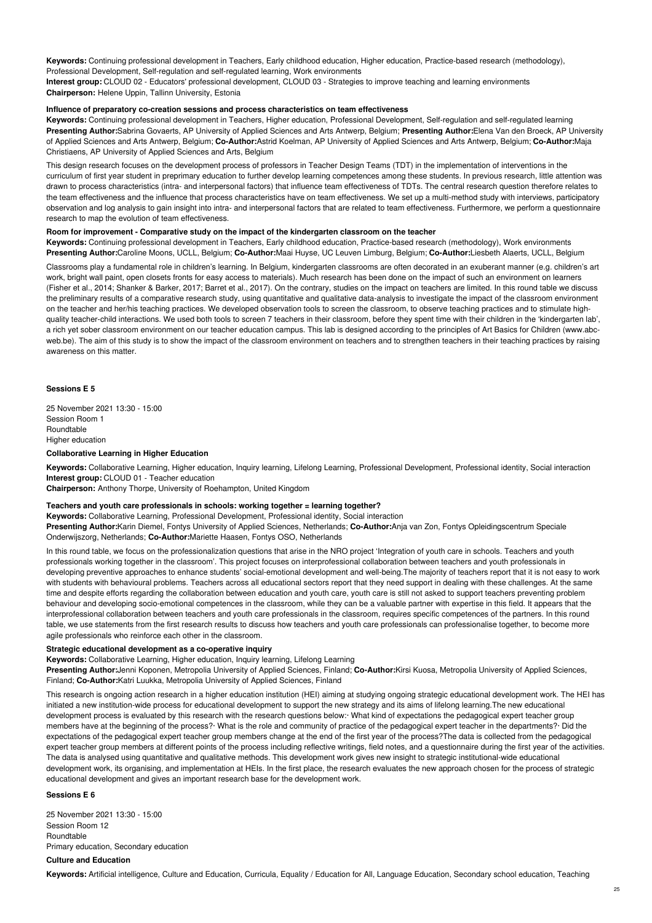**Keywords:** Continuing professional development in Teachers, Early childhood education, Higher education, Practice-based research (methodology), Professional Development, Self-regulation and self-regulated learning, Work environments **Interest group:** CLOUD 02 - Educators' professional development, CLOUD 03 - Strategies to improve teaching and learning environments **Chairperson:** Helene Uppin, Tallinn University, Estonia

## **Influence of preparatory co-creation sessions and process characteristics on team effectiveness**

**Keywords:** Continuing professional development in Teachers, Higher education, Professional Development, Self-regulation and self-regulated learning **Presenting Author:**Sabrina Govaerts, AP University of Applied Sciences and Arts Antwerp, Belgium; **Presenting Author:**Elena Van den Broeck, AP University of Applied Sciences and Arts Antwerp, Belgium; **Co-Author:**Astrid Koelman, AP University of Applied Sciences and Arts Antwerp, Belgium; **Co-Author:**Maja Christiaens, AP University of Applied Sciences and Arts, Belgium

This design research focuses on the development process of professors in Teacher Design Teams (TDT) in the implementation of interventions in the curriculum of first year student in preprimary education to further develop learning competences among these students. In previous research, little attention was drawn to process characteristics (intra- and interpersonal factors) that influence team effectiveness of TDTs. The central research question therefore relates to the team effectiveness and the influence that process characteristics have on team effectiveness. We set up a multi-method study with interviews, participatory observation and log analysis to gain insight into intra- and interpersonal factors that are related to team effectiveness. Furthermore, we perform a questionnaire research to map the evolution of team effectiveness.

## **Room for improvement - Comparative study on the impact of the kindergarten classroom on the teacher**

**Keywords:** Continuing professional development in Teachers, Early childhood education, Practice-based research (methodology), Work environments **Presenting Author:**Caroline Moons, UCLL, Belgium; **Co-Author:**Maai Huyse, UC Leuven Limburg, Belgium; **Co-Author:**Liesbeth Alaerts, UCLL, Belgium

Classrooms play a fundamental role in children's learning. In Belgium, kindergarten classrooms are often decorated in an exuberant manner (e.g. children's art work, bright wall paint, open closets fronts for easy access to materials). Much research has been done on the impact of such an environment on learners (Fisher et al., 2014; Shanker & Barker, 2017; Barret et al., 2017). On the contrary, studies on the impact on teachers are limited. In this round table we discuss the preliminary results of a comparative research study, using quantitative and qualitative data-analysis to investigate the impact of the classroom environment on the teacher and her/his teaching practices. We developed observation tools to screen the classroom, to observe teaching practices and to stimulate highquality teacher-child interactions. We used both tools to screen 7 teachers in their classroom, before they spent time with their children in the 'kindergarten lab', a rich yet sober classroom environment on our teacher education campus. This lab is designed according to the principles of Art Basics for Children (www.abcweb.be). The aim of this study is to show the impact of the classroom environment on teachers and to strengthen teachers in their teaching practices by raising awareness on this matter.

# **Sessions E 5**

25 November 2021 13:30 - 15:00 Session Room 1 **Roundtable** Higher education

#### **Collaborative Learning in Higher Education**

**Keywords:** Collaborative Learning, Higher education, Inquiry learning, Lifelong Learning, Professional Development, Professional identity, Social interaction **Interest group:** CLOUD 01 - Teacher education

**Chairperson:** Anthony Thorpe, University of Roehampton, United Kingdom

## **Teachers and youth care professionals in schools: working together = learning together?**

**Keywords:** Collaborative Learning, Professional Development, Professional identity, Social interaction **Presenting Author:**Karin Diemel, Fontys University of Applied Sciences, Netherlands; **Co-Author:**Anja van Zon, Fontys Opleidingscentrum Speciale Onderwijszorg, Netherlands; **Co-Author:**Mariette Haasen, Fontys OSO, Netherlands

In this round table, we focus on the professionalization questions that arise in the NRO project 'Integration of youth care in schools. Teachers and youth professionals working together in the classroom'. This project focuses on interprofessional collaboration between teachers and youth professionals in developing preventive approaches to enhance students' social-emotional development and well-being.The majority of teachers report that it is not easy to work with students with behavioural problems. Teachers across all educational sectors report that they need support in dealing with these challenges. At the same time and despite efforts regarding the collaboration between education and youth care, youth care is still not asked to support teachers preventing problem behaviour and developing socio-emotional competences in the classroom, while they can be a valuable partner with expertise in this field. It appears that the interprofessional collaboration between teachers and youth care professionals in the classroom, requires specific competences of the partners. In this round table, we use statements from the first research results to discuss how teachers and youth care professionals can professionalise together, to become more agile professionals who reinforce each other in the classroom.

# **Strategic educational development as a co-operative inquiry**

**Keywords:** Collaborative Learning, Higher education, Inquiry learning, Lifelong Learning

**Presenting Author:**Jenni Koponen, Metropolia University of Applied Sciences, Finland; **Co-Author:**Kirsi Kuosa, Metropolia University of Applied Sciences, Finland; **Co-Author:**Katri Luukka, Metropolia University of Applied Sciences, Finland

This research is ongoing action research in a higher education institution (HEI) aiming at studying ongoing strategic educational development work. The HEI has initiated a new institution-wide process for educational development to support the new strategy and its aims of lifelong learning.The new educational development process is evaluated by this research with the research questions below:· What kind of expectations the pedagogical expert teacher group members have at the beginning of the process?· What is the role and community of practice of the pedagogical expert teacher in the departments?· Did the expectations of the pedagogical expert teacher group members change at the end of the first year of the process?The data is collected from the pedagogical expert teacher group members at different points of the process including reflective writings, field notes, and a questionnaire during the first year of the activities. The data is analysed using quantitative and qualitative methods. This development work gives new insight to strategic institutional-wide educational development work, its organising, and implementation at HEIs. In the first place, the research evaluates the new approach chosen for the process of strategic educational development and gives an important research base for the development work.

## **Sessions E 6**

25 November 2021 13:30 - 15:00 Session Room 12 Roundtable Primary education, Secondary education

# **Culture and Education**

**Keywords:** Artificial intelligence, Culture and Education, Curricula, Equality / Education for All, Language Education, Secondary school education, Teaching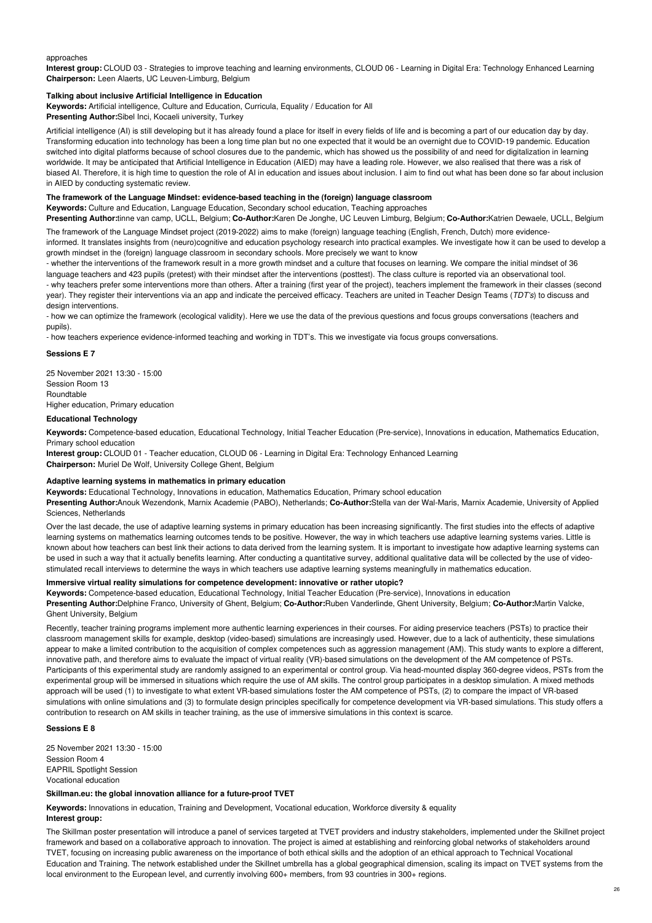#### approaches

**Interest group:** CLOUD 03 - Strategies to improve teaching and learning environments, CLOUD 06 - Learning in Digital Era: Technology Enhanced Learning **Chairperson:** Leen Alaerts, UC Leuven-Limburg, Belgium

## **Talking about inclusive Artificial Intelligence in Education**

**Keywords:** Artificial intelligence, Culture and Education, Curricula, Equality / Education for All

**Presenting Author:**Sibel Inci, Kocaeli university, Turkey

Artificial intelligence (AI) is still developing but it has already found a place for itself in every fields of life and is becoming a part of our education day by day. Transforming education into technology has been a long time plan but no one expected that it would be an overnight due to COVID-19 pandemic. Education switched into digital platforms because of school closures due to the pandemic, which has showed us the possibility of and need for digitalization in learning worldwide. It may be anticipated that Artificial Intelligence in Education (AIED) may have a leading role. However, we also realised that there was a risk of biased AI. Therefore, it is high time to question the role of AI in education and issues about inclusion. I aim to find out what has been done so far about inclusion in AIED by conducting systematic review.

# **The framework of the Language Mindset: evidence-based teaching in the (foreign) language classroom**

**Keywords:** Culture and Education, Language Education, Secondary school education, Teaching approaches **Presenting Author:**tinne van camp, UCLL, Belgium; **Co-Author:**Karen De Jonghe, UC Leuven Limburg, Belgium; **Co-Author:**Katrien Dewaele, UCLL, Belgium

The framework of the Language Mindset project (2019-2022) aims to make (foreign) language teaching (English, French, Dutch) more evidenceinformed. It translates insights from (neuro)cognitive and education psychology research into practical examples. We investigate how it can be used to develop a growth mindset in the (foreign) language classroom in secondary schools. More precisely we want to know

- whether the interventions of the framework result in a more growth mindset and a culture that focuses on learning. We compare the initial mindset of 36 language teachers and 423 pupils (pretest) with their mindset after the interventions (posttest). The class culture is reported via an observational tool. - why teachers prefer some interventions more than others. After a training (first year of the project), teachers implement the framework in their classes (second year). They register their interventions via an app and indicate the perceived efficacy. Teachers are united in Teacher Design Teams (*TDT's*) to discuss and design interventions.

- how we can optimize the framework (ecological validity). Here we use the data of the previous questions and focus groups conversations (teachers and pupils).

- how teachers experience evidence-informed teaching and working in TDT's. This we investigate via focus groups conversations.

## **Sessions E 7**

25 November 2021 13:30 - 15:00 Session Room 13 Roundtable Higher education, Primary education

# **Educational Technology**

**Keywords:** Competence-based education, Educational Technology, Initial Teacher Education (Pre-service), Innovations in education, Mathematics Education, Primary school education

**Interest group:** CLOUD 01 - Teacher education, CLOUD 06 - Learning in Digital Era: Technology Enhanced Learning **Chairperson:** Muriel De Wolf, University College Ghent, Belgium

### **Adaptive learning systems in mathematics in primary education**

**Keywords:** Educational Technology, Innovations in education, Mathematics Education, Primary school education

**Presenting Author:**Anouk Wezendonk, Marnix Academie (PABO), Netherlands; **Co-Author:**Stella van der Wal-Maris, Marnix Academie, University of Applied Sciences, Netherlands

Over the last decade, the use of adaptive learning systems in primary education has been increasing significantly. The first studies into the effects of adaptive learning systems on mathematics learning outcomes tends to be positive. However, the way in which teachers use adaptive learning systems varies. Little is known about how teachers can best link their actions to data derived from the learning system. It is important to investigate how adaptive learning systems can be used in such a way that it actually benefits learning. After conducting a quantitative survey, additional qualitative data will be collected by the use of videostimulated recall interviews to determine the ways in which teachers use adaptive learning systems meaningfully in mathematics education.

# **Immersive virtual reality simulations for competence development: innovative or rather utopic?**

**Keywords:** Competence-based education, Educational Technology, Initial Teacher Education (Pre-service), Innovations in education **Presenting Author:**Delphine Franco, University of Ghent, Belgium; **Co-Author:**Ruben Vanderlinde, Ghent University, Belgium; **Co-Author:**Martin Valcke, Ghent University, Belgium

Recently, teacher training programs implement more authentic learning experiences in their courses. For aiding preservice teachers (PSTs) to practice their classroom management skills for example, desktop (video-based) simulations are increasingly used. However, due to a lack of authenticity, these simulations appear to make a limited contribution to the acquisition of complex competences such as aggression management (AM). This study wants to explore a different, innovative path, and therefore aims to evaluate the impact of virtual reality (VR)-based simulations on the development of the AM competence of PSTs. Participants of this experimental study are randomly assigned to an experimental or control group. Via head-mounted display 360-degree videos, PSTs from the experimental group will be immersed in situations which require the use of AM skills. The control group participates in a desktop simulation. A mixed methods approach will be used (1) to investigate to what extent VR-based simulations foster the AM competence of PSTs, (2) to compare the impact of VR-based simulations with online simulations and (3) to formulate design principles specifically for competence development via VR-based simulations. This study offers a contribution to research on AM skills in teacher training, as the use of immersive simulations in this context is scarce.

# **Sessions E 8**

25 November 2021 13:30 - 15:00 Session Room 4 EAPRIL Spotlight Session Vocational education

**Skillman.eu: the global innovation alliance for a future-proof TVET**

**Keywords:** Innovations in education, Training and Development, Vocational education, Workforce diversity & equality **Interest group:**

The Skillman poster presentation will introduce a panel of services targeted at TVET providers and industry stakeholders, implemented under the Skillnet project framework and based on a collaborative approach to innovation. The project is aimed at establishing and reinforcing global networks of stakeholders around TVET, focusing on increasing public awareness on the importance of both ethical skills and the adoption of an ethical approach to Technical Vocational Education and Training. The network established under the Skillnet umbrella has a global geographical dimension, scaling its impact on TVET systems from the local environment to the European level, and currently involving 600+ members, from 93 countries in 300+ regions.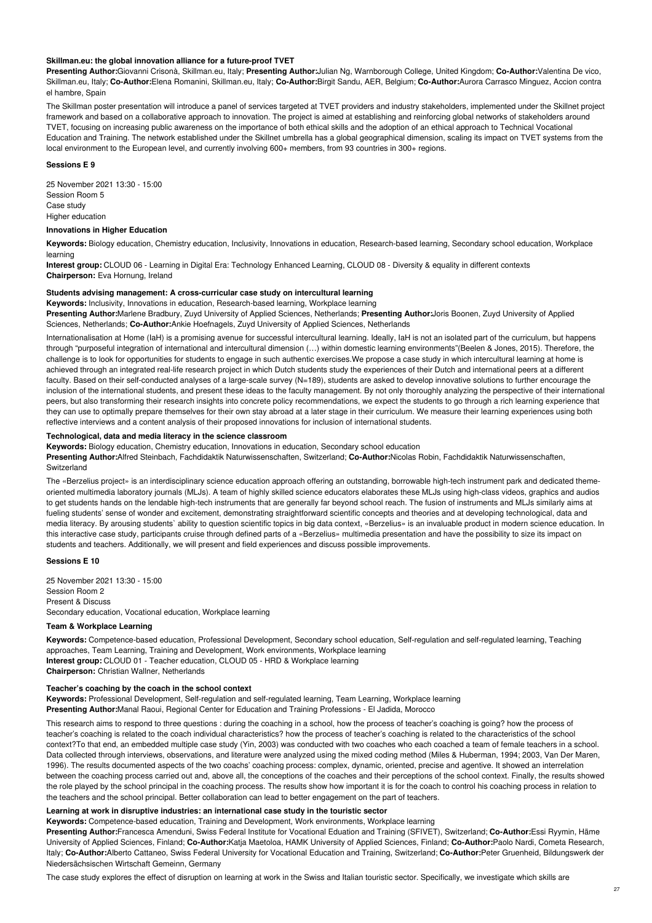#### **Skillman.eu: the global innovation alliance for a future-proof TVET**

**Presenting Author:**Giovanni Crisonà, Skillman.eu, Italy; **Presenting Author:**Julian Ng, Warnborough College, United Kingdom; **Co-Author:**Valentina De vico, Skillman.eu, Italy; **Co-Author:**Elena Romanini, Skillman.eu, Italy; **Co-Author:**Birgit Sandu, AER, Belgium; **Co-Author:**Aurora Carrasco Minguez, Accion contra el hambre, Spain

The Skillman poster presentation will introduce a panel of services targeted at TVET providers and industry stakeholders, implemented under the Skillnet project framework and based on a collaborative approach to innovation. The project is aimed at establishing and reinforcing global networks of stakeholders around TVET, focusing on increasing public awareness on the importance of both ethical skills and the adoption of an ethical approach to Technical Vocational Education and Training. The network established under the Skillnet umbrella has a global geographical dimension, scaling its impact on TVET systems from the local environment to the European level, and currently involving 600+ members, from 93 countries in 300+ regions.

### **Sessions E 9**

25 November 2021 13:30 - 15:00 Session Room 5 Case study Higher education

#### **Innovations in Higher Education**

**Keywords:** Biology education, Chemistry education, Inclusivity, Innovations in education, Research-based learning, Secondary school education, Workplace learning

**Interest group:** CLOUD 06 - Learning in Digital Era: Technology Enhanced Learning, CLOUD 08 - Diversity & equality in different contexts **Chairperson:** Eva Hornung, Ireland

# **Students advising management: A cross-curricular case study on intercultural learning**

**Keywords:** Inclusivity, Innovations in education, Research-based learning, Workplace learning

**Presenting Author:**Marlene Bradbury, Zuyd University of Applied Sciences, Netherlands; **Presenting Author:**Joris Boonen, Zuyd University of Applied Sciences, Netherlands; **Co-Author:**Ankie Hoefnagels, Zuyd University of Applied Sciences, Netherlands

Internationalisation at Home (IaH) is a promising avenue for successful intercultural learning. Ideally, IaH is not an isolated part of the curriculum, but happens through "purposeful integration of international and intercultural dimension (…) within domestic learning environments"(Beelen & Jones, 2015). Therefore, the challenge is to look for opportunities for students to engage in such authentic exercises.We propose a case study in which intercultural learning at home is achieved through an integrated real-life research project in which Dutch students study the experiences of their Dutch and international peers at a different faculty. Based on their self-conducted analyses of a large-scale survey (N=189), students are asked to develop innovative solutions to further encourage the inclusion of the international students, and present these ideas to the faculty management. By not only thoroughly analyzing the perspective of their international peers, but also transforming their research insights into concrete policy recommendations, we expect the students to go through a rich learning experience that they can use to optimally prepare themselves for their own stay abroad at a later stage in their curriculum. We measure their learning experiences using both reflective interviews and a content analysis of their proposed innovations for inclusion of international students.

# **Technological, data and media literacy in the science classroom**

**Keywords:** Biology education, Chemistry education, Innovations in education, Secondary school education

**Presenting Author:**Alfred Steinbach, Fachdidaktik Naturwissenschaften, Switzerland; **Co-Author:**Nicolas Robin, Fachdidaktik Naturwissenschaften, **Switzerland** 

The «Berzelius project» is an interdisciplinary science education approach offering an outstanding, borrowable high-tech instrument park and dedicated themeoriented multimedia laboratory journals (MLJs). A team of highly skilled science educators elaborates these MLJs using high-class videos, graphics and audios to get students hands on the lendable high-tech instruments that are generally far beyond school reach. The fusion of instruments and MLJs similarly aims at fueling students' sense of wonder and excitement, demonstrating straightforward scientific concepts and theories and at developing technological, data and media literacy. By arousing students` ability to question scientific topics in big data context, «Berzelius» is an invaluable product in modern science education. In this interactive case study, participants cruise through defined parts of a «Berzelius» multimedia presentation and have the possibility to size its impact on students and teachers. Additionally, we will present and field experiences and discuss possible improvements.

# **Sessions E 10**

25 November 2021 13:30 - 15:00 Session Room 2 Present & Discuss Secondary education, Vocational education, Workplace learning

## **Team & Workplace Learning**

**Keywords:** Competence-based education, Professional Development, Secondary school education, Self-regulation and self-regulated learning, Teaching approaches, Team Learning, Training and Development, Work environments, Workplace learning **Interest group:** CLOUD 01 - Teacher education, CLOUD 05 - HRD & Workplace learning **Chairperson:** Christian Wallner, Netherlands

# **Teacher's coaching by the coach in the school context**

**Keywords:** Professional Development, Self-regulation and self-regulated learning, Team Learning, Workplace learning **Presenting Author:**Manal Raoui, Regional Center for Education and Training Professions - El Jadida, Morocco

This research aims to respond to three questions : during the coaching in a school, how the process of teacher's coaching is going? how the process of teacher's coaching is related to the coach individual characteristics? how the process of teacher's coaching is related to the characteristics of the school context?To that end, an embedded multiple case study (Yin, 2003) was conducted with two coaches who each coached a team of female teachers in a school. Data collected through interviews, observations, and literature were analyzed using the mixed coding method (Miles & Huberman, 1994; 2003, Van Der Maren, 1996). The results documented aspects of the two coachs' coaching process: complex, dynamic, oriented, precise and agentive. It showed an interrelation between the coaching process carried out and, above all, the conceptions of the coaches and their perceptions of the school context. Finally, the results showed the role played by the school principal in the coaching process. The results show how important it is for the coach to control his coaching process in relation to the teachers and the school principal. Better collaboration can lead to better engagement on the part of teachers.

### **Learning at work in disruptive industries: an international case study in the touristic sector**

**Keywords:** Competence-based education, Training and Development, Work environments, Workplace learning

**Presenting Author:**Francesca Amenduni, Swiss Federal Institute for Vocational Eduation and Training (SFIVET), Switzerland; **Co-Author:**Essi Ryymin, Häme University of Applied Sciences, Finland; **Co-Author:**Katja Maetoloa, HAMK University of Applied Sciences, Finland; **Co-Author:**Paolo Nardi, Cometa Research, Italy; **Co-Author:**Alberto Cattaneo, Swiss Federal University for Vocational Education and Training, Switzerland; **Co-Author:**Peter Gruenheid, Bildungswerk der Niedersächsischen Wirtschaft Gemeinn, Germany

The case study explores the effect of disruption on learning at work in the Swiss and Italian touristic sector. Specifically, we investigate which skills are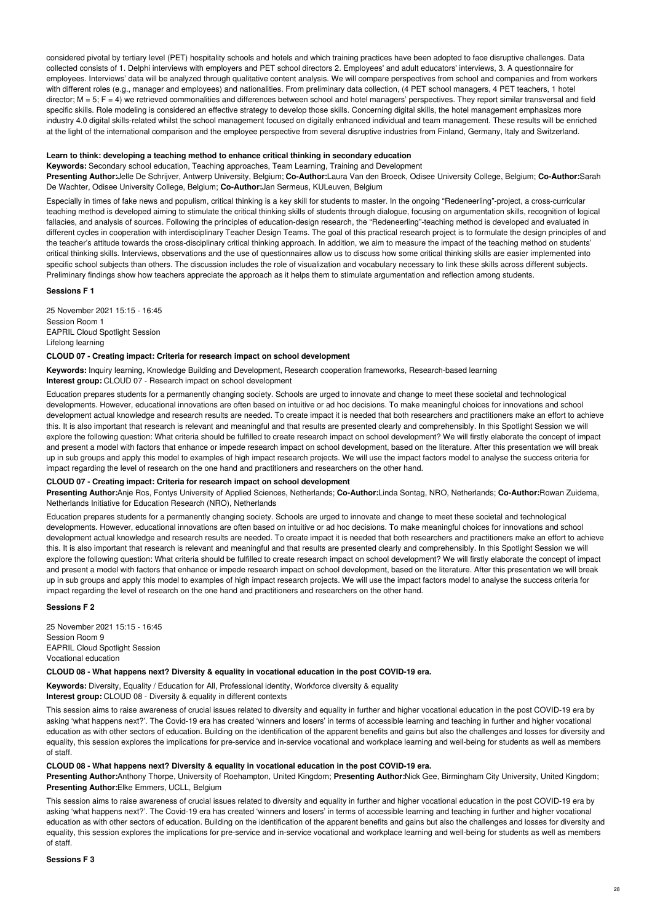considered pivotal by tertiary level (PET) hospitality schools and hotels and which training practices have been adopted to face disruptive challenges. Data collected consists of 1. Delphi interviews with employers and PET school directors 2. Employees' and adult educators' interviews, 3. A questionnaire for employees. Interviews' data will be analyzed through qualitative content analysis. We will compare perspectives from school and companies and from workers with different roles (e.g., manager and employees) and nationalities. From preliminary data collection, (4 PET school managers, 4 PET teachers, 1 hotel director; M = 5; F = 4) we retrieved commonalities and differences between school and hotel managers' perspectives. They report similar transversal and field specific skills. Role modeling is considered an effective strategy to develop those skills. Concerning digital skills, the hotel management emphasizes more industry 4.0 digital skills-related whilst the school management focused on digitally enhanced individual and team management. These results will be enriched at the light of the international comparison and the employee perspective from several disruptive industries from Finland, Germany, Italy and Switzerland.

### **Learn to think: developing a teaching method to enhance critical thinking in secondary education**

**Keywords:** Secondary school education, Teaching approaches, Team Learning, Training and Development

**Presenting Author:**Jelle De Schrijver, Antwerp University, Belgium; **Co-Author:**Laura Van den Broeck, Odisee University College, Belgium; **Co-Author:**Sarah De Wachter, Odisee University College, Belgium; **Co-Author:**Jan Sermeus, KULeuven, Belgium

Especially in times of fake news and populism, critical thinking is a key skill for students to master. In the ongoing "Redeneerling"-project, a cross-curricular teaching method is developed aiming to stimulate the critical thinking skills of students through dialogue, focusing on argumentation skills, recognition of logical fallacies, and analysis of sources. Following the principles of education-design research, the "Redeneerling"-teaching method is developed and evaluated in different cycles in cooperation with interdisciplinary Teacher Design Teams. The goal of this practical research project is to formulate the design principles of and the teacher's attitude towards the cross-disciplinary critical thinking approach. In addition, we aim to measure the impact of the teaching method on students' critical thinking skills. Interviews, observations and the use of questionnaires allow us to discuss how some critical thinking skills are easier implemented into specific school subjects than others. The discussion includes the role of visualization and vocabulary necessary to link these skills across different subjects. Preliminary findings show how teachers appreciate the approach as it helps them to stimulate argumentation and reflection among students.

## **Sessions F 1**

25 November 2021 15:15 - 16:45 Session Room 1 EAPRIL Cloud Spotlight Session Lifelong learning

# **CLOUD 07 - Creating impact: Criteria for research impact on school development**

**Keywords:** Inquiry learning, Knowledge Building and Development, Research cooperation frameworks, Research-based learning **Interest group:** CLOUD 07 - Research impact on school development

Education prepares students for a permanently changing society. Schools are urged to innovate and change to meet these societal and technological developments. However, educational innovations are often based on intuitive or ad hoc decisions. To make meaningful choices for innovations and school development actual knowledge and research results are needed. To create impact it is needed that both researchers and practitioners make an effort to achieve this. It is also important that research is relevant and meaningful and that results are presented clearly and comprehensibly. In this Spotlight Session we will explore the following question: What criteria should be fulfilled to create research impact on school development? We will firstly elaborate the concept of impact and present a model with factors that enhance or impede research impact on school development, based on the literature. After this presentation we will break up in sub groups and apply this model to examples of high impact research projects. We will use the impact factors model to analyse the success criteria for impact regarding the level of research on the one hand and practitioners and researchers on the other hand.

## **CLOUD 07 - Creating impact: Criteria for research impact on school development**

**Presenting Author:**Anje Ros, Fontys University of Applied Sciences, Netherlands; **Co-Author:**Linda Sontag, NRO, Netherlands; **Co-Author:**Rowan Zuidema, Netherlands Initiative for Education Research (NRO), Netherlands

Education prepares students for a permanently changing society. Schools are urged to innovate and change to meet these societal and technological developments. However, educational innovations are often based on intuitive or ad hoc decisions. To make meaningful choices for innovations and school development actual knowledge and research results are needed. To create impact it is needed that both researchers and practitioners make an effort to achieve this. It is also important that research is relevant and meaningful and that results are presented clearly and comprehensibly. In this Spotlight Session we will explore the following question: What criteria should be fulfilled to create research impact on school development? We will firstly elaborate the concept of impact and present a model with factors that enhance or impede research impact on school development, based on the literature. After this presentation we will break up in sub groups and apply this model to examples of high impact research projects. We will use the impact factors model to analyse the success criteria for impact regarding the level of research on the one hand and practitioners and researchers on the other hand.

# **Sessions F 2**

25 November 2021 15:15 - 16:45 Session Room 9 EAPRIL Cloud Spotlight Session Vocational education

### **CLOUD 08 - What happens next? Diversity & equality in vocational education in the post COVID-19 era.**

**Keywords:** Diversity, Equality / Education for All, Professional identity, Workforce diversity & equality

**Interest group:** CLOUD 08 - Diversity & equality in different contexts

This session aims to raise awareness of crucial issues related to diversity and equality in further and higher vocational education in the post COVID-19 era by asking 'what happens next?'. The Covid-19 era has created 'winners and losers' in terms of accessible learning and teaching in further and higher vocational education as with other sectors of education. Building on the identification of the apparent benefits and gains but also the challenges and losses for diversity and equality, this session explores the implications for pre-service and in-service vocational and workplace learning and well-being for students as well as members of staff.

# **CLOUD 08 - What happens next? Diversity & equality in vocational education in the post COVID-19 era.**

**Presenting Author:**Anthony Thorpe, University of Roehampton, United Kingdom; **Presenting Author:**Nick Gee, Birmingham City University, United Kingdom; **Presenting Author:**Elke Emmers, UCLL, Belgium

This session aims to raise awareness of crucial issues related to diversity and equality in further and higher vocational education in the post COVID-19 era by asking 'what happens next?'. The Covid-19 era has created 'winners and losers' in terms of accessible learning and teaching in further and higher vocational education as with other sectors of education. Building on the identification of the apparent benefits and gains but also the challenges and losses for diversity and equality, this session explores the implications for pre-service and in-service vocational and workplace learning and well-being for students as well as members of staff.

# **Sessions F 3**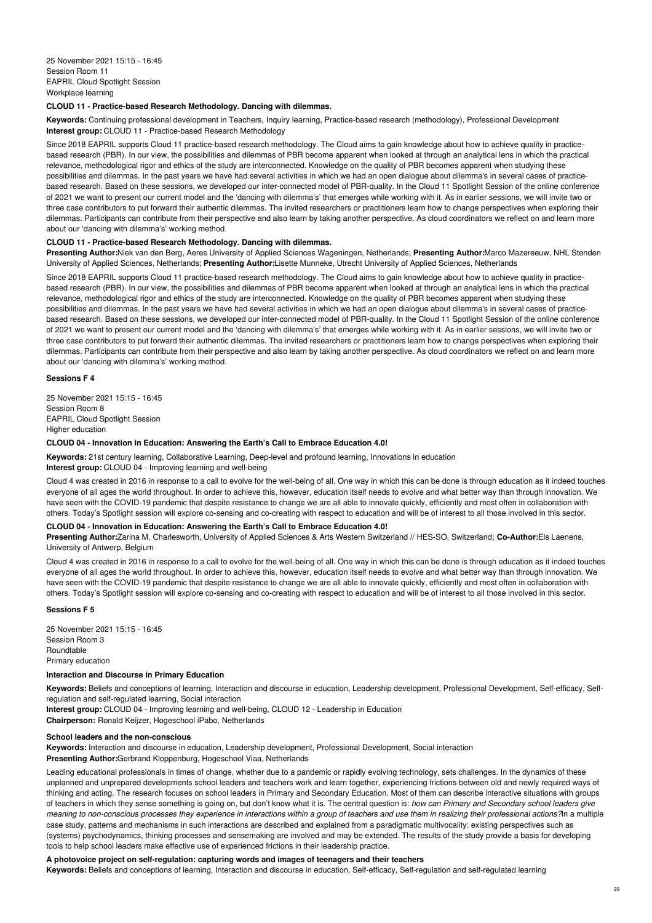### **CLOUD 11 - Practice-based Research Methodology. Dancing with dilemmas.**

**Keywords:** Continuing professional development in Teachers, Inquiry learning, Practice-based research (methodology), Professional Development **Interest group:** CLOUD 11 - Practice-based Research Methodology

Since 2018 EAPRIL supports Cloud 11 practice-based research methodology. The Cloud aims to gain knowledge about how to achieve quality in practicebased research (PBR). In our view, the possibilities and dilemmas of PBR become apparent when looked at through an analytical lens in which the practical relevance, methodological rigor and ethics of the study are interconnected. Knowledge on the quality of PBR becomes apparent when studying these possibilities and dilemmas. In the past years we have had several activities in which we had an open dialogue about dilemma's in several cases of practicebased research. Based on these sessions, we developed our inter-connected model of PBR-quality. In the Cloud 11 Spotlight Session of the online conference of 2021 we want to present our current model and the 'dancing with dilemma's' that emerges while working with it. As in earlier sessions, we will invite two or three case contributors to put forward their authentic dilemmas. The invited researchers or practitioners learn how to change perspectives when exploring their dilemmas. Participants can contribute from their perspective and also learn by taking another perspective. As cloud coordinators we reflect on and learn more about our 'dancing with dilemma's' working method.

#### **CLOUD 11 - Practice-based Research Methodology. Dancing with dilemmas.**

**Presenting Author:**Niek van den Berg, Aeres University of Applied Sciences Wageningen, Netherlands; **Presenting Author:**Marco Mazereeuw, NHL Stenden University of Applied Sciences, Netherlands; **Presenting Author:**Lisette Munneke, Utrecht University of Applied Sciences, Netherlands

Since 2018 EAPRIL supports Cloud 11 practice-based research methodology. The Cloud aims to gain knowledge about how to achieve quality in practicebased research (PBR). In our view, the possibilities and dilemmas of PBR become apparent when looked at through an analytical lens in which the practical relevance, methodological rigor and ethics of the study are interconnected. Knowledge on the quality of PBR becomes apparent when studying these possibilities and dilemmas. In the past years we have had several activities in which we had an open dialogue about dilemma's in several cases of practicebased research. Based on these sessions, we developed our inter-connected model of PBR-quality. In the Cloud 11 Spotlight Session of the online conference of 2021 we want to present our current model and the 'dancing with dilemma's' that emerges while working with it. As in earlier sessions, we will invite two or three case contributors to put forward their authentic dilemmas. The invited researchers or practitioners learn how to change perspectives when exploring their dilemmas. Participants can contribute from their perspective and also learn by taking another perspective. As cloud coordinators we reflect on and learn more about our 'dancing with dilemma's' working method.

## **Sessions F 4**

25 November 2021 15:15 - 16:45 Session Room 8 EAPRIL Cloud Spotlight Session Higher education

### **CLOUD 04 - Innovation in Education: Answering the Earth's Call to Embrace Education 4.0!**

**Keywords:** 21st century learning, Collaborative Learning, Deep-level and profound learning, Innovations in education **Interest group:** CLOUD 04 - Improving learning and well-being

Cloud 4 was created in 2016 in response to a call to evolve for the well-being of all. One way in which this can be done is through education as it indeed touches everyone of all ages the world throughout. In order to achieve this, however, education itself needs to evolve and what better way than through innovation. We have seen with the COVID-19 pandemic that despite resistance to change we are all able to innovate quickly, efficiently and most often in collaboration with others. Today's Spotlight session will explore co-sensing and co-creating with respect to education and will be of interest to all those involved in this sector.

#### **CLOUD 04 - Innovation in Education: Answering the Earth's Call to Embrace Education 4.0!**

**Presenting Author:**Zarina M. Charlesworth, University of Applied Sciences & Arts Western Switzerland // HES-SO, Switzerland; **Co-Author:**Els Laenens, University of Antwerp, Belgium

Cloud 4 was created in 2016 in response to a call to evolve for the well-being of all. One way in which this can be done is through education as it indeed touches everyone of all ages the world throughout. In order to achieve this, however, education itself needs to evolve and what better way than through innovation. We have seen with the COVID-19 pandemic that despite resistance to change we are all able to innovate quickly, efficiently and most often in collaboration with others. Today's Spotlight session will explore co-sensing and co-creating with respect to education and will be of interest to all those involved in this sector.

## **Sessions F 5**

25 November 2021 15:15 - 16:45 Session Room 3 **Roundtable** Primary education

# **Interaction and Discourse in Primary Education**

**Keywords:** Beliefs and conceptions of learning, Interaction and discourse in education, Leadership development, Professional Development, Self-efficacy, Selfregulation and self-regulated learning, Social interaction

**Interest group:** CLOUD 04 - Improving learning and well-being, CLOUD 12 - Leadership in Education **Chairperson:** Ronald Keijzer, Hogeschool iPabo, Netherlands

## **School leaders and the non-conscious**

**Keywords:** Interaction and discourse in education, Leadership development, Professional Development, Social interaction **Presenting Author:**Gerbrand Kloppenburg, Hogeschool Viaa, Netherlands

Leading educational professionals in times of change, whether due to a pandemic or rapidly evolving technology, sets challenges. In the dynamics of these unplanned and unprepared developments school leaders and teachers work and learn together, experiencing frictions between old and newly required ways of thinking and acting. The research focuses on school leaders in Primary and Secondary Education. Most of them can describe interactive situations with groups of teachers in which they sense something is going on, but don't know what it is. The central question is: *how can Primary and Secondary school leaders give* meaning to non-conscious processes they experience in interactions within a group of teachers and use them in realizing their professional actions?In a multiple case study, patterns and mechanisms in such interactions are described and explained from a paradigmatic multivocality: existing perspectives such as (systems) psychodynamics, thinking processes and sensemaking are involved and may be extended. The results of the study provide a basis for developing tools to help school leaders make effective use of experienced frictions in their leadership practice.

# **A photovoice project on self-regulation: capturing words and images of teenagers and their teachers**

**Keywords:** Beliefs and conceptions of learning, Interaction and discourse in education, Self-efficacy, Self-regulation and self-regulated learning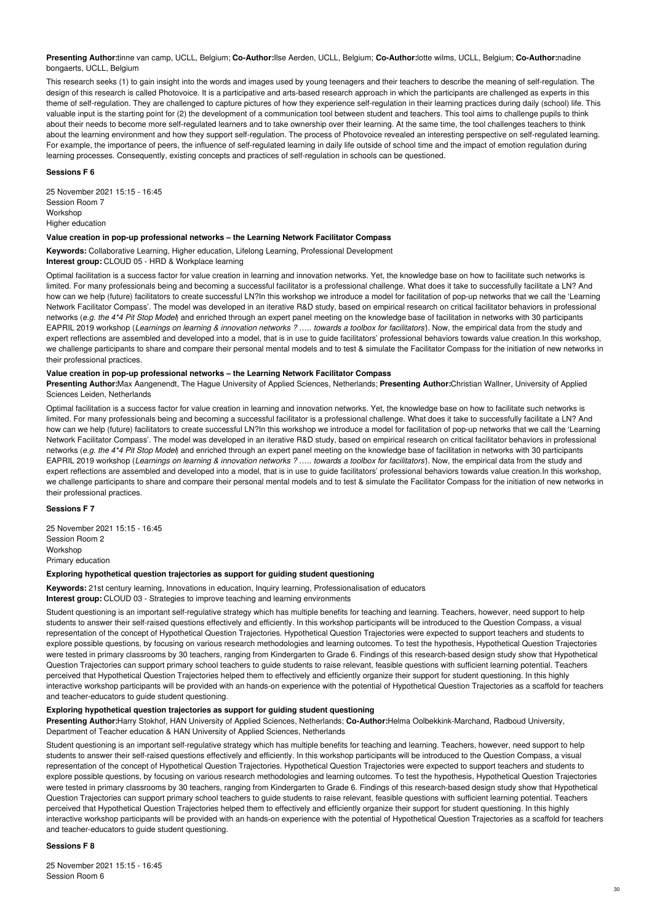**Presenting Author:**tinne van camp, UCLL, Belgium; **Co-Author:**Ilse Aerden, UCLL, Belgium; **Co-Author:**lotte wilms, UCLL, Belgium; **Co-Author:**nadine bongaerts, UCLL, Belgium

This research seeks (1) to gain insight into the words and images used by young teenagers and their teachers to describe the meaning of self-regulation. The design of this research is called Photovoice. It is a participative and arts-based research approach in which the participants are challenged as experts in this theme of self-regulation. They are challenged to capture pictures of how they experience self-regulation in their learning practices during daily (school) life. This valuable input is the starting point for (2) the development of a communication tool between student and teachers. This tool aims to challenge pupils to think about their needs to become more self-regulated learners and to take ownership over their learning. At the same time, the tool challenges teachers to think about the learning environment and how they support self-regulation. The process of Photovoice revealed an interesting perspective on self-regulated learning. For example, the importance of peers, the influence of self-regulated learning in daily life outside of school time and the impact of emotion regulation during learning processes. Consequently, existing concepts and practices of self-regulation in schools can be questioned.

## **Sessions F 6**

25 November 2021 15:15 - 16:45 Session Room 7 Workshop Higher education

## **Value creation in pop-up professional networks – the Learning Network Facilitator Compass**

**Keywords:** Collaborative Learning, Higher education, Lifelong Learning, Professional Development **Interest group:** CLOUD 05 - HRD & Workplace learning

Optimal facilitation is a success factor for value creation in learning and innovation networks. Yet, the knowledge base on how to facilitate such networks is limited. For many professionals being and becoming a successful facilitator is a professional challenge. What does it take to successfully facilitate a LN? And how can we help (future) facilitators to create successful LN?In this workshop we introduce a model for facilitation of pop-up networks that we call the 'Learning Network Facilitator Compass'. The model was developed in an iterative R&D study, based on empirical research on critical facilitator behaviors in professional networks (*e.g. the 4\*4 Pit Stop Model*) and enriched through an expert panel meeting on the knowledge base of facilitation in networks with 30 participants EAPRIL 2019 workshop (Learnings on learning & innovation networks ? ..... towards a toolbox for facilitators). Now, the empirical data from the study and expert reflections are assembled and developed into a model, that is in use to guide facilitators' professional behaviors towards value creation.In this workshop, we challenge participants to share and compare their personal mental models and to test & simulate the Facilitator Compass for the initiation of new networks in their professional practices.

# **Value creation in pop-up professional networks – the Learning Network Facilitator Compass**

**Presenting Author:**Max Aangenendt, The Hague University of Applied Sciences, Netherlands; **Presenting Author:**Christian Wallner, University of Applied Sciences Leiden, Netherlands

Optimal facilitation is a success factor for value creation in learning and innovation networks. Yet, the knowledge base on how to facilitate such networks is limited. For many professionals being and becoming a successful facilitator is a professional challenge. What does it take to successfully facilitate a LN? And how can we help (future) facilitators to create successful LN?In this workshop we introduce a model for facilitation of pop-up networks that we call the 'Learning Network Facilitator Compass'. The model was developed in an iterative R&D study, based on empirical research on critical facilitator behaviors in professional networks (*e.g. the 4\*4 Pit Stop Model*) and enriched through an expert panel meeting on the knowledge base of facilitation in networks with 30 participants EAPRIL 2019 workshop (Learnings on learning & innovation networks ? ..... towards a toolbox for facilitators). Now, the empirical data from the study and expert reflections are assembled and developed into a model, that is in use to guide facilitators' professional behaviors towards value creation.In this workshop, we challenge participants to share and compare their personal mental models and to test & simulate the Facilitator Compass for the initiation of new networks in their professional practices.

# **Sessions F 7**

25 November 2021 15:15 - 16:45 Session Room 2 Workshop Primary education

## **Exploring hypothetical question trajectories as support for guiding student questioning**

**Keywords:** 21st century learning, Innovations in education, Inquiry learning, Professionalisation of educators

**Interest group:** CLOUD 03 - Strategies to improve teaching and learning environments

Student questioning is an important self-regulative strategy which has multiple benefits for teaching and learning. Teachers, however, need support to help students to answer their self-raised questions effectively and efficiently. In this workshop participants will be introduced to the Question Compass, a visual representation of the concept of Hypothetical Question Trajectories. Hypothetical Question Trajectories were expected to support teachers and students to explore possible questions, by focusing on various research methodologies and learning outcomes. To test the hypothesis, Hypothetical Question Trajectories were tested in primary classrooms by 30 teachers, ranging from Kindergarten to Grade 6. Findings of this research-based design study show that Hypothetical Question Trajectories can support primary school teachers to guide students to raise relevant, feasible questions with sufficient learning potential. Teachers perceived that Hypothetical Question Trajectories helped them to effectively and efficiently organize their support for student questioning. In this highly interactive workshop participants will be provided with an hands-on experience with the potential of Hypothetical Question Trajectories as a scaffold for teachers and teacher-educators to guide student questioning.

#### **Exploring hypothetical question trajectories as support for guiding student questioning**

**Presenting Author:**Harry Stokhof, HAN University of Applied Sciences, Netherlands; **Co-Author:**Helma Oolbekkink-Marchand, Radboud University, Department of Teacher education & HAN University of Applied Sciences, Netherlands

Student questioning is an important self-regulative strategy which has multiple benefits for teaching and learning. Teachers, however, need support to help students to answer their self-raised questions effectively and efficiently. In this workshop participants will be introduced to the Question Compass, a visual representation of the concept of Hypothetical Question Trajectories. Hypothetical Question Trajectories were expected to support teachers and students to explore possible questions, by focusing on various research methodologies and learning outcomes. To test the hypothesis, Hypothetical Question Trajectories were tested in primary classrooms by 30 teachers, ranging from Kindergarten to Grade 6. Findings of this research-based design study show that Hypothetical Question Trajectories can support primary school teachers to guide students to raise relevant, feasible questions with sufficient learning potential. Teachers perceived that Hypothetical Question Trajectories helped them to effectively and efficiently organize their support for student questioning. In this highly interactive workshop participants will be provided with an hands-on experience with the potential of Hypothetical Question Trajectories as a scaffold for teachers and teacher-educators to guide student questioning.

# **Sessions F 8**

25 November 2021 15:15 - 16:45 Session Room 6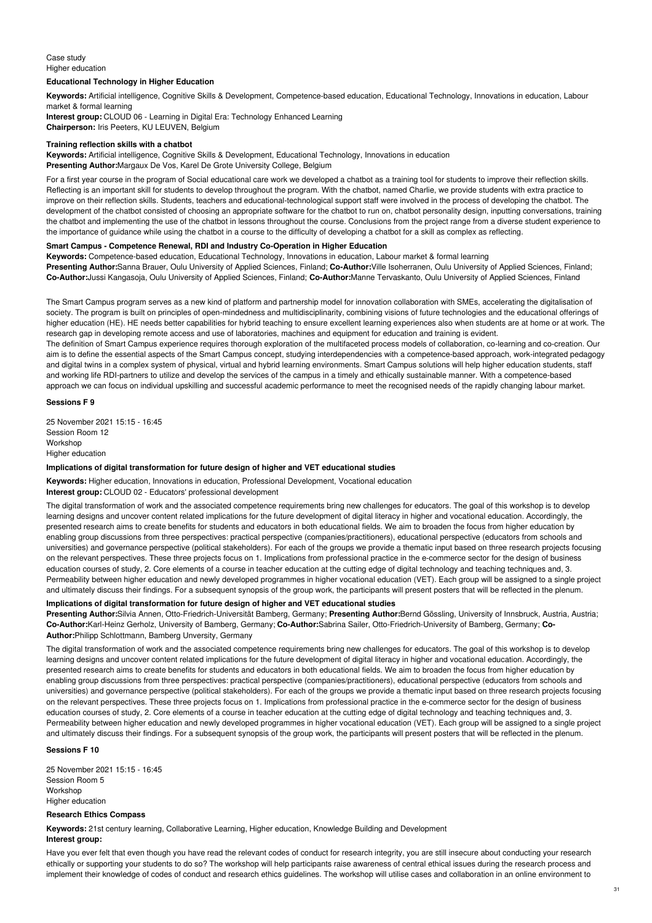# Case study Higher education

## **Educational Technology in Higher Education**

**Keywords:** Artificial intelligence, Cognitive Skills & Development, Competence-based education, Educational Technology, Innovations in education, Labour market & formal learning

**Interest group:** CLOUD 06 - Learning in Digital Era: Technology Enhanced Learning **Chairperson:** Iris Peeters, KU LEUVEN, Belgium

#### **Training reflection skills with a chatbot**

**Keywords:** Artificial intelligence, Cognitive Skills & Development, Educational Technology, Innovations in education **Presenting Author:**Margaux De Vos, Karel De Grote University College, Belgium

For a first year course in the program of Social educational care work we developed a chatbot as a training tool for students to improve their reflection skills. Reflecting is an important skill for students to develop throughout the program. With the chatbot, named Charlie, we provide students with extra practice to improve on their reflection skills. Students, teachers and educational-technological support staff were involved in the process of developing the chatbot. The development of the chatbot consisted of choosing an appropriate software for the chatbot to run on, chatbot personality design, inputting conversations, training the chatbot and implementing the use of the chatbot in lessons throughout the course. Conclusions from the project range from a diverse student experience to the importance of guidance while using the chatbot in a course to the difficulty of developing a chatbot for a skill as complex as reflecting.

## **Smart Campus - Competence Renewal, RDI and Industry Co-Operation in Higher Education**

**Keywords:** Competence-based education, Educational Technology, Innovations in education, Labour market & formal learning **Presenting Author:**Sanna Brauer, Oulu University of Applied Sciences, Finland; **Co-Author:**Ville Isoherranen, Oulu University of Applied Sciences, Finland; **Co-Author:**Jussi Kangasoja, Oulu University of Applied Sciences, Finland; **Co-Author:**Manne Tervaskanto, Oulu University of Applied Sciences, Finland

The Smart Campus program serves as a new kind of platform and partnership model for innovation collaboration with SMEs, accelerating the digitalisation of society. The program is built on principles of open-mindedness and multidisciplinarity, combining visions of future technologies and the educational offerings of higher education (HE). HE needs better capabilities for hybrid teaching to ensure excellent learning experiences also when students are at home or at work. The research gap in developing remote access and use of laboratories, machines and equipment for education and training is evident. The definition of Smart Campus experience requires thorough exploration of the multifaceted process models of collaboration, co-learning and co-creation. Our

aim is to define the essential aspects of the Smart Campus concept, studying interdependencies with a competence-based approach, work-integrated pedagogy and digital twins in a complex system of physical, virtual and hybrid learning environments. Smart Campus solutions will help higher education students, staff and working life RDI-partners to utilize and develop the services of the campus in a timely and ethically sustainable manner. With a competence-based approach we can focus on individual upskilling and successful academic performance to meet the recognised needs of the rapidly changing labour market.

# **Sessions F 9**

25 November 2021 15:15 - 16:45 Session Room 12 Workshop Higher education

# **Implications of digital transformation for future design of higher and VET educational studies**

**Keywords:** Higher education, Innovations in education, Professional Development, Vocational education **Interest group:** CLOUD 02 - Educators' professional development

The digital transformation of work and the associated competence requirements bring new challenges for educators. The goal of this workshop is to develop learning designs and uncover content related implications for the future development of digital literacy in higher and vocational education. Accordingly, the presented research aims to create benefits for students and educators in both educational fields. We aim to broaden the focus from higher education by enabling group discussions from three perspectives: practical perspective (companies/practitioners), educational perspective (educators from schools and universities) and governance perspective (political stakeholders). For each of the groups we provide a thematic input based on three research projects focusing on the relevant perspectives. These three projects focus on 1. Implications from professional practice in the e-commerce sector for the design of business education courses of study, 2. Core elements of a course in teacher education at the cutting edge of digital technology and teaching techniques and, 3. Permeability between higher education and newly developed programmes in higher vocational education (VET). Each group will be assigned to a single project and ultimately discuss their findings. For a subsequent synopsis of the group work, the participants will present posters that will be reflected in the plenum.

# **Implications of digital transformation for future design of higher and VET educational studies**

**Presenting Author:**Silvia Annen, Otto-Friedrich-Universität Bamberg, Germany; **Presenting Author:**Bernd Gössling, University of Innsbruck, Austria, Austria; **Co-Author:**Karl-Heinz Gerholz, University of Bamberg, Germany; **Co-Author:**Sabrina Sailer, Otto-Friedrich-University of Bamberg, Germany; **Co-Author:**Philipp Schlottmann, Bamberg Unversity, Germany

The digital transformation of work and the associated competence requirements bring new challenges for educators. The goal of this workshop is to develop learning designs and uncover content related implications for the future development of digital literacy in higher and vocational education. Accordingly, the presented research aims to create benefits for students and educators in both educational fields. We aim to broaden the focus from higher education by enabling group discussions from three perspectives: practical perspective (companies/practitioners), educational perspective (educators from schools and universities) and governance perspective (political stakeholders). For each of the groups we provide a thematic input based on three research projects focusing on the relevant perspectives. These three projects focus on 1. Implications from professional practice in the e-commerce sector for the design of business education courses of study, 2. Core elements of a course in teacher education at the cutting edge of digital technology and teaching techniques and, 3. Permeability between higher education and newly developed programmes in higher vocational education (VET). Each group will be assigned to a single project and ultimately discuss their findings. For a subsequent synopsis of the group work, the participants will present posters that will be reflected in the plenum.

# **Sessions F 10**

25 November 2021 15:15 - 16:45 Session Room 5 Workshop Higher education

# **Research Ethics Compass**

**Keywords:** 21st century learning, Collaborative Learning, Higher education, Knowledge Building and Development **Interest group:**

Have you ever felt that even though you have read the relevant codes of conduct for research integrity, you are still insecure about conducting your research ethically or supporting your students to do so? The workshop will help participants raise awareness of central ethical issues during the research process and implement their knowledge of codes of conduct and research ethics guidelines. The workshop will utilise cases and collaboration in an online environment to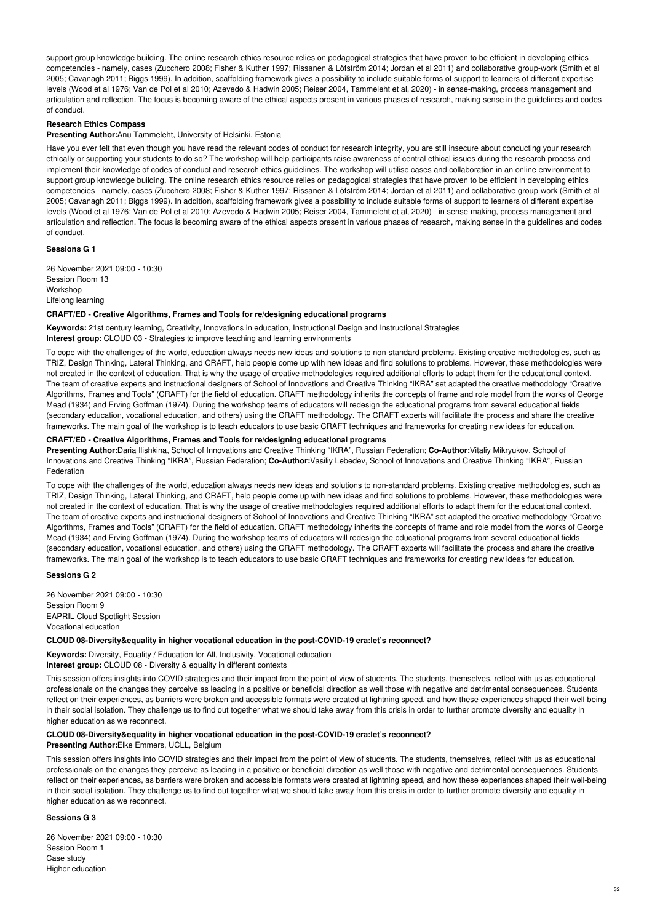support group knowledge building. The online research ethics resource relies on pedagogical strategies that have proven to be efficient in developing ethics competencies - namely, cases (Zucchero 2008; Fisher & Kuther 1997; Rissanen & Löfström 2014; Jordan et al 2011) and collaborative group-work (Smith et al 2005; Cavanagh 2011; Biggs 1999). In addition, scaffolding framework gives a possibility to include suitable forms of support to learners of different expertise levels (Wood et al 1976; Van de Pol et al 2010; Azevedo & Hadwin 2005; Reiser 2004, Tammeleht et al, 2020) - in sense-making, process management and articulation and reflection. The focus is becoming aware of the ethical aspects present in various phases of research, making sense in the guidelines and codes of conduct.

# **Research Ethics Compass**

**Presenting Author:**Anu Tammeleht, University of Helsinki, Estonia

Have you ever felt that even though you have read the relevant codes of conduct for research integrity, you are still insecure about conducting your research ethically or supporting your students to do so? The workshop will help participants raise awareness of central ethical issues during the research process and implement their knowledge of codes of conduct and research ethics guidelines. The workshop will utilise cases and collaboration in an online environment to support group knowledge building. The online research ethics resource relies on pedagogical strategies that have proven to be efficient in developing ethics competencies - namely, cases (Zucchero 2008; Fisher & Kuther 1997; Rissanen & Löfström 2014; Jordan et al 2011) and collaborative group-work (Smith et al 2005; Cavanagh 2011; Biggs 1999). In addition, scaffolding framework gives a possibility to include suitable forms of support to learners of different expertise levels (Wood et al 1976; Van de Pol et al 2010; Azevedo & Hadwin 2005; Reiser 2004, Tammeleht et al, 2020) - in sense-making, process management and articulation and reflection. The focus is becoming aware of the ethical aspects present in various phases of research, making sense in the guidelines and codes of conduct.

## **Sessions G 1**

26 November 2021 09:00 - 10:30 Session Room 13 Workshop Lifelong learning

# **CRAFT/ED - Creative Algorithms, Frames and Tools for re/designing educational programs**

**Keywords:** 21st century learning, Creativity, Innovations in education, Instructional Design and Instructional Strategies **Interest group:** CLOUD 03 - Strategies to improve teaching and learning environments

To cope with the challenges of the world, education always needs new ideas and solutions to non-standard problems. Existing creative methodologies, such as TRIZ, Design Thinking, Lateral Thinking, and CRAFT, help people come up with new ideas and find solutions to problems. However, these methodologies were not created in the context of education. That is why the usage of creative methodologies required additional efforts to adapt them for the educational context. The team of creative experts and instructional designers of School of Innovations and Creative Thinking "IKRA" set adapted the creative methodology "Creative Algorithms, Frames and Tools" (CRAFT) for the field of education. CRAFT methodology inherits the concepts of frame and role model from the works of George Mead (1934) and Erving Goffman (1974). During the workshop teams of educators will redesign the educational programs from several educational fields (secondary education, vocational education, and others) using the CRAFT methodology. The CRAFT experts will facilitate the process and share the creative frameworks. The main goal of the workshop is to teach educators to use basic CRAFT techniques and frameworks for creating new ideas for education.

# **CRAFT/ED - Creative Algorithms, Frames and Tools for re/designing educational programs**

**Presenting Author:**Daria Ilishkina, School of Innovations and Creative Thinking "IKRA", Russian Federation; **Co-Author:**Vitaliy Mikryukov, School of Innovations and Creative Thinking "IKRA", Russian Federation; **Co-Author:**Vasiliy Lebedev, School of Innovations and Creative Thinking "IKRA", Russian Federation

To cope with the challenges of the world, education always needs new ideas and solutions to non-standard problems. Existing creative methodologies, such as TRIZ, Design Thinking, Lateral Thinking, and CRAFT, help people come up with new ideas and find solutions to problems. However, these methodologies were not created in the context of education. That is why the usage of creative methodologies required additional efforts to adapt them for the educational context. The team of creative experts and instructional designers of School of Innovations and Creative Thinking "IKRA" set adapted the creative methodology "Creative Algorithms, Frames and Tools" (CRAFT) for the field of education. CRAFT methodology inherits the concepts of frame and role model from the works of George Mead (1934) and Erving Goffman (1974). During the workshop teams of educators will redesign the educational programs from several educational fields (secondary education, vocational education, and others) using the CRAFT methodology. The CRAFT experts will facilitate the process and share the creative frameworks. The main goal of the workshop is to teach educators to use basic CRAFT techniques and frameworks for creating new ideas for education.

# **Sessions G 2**

26 November 2021 09:00 - 10:30 Session Room 9 EAPRIL Cloud Spotlight Session Vocational education

## **CLOUD 08-Diversity&equality in higher vocational education in the post-COVID-19 era:let's reconnect?**

**Keywords:** Diversity, Equality / Education for All, Inclusivity, Vocational education **Interest group:** CLOUD 08 - Diversity & equality in different contexts

This session offers insights into COVID strategies and their impact from the point of view of students. The students, themselves, reflect with us as educational professionals on the changes they perceive as leading in a positive or beneficial direction as well those with negative and detrimental consequences. Students reflect on their experiences, as barriers were broken and accessible formats were created at lightning speed, and how these experiences shaped their well-being in their social isolation. They challenge us to find out together what we should take away from this crisis in order to further promote diversity and equality in higher education as we reconnect.

### **CLOUD 08-Diversity&equality in higher vocational education in the post-COVID-19 era:let's reconnect?**

**Presenting Author:**Elke Emmers, UCLL, Belgium

This session offers insights into COVID strategies and their impact from the point of view of students. The students, themselves, reflect with us as educational professionals on the changes they perceive as leading in a positive or beneficial direction as well those with negative and detrimental consequences. Students reflect on their experiences, as barriers were broken and accessible formats were created at lightning speed, and how these experiences shaped their well-being in their social isolation. They challenge us to find out together what we should take away from this crisis in order to further promote diversity and equality in higher education as we reconnect.

### **Sessions G 3**

26 November 2021 09:00 - 10:30 Session Room 1 Case study Higher education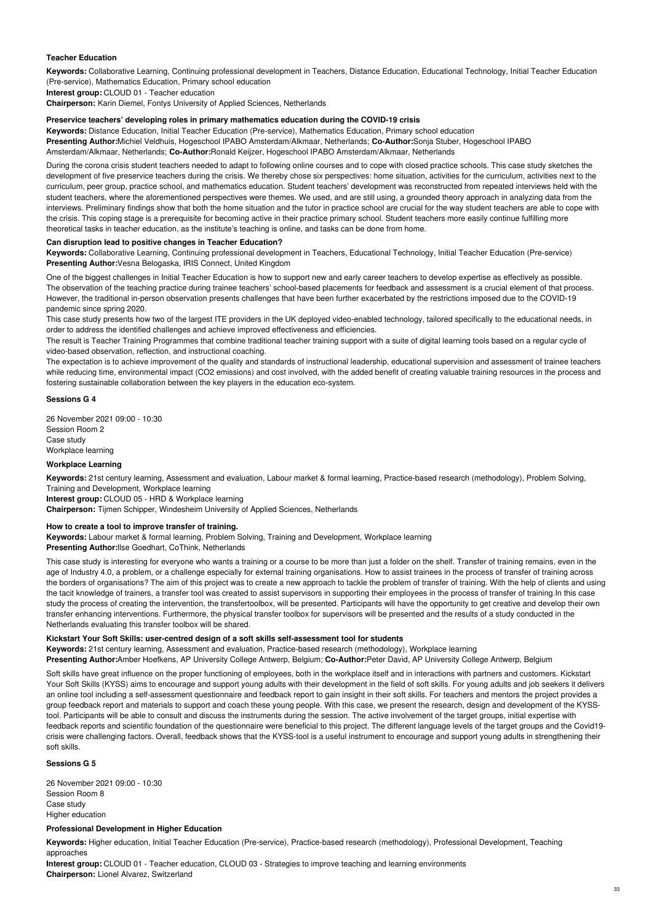# **Teacher Education**

**Keywords:** Collaborative Learning, Continuing professional development in Teachers, Distance Education, Educational Technology, Initial Teacher Education (Pre-service), Mathematics Education, Primary school education

**Interest group:** CLOUD 01 - Teacher education

**Chairperson:** Karin Diemel, Fontys University of Applied Sciences, Netherlands

#### **Preservice teachers' developing roles in primary mathematics education during the COVID-19 crisis**

**Keywords:** Distance Education, Initial Teacher Education (Pre-service), Mathematics Education, Primary school education **Presenting Author:**Michiel Veldhuis, Hogeschool IPABO Amsterdam/Alkmaar, Netherlands; **Co-Author:**Sonja Stuber, Hogeschool IPABO Amsterdam/Alkmaar, Netherlands; **Co-Author:**Ronald Keijzer, Hogeschool IPABO Amsterdam/Alkmaar, Netherlands

During the corona crisis student teachers needed to adapt to following online courses and to cope with closed practice schools. This case study sketches the development of five preservice teachers during the crisis. We thereby chose six perspectives: home situation, activities for the curriculum, activities next to the curriculum, peer group, practice school, and mathematics education. Student teachers' development was reconstructed from repeated interviews held with the student teachers, where the aforementioned perspectives were themes. We used, and are still using, a grounded theory approach in analyzing data from the interviews. Preliminary findings show that both the home situation and the tutor in practice school are crucial for the way student teachers are able to cope with the crisis. This coping stage is a prerequisite for becoming active in their practice primary school. Student teachers more easily continue fulfilling more theoretical tasks in teacher education, as the institute's teaching is online, and tasks can be done from home.

#### **Can disruption lead to positive changes in Teacher Education?**

**Keywords:** Collaborative Learning, Continuing professional development in Teachers, Educational Technology, Initial Teacher Education (Pre-service) **Presenting Author:**Vesna Belogaska, IRIS Connect, United Kingdom

One of the biggest challenges in Initial Teacher Education is how to support new and early career teachers to develop expertise as effectively as possible. The observation of the teaching practice during trainee teachers' school-based placements for feedback and assessment is a crucial element of that process. However, the traditional in-person observation presents challenges that have been further exacerbated by the restrictions imposed due to the COVID-19 pandemic since spring 2020.

This case study presents how two of the largest ITE providers in the UK deployed video-enabled technology, tailored specifically to the educational needs, in order to address the identified challenges and achieve improved effectiveness and efficiencies.

The result is Teacher Training Programmes that combine traditional teacher training support with a suite of digital learning tools based on a regular cycle of video-based observation, reflection, and instructional coaching.

The expectation is to achieve improvement of the quality and standards of instructional leadership, educational supervision and assessment of trainee teachers while reducing time, environmental impact (CO2 emissions) and cost involved, with the added benefit of creating valuable training resources in the process and fostering sustainable collaboration between the key players in the education eco-system.

#### **Sessions G 4**

26 November 2021 09:00 - 10:30 Session Room 2 Case study Workplace learning

# **Workplace Learning**

**Keywords:** 21st century learning, Assessment and evaluation, Labour market & formal learning, Practice-based research (methodology), Problem Solving, Training and Development, Workplace learning

**Interest group:** CLOUD 05 - HRD & Workplace learning **Chairperson:** Tijmen Schipper, Windesheim University of Applied Sciences, Netherlands

# **How to create a tool to improve transfer of training.**

**Keywords:** Labour market & formal learning, Problem Solving, Training and Development, Workplace learning **Presenting Author:**Ilse Goedhart, CoThink, Netherlands

This case study is interesting for everyone who wants a training or a course to be more than just a folder on the shelf. Transfer of training remains, even in the age of Industry 4.0, a problem, or a challenge especially for external training organisations. How to assist trainees in the process of transfer of training across the borders of organisations? The aim of this project was to create a new approach to tackle the problem of transfer of training. With the help of clients and using the tacit knowledge of trainers, a transfer tool was created to assist supervisors in supporting their employees in the process of transfer of training.In this case study the process of creating the intervention, the transfertoolbox, will be presented. Participants will have the opportunity to get creative and develop their own transfer enhancing interventions. Furthermore, the physical transfer toolbox for supervisors will be presented and the results of a study conducted in the Netherlands evaluating this transfer toolbox will be shared.

### **Kickstart Your Soft Skills: user-centred design of a soft skills self-assessment tool for students**

**Keywords:** 21st century learning, Assessment and evaluation, Practice-based research (methodology), Workplace learning

**Presenting Author:**Amber Hoefkens, AP University College Antwerp, Belgium; **Co-Author:**Peter David, AP University College Antwerp, Belgium

Soft skills have great influence on the proper functioning of employees, both in the workplace itself and in interactions with partners and customers. Kickstart Your Soft Skills (KYSS) aims to encourage and support young adults with their development in the field of soft skills. For young adults and job seekers it delivers an online tool including a self-assessment questionnaire and feedback report to gain insight in their soft skills. For teachers and mentors the project provides a group feedback report and materials to support and coach these young people. With this case, we present the research, design and development of the KYSStool. Participants will be able to consult and discuss the instruments during the session. The active involvement of the target groups, initial expertise with feedback reports and scientific foundation of the questionnaire were beneficial to this project. The different language levels of the target groups and the Covid19 crisis were challenging factors. Overall, feedback shows that the KYSS-tool is a useful instrument to encourage and support young adults in strengthening their soft skills.

# **Sessions G 5**

26 November 2021 09:00 - 10:30 Session Room 8 Case study Higher education

### **Professional Development in Higher Education**

**Keywords:** Higher education, Initial Teacher Education (Pre-service), Practice-based research (methodology), Professional Development, Teaching approaches

**Interest group:** CLOUD 01 - Teacher education, CLOUD 03 - Strategies to improve teaching and learning environments **Chairperson:** Lionel Alvarez, Switzerland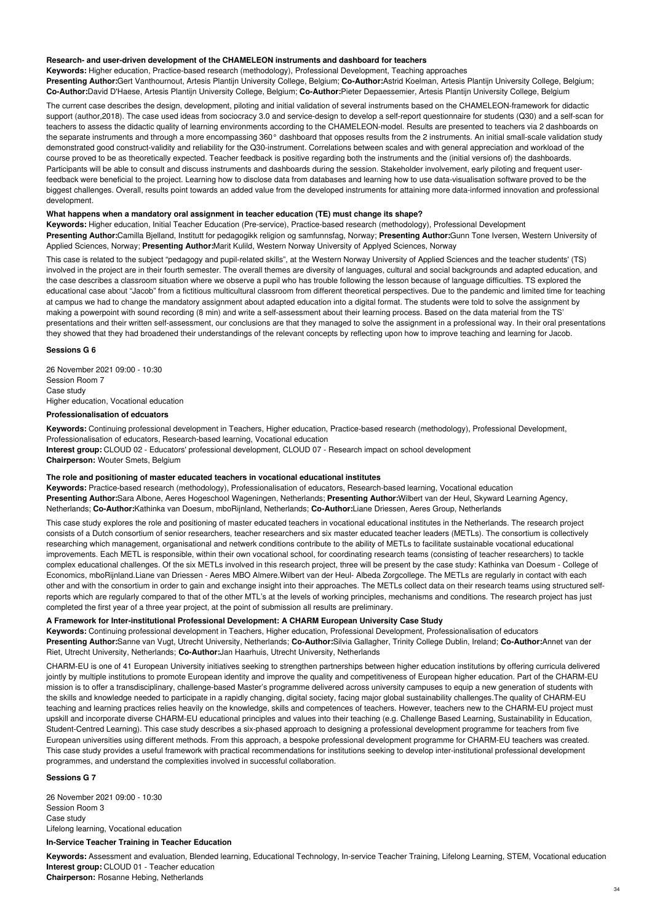#### **Research- and user-driven development of the CHAMELEON instruments and dashboard for teachers**

**Keywords:** Higher education, Practice-based research (methodology), Professional Development, Teaching approaches **Presenting Author:**Gert Vanthournout, Artesis Plantijn University College, Belgium; **Co-Author:**Astrid Koelman, Artesis Plantijn University College, Belgium; **Co-Author:**David D'Haese, Artesis Plantijn University College, Belgium; **Co-Author:**Pieter Depaessemier, Artesis Plantijn University College, Belgium

The current case describes the design, development, piloting and initial validation of several instruments based on the CHAMELEON-framework for didactic support (author,2018). The case used ideas from sociocracy 3.0 and service-design to develop a self-report questionnaire for students (Q30) and a self-scan for teachers to assess the didactic quality of learning environments according to the CHAMELEON-model. Results are presented to teachers via 2 dashboards on the separate instruments and through a more encompassing 360° dashboard that opposes results from the 2 instruments. An initial small-scale validation study demonstrated good construct-validity and reliability for the Q30-instrument. Correlations between scales and with general appreciation and workload of the course proved to be as theoretically expected. Teacher feedback is positive regarding both the instruments and the (initial versions of) the dashboards. Participants will be able to consult and discuss instruments and dashboards during the session. Stakeholder involvement, early piloting and frequent userfeedback were beneficial to the project. Learning how to disclose data from databases and learning how to use data-visualisation software proved to be the biggest challenges. Overall, results point towards an added value from the developed instruments for attaining more data-informed innovation and professional development.

#### **What happens when a mandatory oral assignment in teacher education (TE) must change its shape?**

**Keywords:** Higher education, Initial Teacher Education (Pre-service), Practice-based research (methodology), Professional Development **Presenting Author:**Camilla Bjelland, Institutt for pedagogikk religion og samfunnsfag, Norway; **Presenting Author:**Gunn Tone Iversen, Western University of Applied Sciences, Norway; **Presenting Author:**Marit Kulild, Western Norway University of Applyed Sciences, Norway

This case is related to the subject "pedagogy and pupil-related skills", at the Western Norway University of Applied Sciences and the teacher students' (TS) involved in the project are in their fourth semester. The overall themes are diversity of languages, cultural and social backgrounds and adapted education, and the case describes a classroom situation where we observe a pupil who has trouble following the lesson because of language difficulties. TS explored the educational case about "Jacob" from a fictitious multicultural classroom from different theoretical perspectives. Due to the pandemic and limited time for teaching at campus we had to change the mandatory assignment about adapted education into a digital format. The students were told to solve the assignment by making a powerpoint with sound recording (8 min) and write a self-assessment about their learning process. Based on the data material from the TS' presentations and their written self-assessment, our conclusions are that they managed to solve the assignment in a professional way. In their oral presentations they showed that they had broadened their understandings of the relevant concepts by reflecting upon how to improve teaching and learning for Jacob.

### **Sessions G 6**

26 November 2021 09:00 - 10:30 Session Room 7 Case study Higher education, Vocational education

# **Professionalisation of edcuators**

**Keywords:** Continuing professional development in Teachers, Higher education, Practice-based research (methodology), Professional Development, Professionalisation of educators, Research-based learning, Vocational education

**Interest group:** CLOUD 02 - Educators' professional development, CLOUD 07 - Research impact on school development **Chairperson:** Wouter Smets, Belgium

# **The role and positioning of master educated teachers in vocational educational institutes**

**Keywords:** Practice-based research (methodology), Professionalisation of educators, Research-based learning, Vocational education **Presenting Author:**Sara Albone, Aeres Hogeschool Wageningen, Netherlands; **Presenting Author:**Wilbert van der Heul, Skyward Learning Agency, Netherlands; **Co-Author:**Kathinka van Doesum, mboRijnland, Netherlands; **Co-Author:**Liane Driessen, Aeres Group, Netherlands

This case study explores the role and positioning of master educated teachers in vocational educational institutes in the Netherlands. The research project consists of a Dutch consortium of senior researchers, teacher researchers and six master educated teacher leaders (METLs). The consortium is collectively researching which management, organisational and netwerk conditions contribute to the ability of METLs to facilitate sustainable vocational educational improvements. Each METL is responsible, within their own vocational school, for coordinating research teams (consisting of teacher researchers) to tackle complex educational challenges. Of the six METLs involved in this research project, three will be present by the case study: Kathinka van Doesum - College of Economics, mboRijnland.Liane van Driessen - Aeres MBO Almere.Wilbert van der Heul- Albeda Zorgcollege. The METLs are regularly in contact with each other and with the consortium in order to gain and exchange insight into their approaches. The METLs collect data on their research teams using structured selfreports which are regularly compared to that of the other MTL's at the levels of working principles, mechanisms and conditions. The research project has just completed the first year of a three year project, at the point of submission all results are preliminary.

# **A Framework for Inter-institutional Professional Development: A CHARM European University Case Study**

**Keywords:** Continuing professional development in Teachers, Higher education, Professional Development, Professionalisation of educators **Presenting Author:**Sanne van Vugt, Utrecht University, Netherlands; **Co-Author:**Silvia Gallagher, Trinity College Dublin, Ireland; **Co-Author:**Annet van der Riet, Utrecht University, Netherlands; **Co-Author:**Jan Haarhuis, Utrecht University, Netherlands

CHARM-EU is one of 41 European University initiatives seeking to strengthen partnerships between higher education institutions by offering curricula delivered jointly by multiple institutions to promote European identity and improve the quality and competitiveness of European higher education. Part of the CHARM-EU mission is to offer a transdisciplinary, challenge-based Master's programme delivered across university campuses to equip a new generation of students with the skills and knowledge needed to participate in a rapidly changing, digital society, facing major global sustainability challenges.The quality of CHARM-EU teaching and learning practices relies heavily on the knowledge, skills and competences of teachers. However, teachers new to the CHARM-EU project must upskill and incorporate diverse CHARM-EU educational principles and values into their teaching (e.g. Challenge Based Learning, Sustainability in Education, Student-Centred Learning). This case study describes a six-phased approach to designing a professional development programme for teachers from five European universities using different methods. From this approach, a bespoke professional development programme for CHARM-EU teachers was created. This case study provides a useful framework with practical recommendations for institutions seeking to develop inter-institutional professional development programmes, and understand the complexities involved in successful collaboration.

### **Sessions G 7**

26 November 2021 09:00 - 10:30 Session Room 3 Case study Lifelong learning, Vocational education

## **In-Service Teacher Training in Teacher Education**

**Keywords:** Assessment and evaluation, Blended learning, Educational Technology, In-service Teacher Training, Lifelong Learning, STEM, Vocational education **Interest group:** CLOUD 01 - Teacher education

**Chairperson:** Rosanne Hebing, Netherlands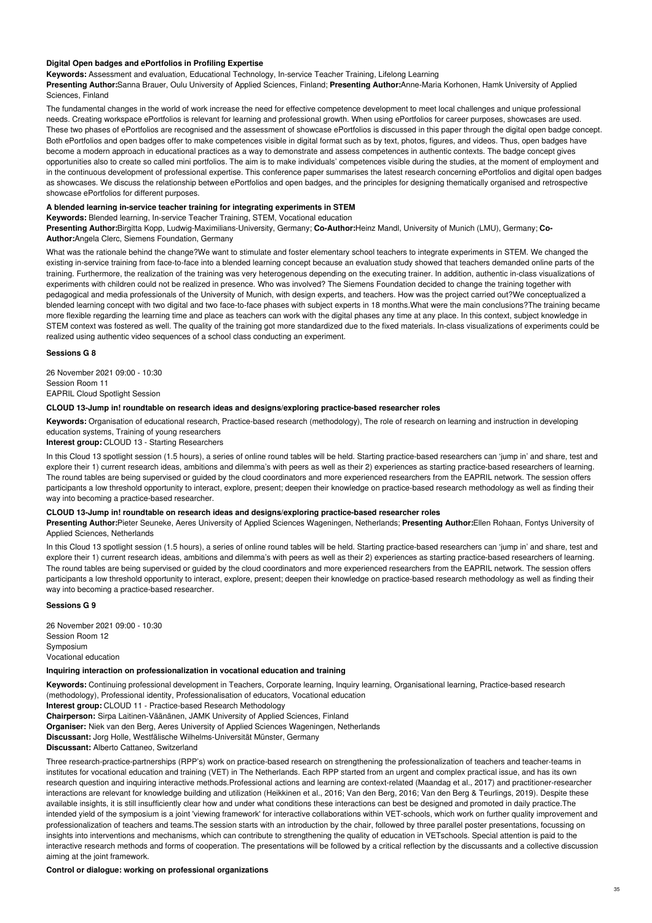# **Digital Open badges and ePortfolios in Profiling Expertise**

## **Keywords:** Assessment and evaluation, Educational Technology, In-service Teacher Training, Lifelong Learning

**Presenting Author:**Sanna Brauer, Oulu University of Applied Sciences, Finland; **Presenting Author:**Anne-Maria Korhonen, Hamk University of Applied Sciences, Finland

The fundamental changes in the world of work increase the need for effective competence development to meet local challenges and unique professional needs. Creating workspace ePortfolios is relevant for learning and professional growth. When using ePortfolios for career purposes, showcases are used. These two phases of ePortfolios are recognised and the assessment of showcase ePortfolios is discussed in this paper through the digital open badge concept. Both ePortfolios and open badges offer to make competences visible in digital format such as by text, photos, figures, and videos. Thus, open badges have become a modern approach in educational practices as a way to demonstrate and assess competences in authentic contexts. The badge concept gives opportunities also to create so called mini portfolios. The aim is to make individuals' competences visible during the studies, at the moment of employment and in the continuous development of professional expertise. This conference paper summarises the latest research concerning ePortfolios and digital open badges as showcases. We discuss the relationship between ePortfolios and open badges, and the principles for designing thematically organised and retrospective showcase ePortfolios for different purposes.

## **A blended learning in-service teacher training for integrating experiments in STEM**

**Keywords:** Blended learning, In-service Teacher Training, STEM, Vocational education

**Presenting Author:**Birgitta Kopp, Ludwig-Maximilians-University, Germany; **Co-Author:**Heinz Mandl, University of Munich (LMU), Germany; **Co-Author:**Angela Clerc, Siemens Foundation, Germany

What was the rationale behind the change?We want to stimulate and foster elementary school teachers to integrate experiments in STEM. We changed the existing in-service training from face-to-face into a blended learning concept because an evaluation study showed that teachers demanded online parts of the training. Furthermore, the realization of the training was very heterogenous depending on the executing trainer. In addition, authentic in-class visualizations of experiments with children could not be realized in presence. Who was involved? The Siemens Foundation decided to change the training together with pedagogical and media professionals of the University of Munich, with design experts, and teachers. How was the project carried out?We conceptualized a blended learning concept with two digital and two face-to-face phases with subject experts in 18 months.What were the main conclusions?The training became more flexible regarding the learning time and place as teachers can work with the digital phases any time at any place. In this context, subject knowledge in STEM context was fostered as well. The quality of the training got more standardized due to the fixed materials. In-class visualizations of experiments could be realized using authentic video sequences of a school class conducting an experiment.

## **Sessions G 8**

26 November 2021 09:00 - 10:30 Session Room 11 EAPRIL Cloud Spotlight Session

# **CLOUD 13-Jump in! roundtable on research ideas and designs/exploring practice-based researcher roles**

**Keywords:** Organisation of educational research, Practice-based research (methodology), The role of research on learning and instruction in developing education systems, Training of young researchers

**Interest group:** CLOUD 13 - Starting Researchers

In this Cloud 13 spotlight session (1.5 hours), a series of online round tables will be held. Starting practice-based researchers can 'jump in' and share, test and explore their 1) current research ideas, ambitions and dilemma's with peers as well as their 2) experiences as starting practice-based researchers of learning. The round tables are being supervised or guided by the cloud coordinators and more experienced researchers from the EAPRIL network. The session offers participants a low threshold opportunity to interact, explore, present; deepen their knowledge on practice-based research methodology as well as finding their way into becoming a practice-based researcher.

# **CLOUD 13-Jump in! roundtable on research ideas and designs/exploring practice-based researcher roles**

**Presenting Author:**Pieter Seuneke, Aeres University of Applied Sciences Wageningen, Netherlands; **Presenting Author:**Ellen Rohaan, Fontys University of Applied Sciences, Netherlands

In this Cloud 13 spotlight session (1.5 hours), a series of online round tables will be held. Starting practice-based researchers can 'jump in' and share, test and explore their 1) current research ideas, ambitions and dilemma's with peers as well as their 2) experiences as starting practice-based researchers of learning. The round tables are being supervised or guided by the cloud coordinators and more experienced researchers from the EAPRIL network. The session offers participants a low threshold opportunity to interact, explore, present; deepen their knowledge on practice-based research methodology as well as finding their way into becoming a practice-based researcher.

### **Sessions G 9**

26 November 2021 09:00 - 10:30 Session Room 12 Symposium Vocational education

#### **Inquiring interaction on professionalization in vocational education and training**

**Keywords:** Continuing professional development in Teachers, Corporate learning, Inquiry learning, Organisational learning, Practice-based research (methodology), Professional identity, Professionalisation of educators, Vocational education

**Interest group:** CLOUD 11 - Practice-based Research Methodology

**Chairperson:** Sirpa Laitinen-Väänänen, JAMK University of Applied Sciences, Finland

**Organiser:** Niek van den Berg, Aeres University of Applied Sciences Wageningen, Netherlands

**Discussant:** Jorg Holle, Westfälische Wilhelms-Universität Münster, Germany

**Discussant:** Alberto Cattaneo, Switzerland

Three research-practice-partnerships (RPP's) work on practice-based research on strengthening the professionalization of teachers and teacher-teams in institutes for vocational education and training (VET) in The Netherlands. Each RPP started from an urgent and complex practical issue, and has its own research question and inquiring interactive methods.Professional actions and learning are context-related (Maandag et al., 2017) and practitioner-researcher interactions are relevant for knowledge building and utilization (Heikkinen et al., 2016; Van den Berg, 2016; Van den Berg & Teurlings, 2019). Despite these available insights, it is still insufficiently clear how and under what conditions these interactions can best be designed and promoted in daily practice. The intended yield of the symposium is a joint 'viewing framework' for interactive collaborations within VET-schools, which work on further quality improvement and professionalization of teachers and teams.The session starts with an introduction by the chair, followed by three parallel poster presentations, focussing on insights into interventions and mechanisms, which can contribute to strengthening the quality of education in VETschools. Special attention is paid to the interactive research methods and forms of cooperation. The presentations will be followed by a critical reflection by the discussants and a collective discussion aiming at the joint framework.

# **Control or dialogue: working on professional organizations**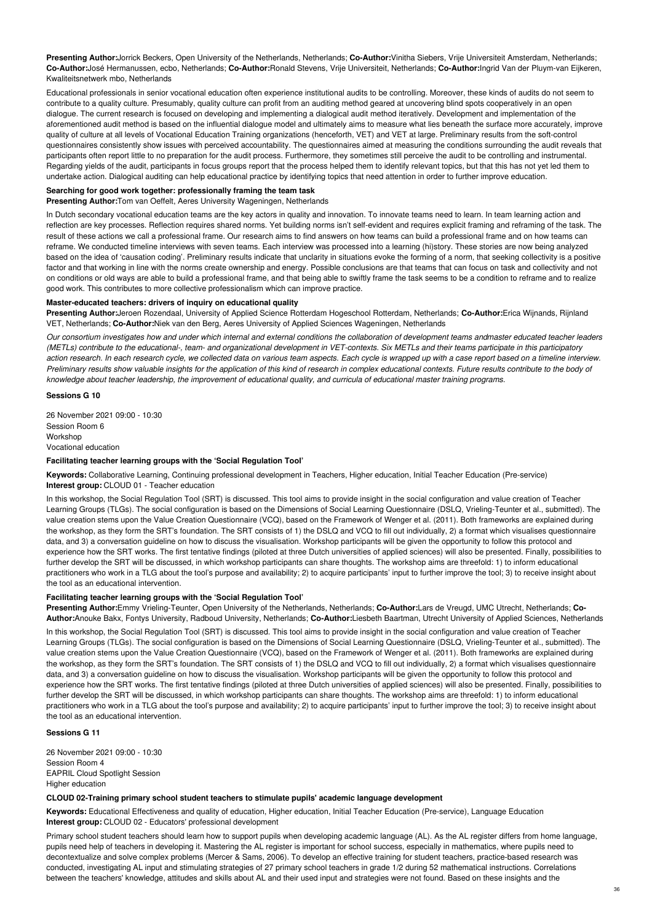**Presenting Author:**Jorrick Beckers, Open University of the Netherlands, Netherlands; **Co-Author:**Vinitha Siebers, Vrije Universiteit Amsterdam, Netherlands; **Co-Author:**José Hermanussen, ecbo, Netherlands; **Co-Author:**Ronald Stevens, Vrije Universiteit, Netherlands; **Co-Author:**Ingrid Van der Pluym-van Eijkeren, Kwaliteitsnetwerk mbo, Netherlands

Educational professionals in senior vocational education often experience institutional audits to be controlling. Moreover, these kinds of audits do not seem to contribute to a quality culture. Presumably, quality culture can profit from an auditing method geared at uncovering blind spots cooperatively in an open dialogue. The current research is focused on developing and implementing a dialogical audit method iteratively. Development and implementation of the aforementioned audit method is based on the influential dialogue model and ultimately aims to measure what lies beneath the surface more accurately, improve quality of culture at all levels of Vocational Education Training organizations (henceforth, VET) and VET at large. Preliminary results from the soft-control questionnaires consistently show issues with perceived accountability. The questionnaires aimed at measuring the conditions surrounding the audit reveals that participants often report little to no preparation for the audit process. Furthermore, they sometimes still perceive the audit to be controlling and instrumental. Regarding yields of the audit, participants in focus groups report that the process helped them to identify relevant topics, but that this has not yet led them to undertake action. Dialogical auditing can help educational practice by identifying topics that need attention in order to further improve education.

# **Searching for good work together: professionally framing the team task**

**Presenting Author:**Tom van Oeffelt, Aeres University Wageningen, Netherlands

In Dutch secondary vocational education teams are the key actors in quality and innovation. To innovate teams need to learn. In team learning action and reflection are key processes. Reflection requires shared norms. Yet building norms isn't self-evident and requires explicit framing and reframing of the task. The result of these actions we call a professional frame. Our research aims to find answers on how teams can build a professional frame and on how teams can reframe. We conducted timeline interviews with seven teams. Each interview was processed into a learning (hi)story. These stories are now being analyzed based on the idea of 'causation coding'. Preliminary results indicate that unclarity in situations evoke the forming of a norm, that seeking collectivity is a positive factor and that working in line with the norms create ownership and energy. Possible conclusions are that teams that can focus on task and collectivity and not on conditions or old ways are able to build a professional frame, and that being able to swiftly frame the task seems to be a condition to reframe and to realize good work. This contributes to more collective professionalism which can improve practice.

## **Master-educated teachers: drivers of inquiry on educational quality**

**Presenting Author:**Jeroen Rozendaal, University of Applied Science Rotterdam Hogeschool Rotterdam, Netherlands; **Co-Author:**Erica Wijnands, Rijnland VET, Netherlands; **Co-Author:**Niek van den Berg, Aeres University of Applied Sciences Wageningen, Netherlands

Our consortium investigates how and under which internal and external conditions the collaboration of development teams andmaster educated teacher leaders (METLs) contribute to the educational-, team- and organizational development in VET-contexts. Six METLs and their teams participate in this participatory action research. In each research cycle, we collected data on various team aspects. Each cycle is wrapped up with a case report based on a timeline interview. Preliminary results show valuable insights for the application of this kind of research in complex educational contexts. Future results contribute to the body of knowledge about teacher leadership, the improvement of educational quality, and curricula of educational master training programs.

#### **Sessions G 10**

26 November 2021 09:00 - 10:30 Session Room 6 Workshop Vocational education

# **Facilitating teacher learning groups with the 'Social Regulation Tool'**

**Keywords:** Collaborative Learning, Continuing professional development in Teachers, Higher education, Initial Teacher Education (Pre-service) **Interest group:** CLOUD 01 - Teacher education

In this workshop, the Social Regulation Tool (SRT) is discussed. This tool aims to provide insight in the social configuration and value creation of Teacher Learning Groups (TLGs). The social configuration is based on the Dimensions of Social Learning Questionnaire (DSLQ, Vrieling-Teunter et al., submitted). The value creation stems upon the Value Creation Questionnaire (VCQ), based on the Framework of Wenger et al. (2011). Both frameworks are explained during the workshop, as they form the SRT's foundation. The SRT consists of 1) the DSLQ and VCQ to fill out individually, 2) a format which visualises questionnaire data, and 3) a conversation guideline on how to discuss the visualisation. Workshop participants will be given the opportunity to follow this protocol and experience how the SRT works. The first tentative findings (piloted at three Dutch universities of applied sciences) will also be presented. Finally, possibilities to further develop the SRT will be discussed, in which workshop participants can share thoughts. The workshop aims are threefold: 1) to inform educational practitioners who work in a TLG about the tool's purpose and availability; 2) to acquire participants' input to further improve the tool; 3) to receive insight about the tool as an educational intervention.

### **Facilitating teacher learning groups with the 'Social Regulation Tool'**

**Presenting Author:**Emmy Vrieling-Teunter, Open University of the Netherlands, Netherlands; **Co-Author:**Lars de Vreugd, UMC Utrecht, Netherlands; **Co-Author:**Anouke Bakx, Fontys University, Radboud University, Netherlands; **Co-Author:**Liesbeth Baartman, Utrecht University of Applied Sciences, Netherlands

In this workshop, the Social Regulation Tool (SRT) is discussed. This tool aims to provide insight in the social configuration and value creation of Teacher Learning Groups (TLGs). The social configuration is based on the Dimensions of Social Learning Questionnaire (DSLQ, Vrieling-Teunter et al., submitted). The value creation stems upon the Value Creation Questionnaire (VCQ), based on the Framework of Wenger et al. (2011). Both frameworks are explained during the workshop, as they form the SRT's foundation. The SRT consists of 1) the DSLQ and VCQ to fill out individually, 2) a format which visualises questionnaire data, and 3) a conversation guideline on how to discuss the visualisation. Workshop participants will be given the opportunity to follow this protocol and experience how the SRT works. The first tentative findings (piloted at three Dutch universities of applied sciences) will also be presented. Finally, possibilities to further develop the SRT will be discussed, in which workshop participants can share thoughts. The workshop aims are threefold: 1) to inform educational practitioners who work in a TLG about the tool's purpose and availability; 2) to acquire participants' input to further improve the tool; 3) to receive insight about the tool as an educational intervention.

# **Sessions G 11**

26 November 2021 09:00 - 10:30 Session Room 4 EAPRIL Cloud Spotlight Session Higher education

## **CLOUD 02-Training primary school student teachers to stimulate pupils' academic language development**

**Keywords:** Educational Effectiveness and quality of education, Higher education, Initial Teacher Education (Pre-service), Language Education **Interest group:** CLOUD 02 - Educators' professional development

Primary school student teachers should learn how to support pupils when developing academic language (AL). As the AL register differs from home language, pupils need help of teachers in developing it. Mastering the AL register is important for school success, especially in mathematics, where pupils need to decontextualize and solve complex problems (Mercer & Sams, 2006). To develop an effective training for student teachers, practice-based research was conducted, investigating AL input and stimulating strategies of 27 primary school teachers in grade 1/2 during 52 mathematical instructions. Correlations between the teachers' knowledge, attitudes and skills about AL and their used input and strategies were not found. Based on these insights and the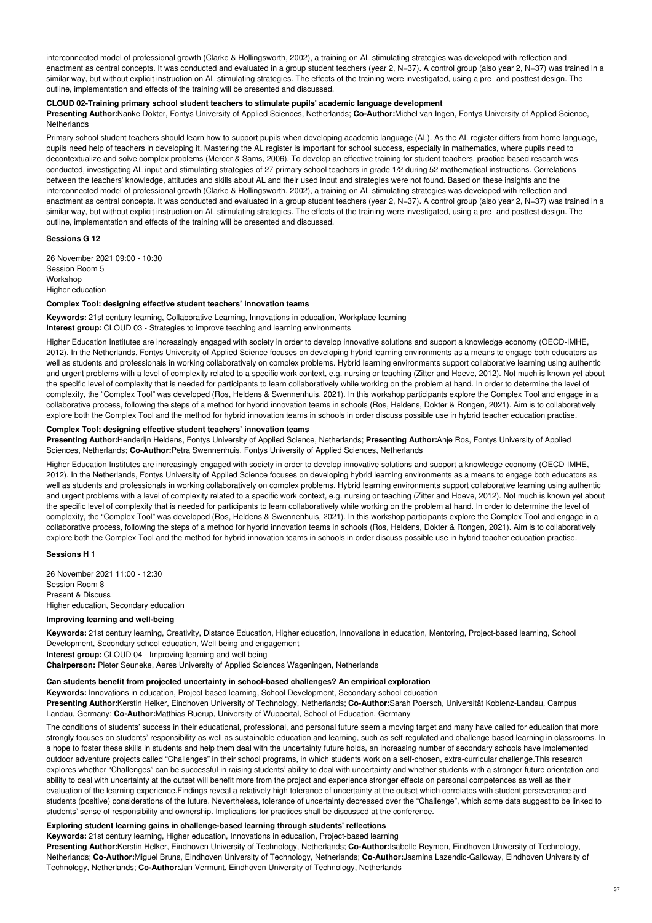interconnected model of professional growth (Clarke & Hollingsworth, 2002), a training on AL stimulating strategies was developed with reflection and enactment as central concepts. It was conducted and evaluated in a group student teachers (year 2, N=37). A control group (also year 2, N=37) was trained in a similar way, but without explicit instruction on AL stimulating strategies. The effects of the training were investigated, using a pre- and posttest design. The outline, implementation and effects of the training will be presented and discussed.

## **CLOUD 02-Training primary school student teachers to stimulate pupils' academic language development**

**Presenting Author:**Nanke Dokter, Fontys University of Applied Sciences, Netherlands; **Co-Author:**Michel van Ingen, Fontys University of Applied Science, **Netherlands** 

Primary school student teachers should learn how to support pupils when developing academic language (AL). As the AL register differs from home language, pupils need help of teachers in developing it. Mastering the AL register is important for school success, especially in mathematics, where pupils need to decontextualize and solve complex problems (Mercer & Sams, 2006). To develop an effective training for student teachers, practice-based research was conducted, investigating AL input and stimulating strategies of 27 primary school teachers in grade 1/2 during 52 mathematical instructions. Correlations between the teachers' knowledge, attitudes and skills about AL and their used input and strategies were not found. Based on these insights and the interconnected model of professional growth (Clarke & Hollingsworth, 2002), a training on AL stimulating strategies was developed with reflection and enactment as central concepts. It was conducted and evaluated in a group student teachers (year 2, N=37). A control group (also year 2, N=37) was trained in a similar way, but without explicit instruction on AL stimulating strategies. The effects of the training were investigated, using a pre- and posttest design. The outline, implementation and effects of the training will be presented and discussed.

## **Sessions G 12**

26 November 2021 09:00 - 10:30 Session Room 5 Workshop Higher education

## **Complex Tool: designing effective student teachers' innovation teams**

**Keywords:** 21st century learning, Collaborative Learning, Innovations in education, Workplace learning

**Interest group:** CLOUD 03 - Strategies to improve teaching and learning environments

Higher Education Institutes are increasingly engaged with society in order to develop innovative solutions and support a knowledge economy (OECD-IMHE, 2012). In the Netherlands, Fontys University of Applied Science focuses on developing hybrid learning environments as a means to engage both educators as well as students and professionals in working collaboratively on complex problems. Hybrid learning environments support collaborative learning using authentic and urgent problems with a level of complexity related to a specific work context, e.g. nursing or teaching (Zitter and Hoeve, 2012). Not much is known yet about the specific level of complexity that is needed for participants to learn collaboratively while working on the problem at hand. In order to determine the level of complexity, the "Complex Tool" was developed (Ros, Heldens & Swennenhuis, 2021). In this workshop participants explore the Complex Tool and engage in a collaborative process, following the steps of a method for hybrid innovation teams in schools (Ros, Heldens, Dokter & Rongen, 2021). Aim is to collaboratively explore both the Complex Tool and the method for hybrid innovation teams in schools in order discuss possible use in hybrid teacher education practise.

### **Complex Tool: designing effective student teachers' innovation teams**

**Presenting Author:**Henderijn Heldens, Fontys University of Applied Science, Netherlands; **Presenting Author:**Anje Ros, Fontys University of Applied Sciences, Netherlands; **Co-Author:**Petra Swennenhuis, Fontys University of Applied Sciences, Netherlands

Higher Education Institutes are increasingly engaged with society in order to develop innovative solutions and support a knowledge economy (OECD-IMHE, 2012). In the Netherlands, Fontys University of Applied Science focuses on developing hybrid learning environments as a means to engage both educators as well as students and professionals in working collaboratively on complex problems. Hybrid learning environments support collaborative learning using authentic and urgent problems with a level of complexity related to a specific work context, e.g. nursing or teaching (Zitter and Hoeve, 2012). Not much is known yet about the specific level of complexity that is needed for participants to learn collaboratively while working on the problem at hand. In order to determine the level of complexity, the "Complex Tool" was developed (Ros, Heldens & Swennenhuis, 2021). In this workshop participants explore the Complex Tool and engage in a collaborative process, following the steps of a method for hybrid innovation teams in schools (Ros, Heldens, Dokter & Rongen, 2021). Aim is to collaboratively explore both the Complex Tool and the method for hybrid innovation teams in schools in order discuss possible use in hybrid teacher education practise.

## **Sessions H 1**

26 November 2021 11:00 - 12:30 Session Room 8 Present & Discuss Higher education, Secondary education

# **Improving learning and well-being**

**Keywords:** 21st century learning, Creativity, Distance Education, Higher education, Innovations in education, Mentoring, Project-based learning, School Development, Secondary school education, Well-being and engagement **Interest group:** CLOUD 04 - Improving learning and well-being

**Chairperson:** Pieter Seuneke, Aeres University of Applied Sciences Wageningen, Netherlands

### **Can students benefit from projected uncertainty in school-based challenges? An empirical exploration**

**Keywords:** Innovations in education, Project-based learning, School Development, Secondary school education

**Presenting Author:**Kerstin Helker, Eindhoven University of Technology, Netherlands; **Co-Author:**Sarah Poersch, Universität Koblenz-Landau, Campus Landau, Germany; **Co-Author:**Matthias Ruerup, University of Wuppertal, School of Education, Germany

The conditions of students' success in their educational, professional, and personal future seem a moving target and many have called for education that more strongly focuses on students' responsibility as well as sustainable education and learning, such as self-regulated and challenge-based learning in classrooms. In a hope to foster these skills in students and help them deal with the uncertainty future holds, an increasing number of secondary schools have implemented outdoor adventure projects called "Challenges" in their school programs, in which students work on a self-chosen, extra-curricular challenge.This research explores whether "Challenges" can be successful in raising students' ability to deal with uncertainty and whether students with a stronger future orientation and ability to deal with uncertainty at the outset will benefit more from the project and experience stronger effects on personal competences as well as their evaluation of the learning experience.Findings reveal a relatively high tolerance of uncertainty at the outset which correlates with student perseverance and students (positive) considerations of the future. Nevertheless, tolerance of uncertainty decreased over the "Challenge", which some data suggest to be linked to students' sense of responsibility and ownership. Implications for practices shall be discussed at the conference.

# **Exploring student learning gains in challenge-based learning through students' reflections**

**Keywords:** 21st century learning, Higher education, Innovations in education, Project-based learning

**Presenting Author:**Kerstin Helker, Eindhoven University of Technology, Netherlands; **Co-Author:**Isabelle Reymen, Eindhoven University of Technology, Netherlands; **Co-Author:**Miguel Bruns, Eindhoven University of Technology, Netherlands; **Co-Author:**Jasmina Lazendic-Galloway, Eindhoven University of Technology, Netherlands; **Co-Author:**Jan Vermunt, Eindhoven University of Technology, Netherlands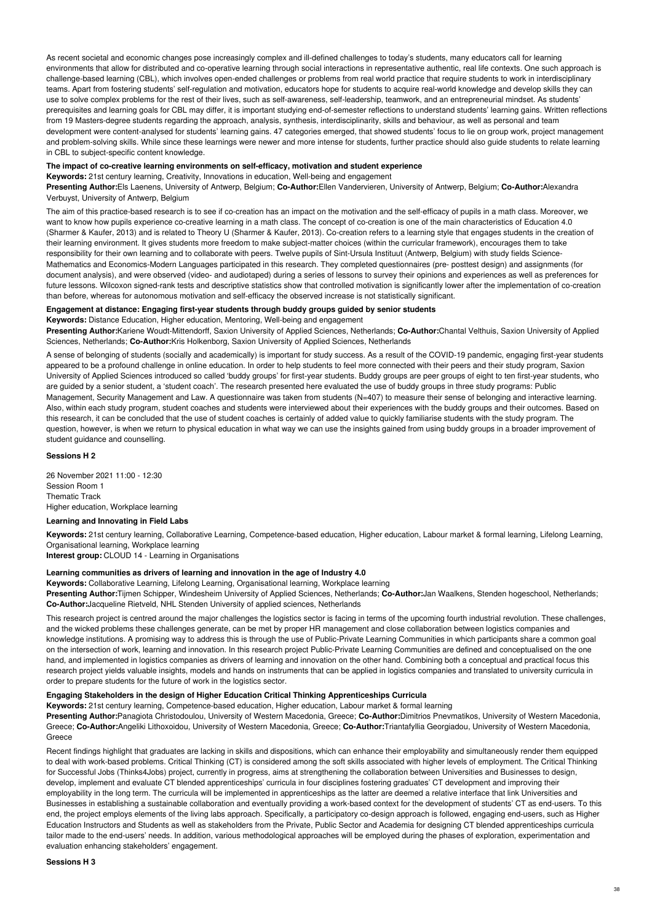As recent societal and economic changes pose increasingly complex and ill-defined challenges to today's students, many educators call for learning environments that allow for distributed and co-operative learning through social interactions in representative authentic, real life contexts. One such approach is challenge-based learning (CBL), which involves open-ended challenges or problems from real world practice that require students to work in interdisciplinary teams. Apart from fostering students' self-regulation and motivation, educators hope for students to acquire real-world knowledge and develop skills they can use to solve complex problems for the rest of their lives, such as self-awareness, self-leadership, teamwork, and an entrepreneurial mindset. As students' prerequisites and learning goals for CBL may differ, it is important studying end-of-semester reflections to understand students' learning gains. Written reflections from 19 Masters-degree students regarding the approach, analysis, synthesis, interdisciplinarity, skills and behaviour, as well as personal and team development were content-analysed for students' learning gains. 47 categories emerged, that showed students' focus to lie on group work, project management and problem-solving skills. While since these learnings were newer and more intense for students, further practice should also guide students to relate learning in CBL to subject-specific content knowledge.

#### **The impact of co-creative learning environments on self-efficacy, motivation and student experience**

**Keywords:** 21st century learning, Creativity, Innovations in education, Well-being and engagement

**Presenting Author:**Els Laenens, University of Antwerp, Belgium; **Co-Author:**Ellen Vandervieren, University of Antwerp, Belgium; **Co-Author:**Alexandra Verbuyst, University of Antwerp, Belgium

The aim of this practice-based research is to see if co-creation has an impact on the motivation and the self-efficacy of pupils in a math class. Moreover, we want to know how pupils experience co-creative learning in a math class. The concept of co-creation is one of the main characteristics of Education 4.0 (Sharmer & Kaufer, 2013) and is related to Theory U (Sharmer & Kaufer, 2013). Co-creation refers to a learning style that engages students in the creation of their learning environment. It gives students more freedom to make subject-matter choices (within the curricular framework), encourages them to take responsibility for their own learning and to collaborate with peers. Twelve pupils of Sint-Ursula Instituut (Antwerp, Belgium) with study fields Science-Mathematics and Economics-Modern Languages participated in this research. They completed questionnaires (pre- posttest design) and assignments (for document analysis), and were observed (video- and audiotaped) during a series of lessons to survey their opinions and experiences as well as preferences for future lessons. Wilcoxon signed-rank tests and descriptive statistics show that controlled motivation is significantly lower after the implementation of co-creation than before, whereas for autonomous motivation and self-efficacy the observed increase is not statistically significant.

## **Engagement at distance: Engaging first-year students through buddy groups guided by senior students**

**Keywords:** Distance Education, Higher education, Mentoring, Well-being and engagement

**Presenting Author:**Kariene Woudt-Mittendorff, Saxion University of Applied Sciences, Netherlands; **Co-Author:**Chantal Velthuis, Saxion University of Applied Sciences, Netherlands; **Co-Author:**Kris Holkenborg, Saxion University of Applied Sciences, Netherlands

A sense of belonging of students (socially and academically) is important for study success. As a result of the COVID-19 pandemic, engaging first-year students appeared to be a profound challenge in online education. In order to help students to feel more connected with their peers and their study program, Saxion University of Applied Sciences introduced so called 'buddy groups' for first-year students. Buddy groups are peer groups of eight to ten first-year students, who are guided by a senior student, a 'student coach'. The research presented here evaluated the use of buddy groups in three study programs: Public Management, Security Management and Law. A questionnaire was taken from students (N=407) to measure their sense of belonging and interactive learning. Also, within each study program, student coaches and students were interviewed about their experiences with the buddy groups and their outcomes. Based on this research, it can be concluded that the use of student coaches is certainly of added value to quickly familiarise students with the study program. The question, however, is when we return to physical education in what way we can use the insights gained from using buddy groups in a broader improvement of student guidance and counselling.

# **Sessions H 2**

26 November 2021 11:00 - 12:30 Session Room 1 Thematic Track Higher education, Workplace learning

# **Learning and Innovating in Field Labs**

**Keywords:** 21st century learning, Collaborative Learning, Competence-based education, Higher education, Labour market & formal learning, Lifelong Learning, Organisational learning, Workplace learning

**Interest group:** CLOUD 14 - Learning in Organisations

# **Learning communities as drivers of learning and innovation in the age of Industry 4.0**

**Keywords:** Collaborative Learning, Lifelong Learning, Organisational learning, Workplace learning

**Presenting Author:**Tijmen Schipper, Windesheim University of Applied Sciences, Netherlands; **Co-Author:**Jan Waalkens, Stenden hogeschool, Netherlands; **Co-Author:**Jacqueline Rietveld, NHL Stenden University of applied sciences, Netherlands

This research project is centred around the major challenges the logistics sector is facing in terms of the upcoming fourth industrial revolution. These challenges, and the wicked problems these challenges generate, can be met by proper HR management and close collaboration between logistics companies and knowledge institutions. A promising way to address this is through the use of Public-Private Learning Communities in which participants share a common goal on the intersection of work, learning and innovation. In this research project Public-Private Learning Communities are defined and conceptualised on the one hand, and implemented in logistics companies as drivers of learning and innovation on the other hand. Combining both a conceptual and practical focus this research project yields valuable insights, models and hands on instruments that can be applied in logistics companies and translated to university curricula in order to prepare students for the future of work in the logistics sector.

### **Engaging Stakeholders in the design of Higher Education Critical Thinking Apprenticeships Curricula**

**Keywords:** 21st century learning, Competence-based education, Higher education, Labour market & formal learning

**Presenting Author:**Panagiota Christodoulou, University of Western Macedonia, Greece; **Co-Author:**Dimitrios Pnevmatikos, University of Western Macedonia, Greece; **Co-Author:**Angeliki Lithoxoidou, University of Western Macedonia, Greece; **Co-Author:**Triantafyllia Georgiadou, University of Western Macedonia, Greece

Recent findings highlight that graduates are lacking in skills and dispositions, which can enhance their employability and simultaneously render them equipped to deal with work-based problems. Critical Thinking (CT) is considered among the soft skills associated with higher levels of employment. The Critical Thinking for Successful Jobs (Thinks4Jobs) project, currently in progress, aims at strengthening the collaboration between Universities and Businesses to design, develop, implement and evaluate CT blended apprenticeships' curricula in four disciplines fostering graduates' CT development and improving their employability in the long term. The curricula will be implemented in apprenticeships as the latter are deemed a relative interface that link Universities and Businesses in establishing a sustainable collaboration and eventually providing a work-based context for the development of students' CT as end-users. To this end, the project employs elements of the living labs approach. Specifically, a participatory co-design approach is followed, engaging end-users, such as Higher Education Instructors and Students as well as stakeholders from the Private, Public Sector and Academia for designing CT blended apprenticeships curricula tailor made to the end-users' needs. In addition, various methodological approaches will be employed during the phases of exploration, experimentation and evaluation enhancing stakeholders' engagement.

#### **Sessions H 3**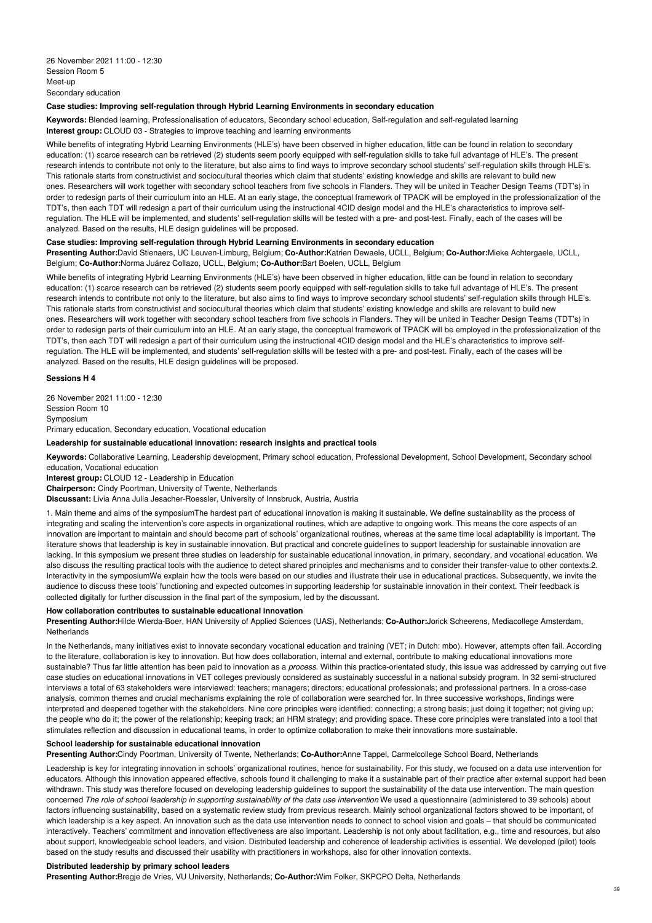## **Case studies: Improving self-regulation through Hybrid Learning Environments in secondary education**

**Keywords:** Blended learning, Professionalisation of educators, Secondary school education, Self-regulation and self-regulated learning **Interest group:** CLOUD 03 - Strategies to improve teaching and learning environments

While benefits of integrating Hybrid Learning Environments (HLE's) have been observed in higher education, little can be found in relation to secondary education: (1) scarce research can be retrieved (2) students seem poorly equipped with self-regulation skills to take full advantage of HLE's. The present research intends to contribute not only to the literature, but also aims to find ways to improve secondary school students' self-regulation skills through HLE's. This rationale starts from constructivist and sociocultural theories which claim that students' existing knowledge and skills are relevant to build new ones. Researchers will work together with secondary school teachers from five schools in Flanders. They will be united in Teacher Design Teams (TDT's) in order to redesign parts of their curriculum into an HLE. At an early stage, the conceptual framework of TPACK will be employed in the professionalization of the TDT's, then each TDT will redesign a part of their curriculum using the instructional 4CID design model and the HLE's characteristics to improve selfregulation. The HLE will be implemented, and students' self-regulation skills will be tested with a pre- and post-test. Finally, each of the cases will be analyzed. Based on the results, HLE design guidelines will be proposed.

# **Case studies: Improving self-regulation through Hybrid Learning Environments in secondary education**

**Presenting Author:**David Stienaers, UC Leuven-Limburg, Belgium; **Co-Author:**Katrien Dewaele, UCLL, Belgium; **Co-Author:**Mieke Achtergaele, UCLL, Belgium; **Co-Author:**Norma Juárez Collazo, UCLL, Belgium; **Co-Author:**Bart Boelen, UCLL, Belgium

While benefits of integrating Hybrid Learning Environments (HLE's) have been observed in higher education, little can be found in relation to secondary education: (1) scarce research can be retrieved (2) students seem poorly equipped with self-regulation skills to take full advantage of HLE's. The present research intends to contribute not only to the literature, but also aims to find ways to improve secondary school students' self-regulation skills through HLE's. This rationale starts from constructivist and sociocultural theories which claim that students' existing knowledge and skills are relevant to build new ones. Researchers will work together with secondary school teachers from five schools in Flanders. They will be united in Teacher Design Teams (TDT's) in order to redesign parts of their curriculum into an HLE. At an early stage, the conceptual framework of TPACK will be employed in the professionalization of the TDT's, then each TDT will redesign a part of their curriculum using the instructional 4CID design model and the HLE's characteristics to improve selfregulation. The HLE will be implemented, and students' self-regulation skills will be tested with a pre- and post-test. Finally, each of the cases will be analyzed. Based on the results, HLE design guidelines will be proposed.

## **Sessions H 4**

26 November 2021 11:00 - 12:30 Session Room 10 Symposium Primary education, Secondary education, Vocational education

### **Leadership for sustainable educational innovation: research insights and practical tools**

**Keywords:** Collaborative Learning, Leadership development, Primary school education, Professional Development, School Development, Secondary school education, Vocational education

**Interest group:** CLOUD 12 - Leadership in Education

**Chairperson:** Cindy Poortman, University of Twente, Netherlands

**Discussant:** Livia Anna Julia Jesacher-Roessler, University of Innsbruck, Austria, Austria

1. Main theme and aims of the symposiumThe hardest part of educational innovation is making it sustainable. We define sustainability as the process of integrating and scaling the intervention's core aspects in organizational routines, which are adaptive to ongoing work. This means the core aspects of an innovation are important to maintain and should become part of schools' organizational routines, whereas at the same time local adaptability is important. The literature shows that leadership is key in sustainable innovation. But practical and concrete guidelines to support leadership for sustainable innovation are lacking. In this symposium we present three studies on leadership for sustainable educational innovation, in primary, secondary, and vocational education. We also discuss the resulting practical tools with the audience to detect shared principles and mechanisms and to consider their transfer-value to other contexts.2. Interactivity in the symposiumWe explain how the tools were based on our studies and illustrate their use in educational practices. Subsequently, we invite the audience to discuss these tools' functioning and expected outcomes in supporting leadership for sustainable innovation in their context. Their feedback is collected digitally for further discussion in the final part of the symposium, led by the discussant.

### **How collaboration contributes to sustainable educational innovation**

**Presenting Author:**Hilde Wierda-Boer, HAN University of Applied Sciences (UAS), Netherlands; **Co-Author:**Jorick Scheerens, Mediacollege Amsterdam, **Netherlands** 

In the Netherlands, many initiatives exist to innovate secondary vocational education and training (VET; in Dutch: mbo). However, attempts often fail. According to the literature, collaboration is key to innovation. But how does collaboration, internal and external, contribute to making educational innovations more sustainable? Thus far little attention has been paid to innovation as a *process*. Within this practice-orientated study, this issue was addressed by carrying out five case studies on educational innovations in VET colleges previously considered as sustainably successful in a national subsidy program. In 32 semi-structured interviews a total of 63 stakeholders were interviewed: teachers; managers; directors; educational professionals; and professional partners. In a cross-case analysis, common themes and crucial mechanisms explaining the role of collaboration were searched for. In three successive workshops, findings were interpreted and deepened together with the stakeholders. Nine core principles were identified: connecting; a strong basis; just doing it together; not giving up; the people who do it; the power of the relationship; keeping track; an HRM strategy; and providing space. These core principles were translated into a tool that stimulates reflection and discussion in educational teams, in order to optimize collaboration to make their innovations more sustainable.

#### **School leadership for sustainable educational innovation**

**Presenting Author:**Cindy Poortman, University of Twente, Netherlands; **Co-Author:**Anne Tappel, Carmelcollege School Board, Netherlands

Leadership is key for integrating innovation in schools' organizational routines, hence for sustainability. For this study, we focused on a data use intervention for educators. Although this innovation appeared effective, schools found it challenging to make it a sustainable part of their practice after external support had been withdrawn. This study was therefore focused on developing leadership guidelines to support the sustainability of the data use intervention. The main question concerned The role of school leadership in supporting sustainability of the data use intervention We used a questionnaire (administered to 39 schools) about factors influencing sustainability, based on a systematic review study from previous research. Mainly school organizational factors showed to be important, of which leadership is a key aspect. An innovation such as the data use intervention needs to connect to school vision and goals - that should be communicated interactively. Teachers' commitment and innovation effectiveness are also important. Leadership is not only about facilitation, e.g., time and resources, but also about support, knowledgeable school leaders, and vision. Distributed leadership and coherence of leadership activities is essential. We developed (pilot) tools based on the study results and discussed their usability with practitioners in workshops, also for other innovation contexts.

#### **Distributed leadership by primary school leaders**

**Presenting Author:**Bregje de Vries, VU University, Netherlands; **Co-Author:**Wim Folker, SKPCPO Delta, Netherlands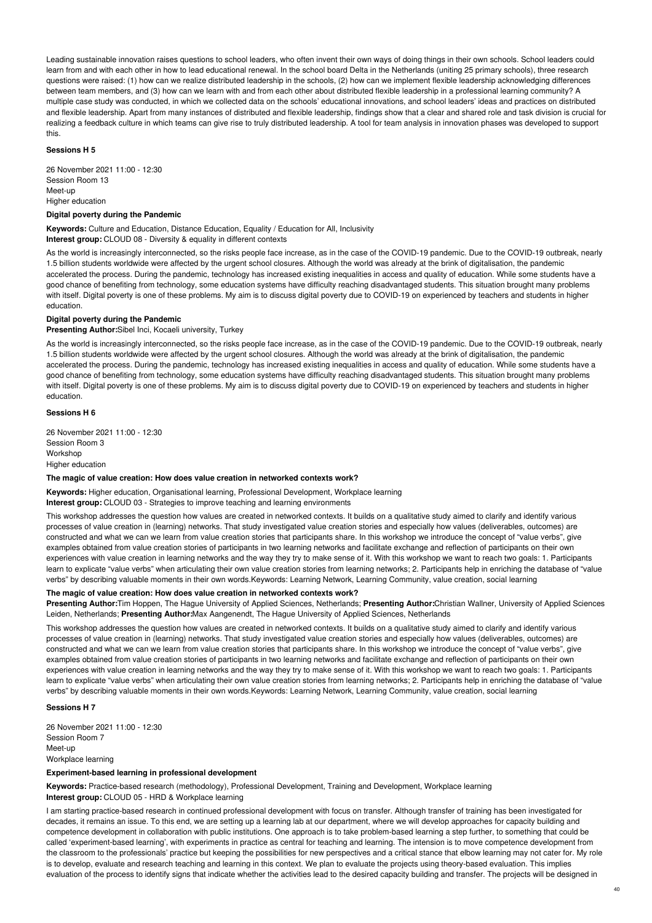Leading sustainable innovation raises questions to school leaders, who often invent their own ways of doing things in their own schools. School leaders could learn from and with each other in how to lead educational renewal. In the school board Delta in the Netherlands (uniting 25 primary schools), three research questions were raised: (1) how can we realize distributed leadership in the schools, (2) how can we implement flexible leadership acknowledging differences between team members, and (3) how can we learn with and from each other about distributed flexible leadership in a professional learning community? A multiple case study was conducted, in which we collected data on the schools' educational innovations, and school leaders' ideas and practices on distributed and flexible leadership. Apart from many instances of distributed and flexible leadership, findings show that a clear and shared role and task division is crucial for realizing a feedback culture in which teams can give rise to truly distributed leadership. A tool for team analysis in innovation phases was developed to support this.

#### **Sessions H 5**

26 November 2021 11:00 - 12:30 Session Room 13 Meet-up Higher education

# **Digital poverty during the Pandemic**

**Keywords:** Culture and Education, Distance Education, Equality / Education for All, Inclusivity **Interest group:** CLOUD 08 - Diversity & equality in different contexts

As the world is increasingly interconnected, so the risks people face increase, as in the case of the COVID-19 pandemic. Due to the COVID-19 outbreak, nearly 1.5 billion students worldwide were affected by the urgent school closures. Although the world was already at the brink of digitalisation, the pandemic accelerated the process. During the pandemic, technology has increased existing inequalities in access and quality of education. While some students have a good chance of benefiting from technology, some education systems have difficulty reaching disadvantaged students. This situation brought many problems with itself. Digital poverty is one of these problems. My aim is to discuss digital poverty due to COVID-19 on experienced by teachers and students in higher education.

#### **Digital poverty during the Pandemic**

## **Presenting Author:**Sibel Inci, Kocaeli university, Turkey

As the world is increasingly interconnected, so the risks people face increase, as in the case of the COVID-19 pandemic. Due to the COVID-19 outbreak, nearly 1.5 billion students worldwide were affected by the urgent school closures. Although the world was already at the brink of digitalisation, the pandemic accelerated the process. During the pandemic, technology has increased existing inequalities in access and quality of education. While some students have a good chance of benefiting from technology, some education systems have difficulty reaching disadvantaged students. This situation brought many problems with itself. Digital poverty is one of these problems. My aim is to discuss digital poverty due to COVID-19 on experienced by teachers and students in higher education.

# **Sessions H 6**

26 November 2021 11:00 - 12:30 Session Room 3 Workshop Higher education

# **The magic of value creation: How does value creation in networked contexts work?**

**Keywords:** Higher education, Organisational learning, Professional Development, Workplace learning

**Interest group:** CLOUD 03 - Strategies to improve teaching and learning environments

This workshop addresses the question how values are created in networked contexts. It builds on a qualitative study aimed to clarify and identify various processes of value creation in (learning) networks. That study investigated value creation stories and especially how values (deliverables, outcomes) are constructed and what we can we learn from value creation stories that participants share. In this workshop we introduce the concept of "value verbs", give examples obtained from value creation stories of participants in two learning networks and facilitate exchange and reflection of participants on their own experiences with value creation in learning networks and the way they try to make sense of it. With this workshop we want to reach two goals: 1. Participants learn to explicate "value verbs" when articulating their own value creation stories from learning networks; 2. Participants help in enriching the database of "value verbs" by describing valuable moments in their own words.Keywords: Learning Network, Learning Community, value creation, social learning

# **The magic of value creation: How does value creation in networked contexts work?**

**Presenting Author:**Tim Hoppen, The Hague University of Applied Sciences, Netherlands; **Presenting Author:**Christian Wallner, University of Applied Sciences Leiden, Netherlands; **Presenting Author:**Max Aangenendt, The Hague University of Applied Sciences, Netherlands

This workshop addresses the question how values are created in networked contexts. It builds on a qualitative study aimed to clarify and identify various processes of value creation in (learning) networks. That study investigated value creation stories and especially how values (deliverables, outcomes) are constructed and what we can we learn from value creation stories that participants share. In this workshop we introduce the concept of "value verbs", give examples obtained from value creation stories of participants in two learning networks and facilitate exchange and reflection of participants on their own experiences with value creation in learning networks and the way they try to make sense of it. With this workshop we want to reach two goals: 1. Participants learn to explicate "value verbs" when articulating their own value creation stories from learning networks; 2. Participants help in enriching the database of "value verbs" by describing valuable moments in their own words.Keywords: Learning Network, Learning Community, value creation, social learning

#### **Sessions H 7**

26 November 2021 11:00 - 12:30 Session Room 7 Meet-up Workplace learning

# **Experiment-based learning in professional development**

**Keywords:** Practice-based research (methodology), Professional Development, Training and Development, Workplace learning **Interest group:** CLOUD 05 - HRD & Workplace learning

I am starting practice-based research in continued professional development with focus on transfer. Although transfer of training has been investigated for decades, it remains an issue. To this end, we are setting up a learning lab at our department, where we will develop approaches for capacity building and competence development in collaboration with public institutions. One approach is to take problem-based learning a step further, to something that could be called 'experiment-based learning', with experiments in practice as central for teaching and learning. The intension is to move competence development from the classroom to the professionals' practice but keeping the possibilities for new perspectives and a critical stance that elbow learning may not cater for. My role is to develop, evaluate and research teaching and learning in this context. We plan to evaluate the projects using theory-based evaluation. This implies evaluation of the process to identify signs that indicate whether the activities lead to the desired capacity building and transfer. The projects will be designed in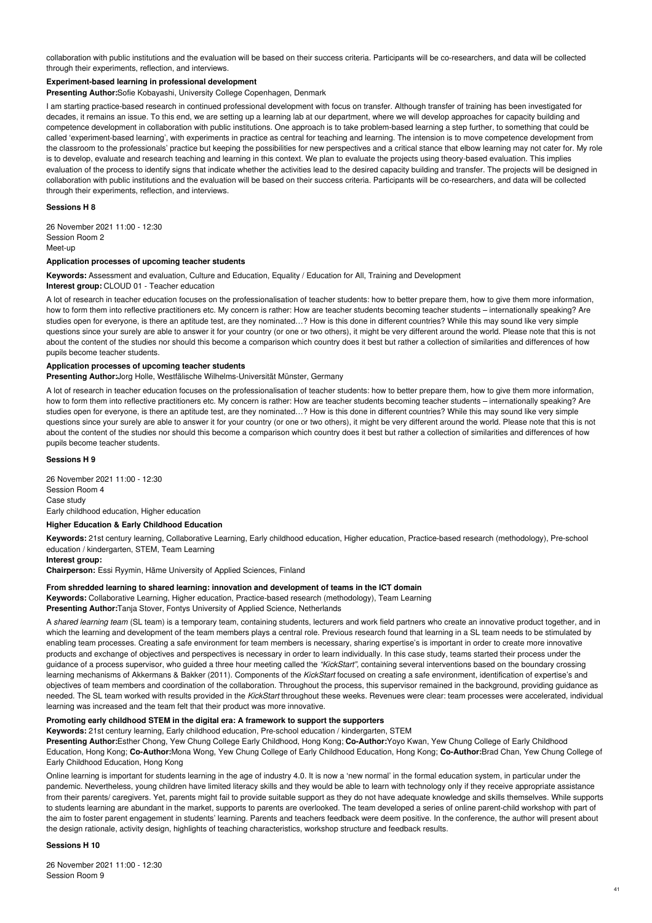collaboration with public institutions and the evaluation will be based on their success criteria. Participants will be co-researchers, and data will be collected through their experiments, reflection, and interviews.

# **Experiment-based learning in professional development**

**Presenting Author:**Sofie Kobayashi, University College Copenhagen, Denmark

I am starting practice-based research in continued professional development with focus on transfer. Although transfer of training has been investigated for decades, it remains an issue. To this end, we are setting up a learning lab at our department, where we will develop approaches for capacity building and competence development in collaboration with public institutions. One approach is to take problem-based learning a step further, to something that could be called 'experiment-based learning', with experiments in practice as central for teaching and learning. The intension is to move competence development from the classroom to the professionals' practice but keeping the possibilities for new perspectives and a critical stance that elbow learning may not cater for. My role is to develop, evaluate and research teaching and learning in this context. We plan to evaluate the projects using theory-based evaluation. This implies evaluation of the process to identify signs that indicate whether the activities lead to the desired capacity building and transfer. The projects will be designed in collaboration with public institutions and the evaluation will be based on their success criteria. Participants will be co-researchers, and data will be collected through their experiments, reflection, and interviews.

## **Sessions H 8**

26 November 2021 11:00 - 12:30 Session Room 2 Meet-up

## **Application processes of upcoming teacher students**

**Keywords:** Assessment and evaluation, Culture and Education, Equality / Education for All, Training and Development **Interest group:** CLOUD 01 - Teacher education

A lot of research in teacher education focuses on the professionalisation of teacher students: how to better prepare them, how to give them more information, how to form them into reflective practitioners etc. My concern is rather: How are teacher students becoming teacher students – internationally speaking? Are studies open for everyone, is there an aptitude test, are they nominated…? How is this done in different countries? While this may sound like very simple questions since your surely are able to answer it for your country (or one or two others), it might be very different around the world. Please note that this is not about the content of the studies nor should this become a comparison which country does it best but rather a collection of similarities and differences of how pupils become teacher students.

# **Application processes of upcoming teacher students**

**Presenting Author:**Jorg Holle, Westfälische Wilhelms-Universität Münster, Germany

A lot of research in teacher education focuses on the professionalisation of teacher students: how to better prepare them, how to give them more information, how to form them into reflective practitioners etc. My concern is rather: How are teacher students becoming teacher students – internationally speaking? Are studies open for everyone, is there an aptitude test, are they nominated…? How is this done in different countries? While this may sound like very simple questions since your surely are able to answer it for your country (or one or two others), it might be very different around the world. Please note that this is not about the content of the studies nor should this become a comparison which country does it best but rather a collection of similarities and differences of how pupils become teacher students.

#### **Sessions H 9**

26 November 2021 11:00 - 12:30 Session Room 4 Case study Early childhood education, Higher education

#### **Higher Education & Early Childhood Education**

**Keywords:** 21st century learning, Collaborative Learning, Early childhood education, Higher education, Practice-based research (methodology), Pre-school education / kindergarten, STEM, Team Learning

**Interest group: Chairperson:** Essi Ryymin, Häme University of Applied Sciences, Finland

#### **From shredded learning to shared learning: innovation and development of teams in the ICT domain**

**Keywords:** Collaborative Learning, Higher education, Practice-based research (methodology), Team Learning **Presenting Author:**Tanja Stover, Fontys University of Applied Science, Netherlands

A *shared learning team* (SL team) is a temporary team, containing students, lecturers and work field partners who create an innovative product together, and in which the learning and development of the team members plays a central role. Previous research found that learning in a SL team needs to be stimulated by enabling team processes. Creating a safe environment for team members is necessary, sharing expertise's is important in order to create more innovative products and exchange of objectives and perspectives is necessary in order to learn individually. In this case study, teams started their process under the guidance of a process supervisor, who guided a three hour meeting called the *"KickStart",* containing several interventions based on the boundary crossing learning mechanisms of Akkermans & Bakker (2011). Components of the *KickStart* focused on creating a safe environment, identification of expertise's and objectives of team members and coordination of the collaboration. Throughout the process, this supervisor remained in the background, providing guidance as needed. The SL team worked with results provided in the *KickStart* throughout these weeks. Revenues were clear: team processes were accelerated, individual

# **Promoting early childhood STEM in the digital era: A framework to support the supporters**

learning was increased and the team felt that their product was more innovative.

**Keywords:** 21st century learning, Early childhood education, Pre-school education / kindergarten, STEM

**Presenting Author:**Esther Chong, Yew Chung College Early Childhood, Hong Kong; **Co-Author:**Yoyo Kwan, Yew Chung College of Early Childhood Education, Hong Kong; **Co-Author:**Mona Wong, Yew Chung College of Early Childhood Education, Hong Kong; **Co-Author:**Brad Chan, Yew Chung College of Early Childhood Education, Hong Kong

Online learning is important for students learning in the age of industry 4.0. It is now a 'new normal' in the formal education system, in particular under the pandemic. Nevertheless, young children have limited literacy skills and they would be able to learn with technology only if they receive appropriate assistance from their parents/ caregivers. Yet, parents might fail to provide suitable support as they do not have adequate knowledge and skills themselves. While supports to students learning are abundant in the market, supports to parents are overlooked. The team developed a series of online parent-child workshop with part of the aim to foster parent engagement in students' learning. Parents and teachers feedback were deem positive. In the conference, the author will present about the design rationale, activity design, highlights of teaching characteristics, workshop structure and feedback results.

# **Sessions H 10**

26 November 2021 11:00 - 12:30 Session Room 9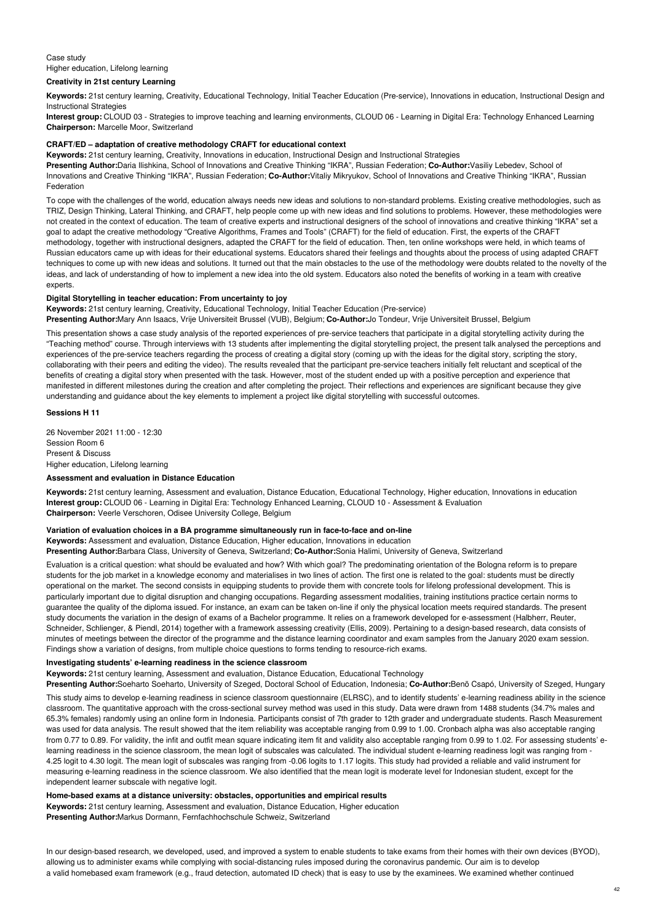# Case study Higher education, Lifelong learning

# **Creativity in 21st century Learning**

**Keywords:** 21st century learning, Creativity, Educational Technology, Initial Teacher Education (Pre-service), Innovations in education, Instructional Design and Instructional Strategies

**Interest group:** CLOUD 03 - Strategies to improve teaching and learning environments, CLOUD 06 - Learning in Digital Era: Technology Enhanced Learning **Chairperson:** Marcelle Moor, Switzerland

## **CRAFT/ED – adaptation of creative methodology CRAFT for educational context**

**Keywords:** 21st century learning, Creativity, Innovations in education, Instructional Design and Instructional Strategies

**Presenting Author:**Daria Ilishkina, School of Innovations and Creative Thinking "IKRA", Russian Federation; **Co-Author:**Vasiliy Lebedev, School of Innovations and Creative Thinking "IKRA", Russian Federation; **Co-Author:**Vitaliy Mikryukov, School of Innovations and Creative Thinking "IKRA", Russian Federation

To cope with the challenges of the world, education always needs new ideas and solutions to non-standard problems. Existing creative methodologies, such as TRIZ, Design Thinking, Lateral Thinking, and CRAFT, help people come up with new ideas and find solutions to problems. However, these methodologies were not created in the context of education. The team of creative experts and instructional designers of the school of innovations and creative thinking "IKRA" set a goal to adapt the creative methodology "Creative Algorithms, Frames and Tools" (CRAFT) for the field of education. First, the experts of the CRAFT methodology, together with instructional designers, adapted the CRAFT for the field of education. Then, ten online workshops were held, in which teams of Russian educators came up with ideas for their educational systems. Educators shared their feelings and thoughts about the process of using adapted CRAFT techniques to come up with new ideas and solutions. It turned out that the main obstacles to the use of the methodology were doubts related to the novelty of the ideas, and lack of understanding of how to implement a new idea into the old system. Educators also noted the benefits of working in a team with creative experts.

## **Digital Storytelling in teacher education: From uncertainty to joy**

**Keywords:** 21st century learning, Creativity, Educational Technology, Initial Teacher Education (Pre-service)

**Presenting Author:**Mary Ann Isaacs, Vrije Universiteit Brussel (VUB), Belgium; **Co-Author:**Jo Tondeur, Vrije Universiteit Brussel, Belgium

This presentation shows a case study analysis of the reported experiences of pre-service teachers that participate in a digital storytelling activity during the "Teaching method" course. Through interviews with 13 students after implementing the digital storytelling project, the present talk analysed the perceptions and experiences of the pre-service teachers regarding the process of creating a digital story (coming up with the ideas for the digital story, scripting the story, collaborating with their peers and editing the video). The results revealed that the participant pre-service teachers initially felt reluctant and sceptical of the benefits of creating a digital story when presented with the task. However, most of the student ended up with a positive perception and experience that manifested in different milestones during the creation and after completing the project. Their reflections and experiences are significant because they give understanding and guidance about the key elements to implement a project like digital storytelling with successful outcomes.

# **Sessions H 11**

26 November 2021 11:00 - 12:30 Session Room 6 Present & Discuss Higher education, Lifelong learning

# **Assessment and evaluation in Distance Education**

**Keywords:** 21st century learning, Assessment and evaluation, Distance Education, Educational Technology, Higher education, Innovations in education **Interest group:** CLOUD 06 - Learning in Digital Era: Technology Enhanced Learning, CLOUD 10 - Assessment & Evaluation **Chairperson:** Veerle Verschoren, Odisee University College, Belgium

## **Variation of evaluation choices in a BA programme simultaneously run in face-to-face and on-line**

**Keywords:** Assessment and evaluation, Distance Education, Higher education, Innovations in education

**Presenting Author:**Barbara Class, University of Geneva, Switzerland; **Co-Author:**Sonia Halimi, University of Geneva, Switzerland

Evaluation is a critical question: what should be evaluated and how? With which goal? The predominating orientation of the Bologna reform is to prepare students for the job market in a knowledge economy and materialises in two lines of action. The first one is related to the goal: students must be directly operational on the market. The second consists in equipping students to provide them with concrete tools for lifelong professional development. This is particularly important due to digital disruption and changing occupations. Regarding assessment modalities, training institutions practice certain norms to guarantee the quality of the diploma issued. For instance, an exam can be taken on-line if only the physical location meets required standards. The present study documents the variation in the design of exams of a Bachelor programme. It relies on a framework developed for e-assessment (Halbherr, Reuter, Schneider, Schlienger, & Piendl, 2014) together with a framework assessing creativity (Ellis, 2009). Pertaining to a design-based research, data consists of minutes of meetings between the director of the programme and the distance learning coordinator and exam samples from the January 2020 exam session. Findings show a variation of designs, from multiple choice questions to forms tending to resource-rich exams.

### **Investigating students' e-learning readiness in the science classroom**

**Keywords:** 21st century learning, Assessment and evaluation, Distance Education, Educational Technology

**Presenting Author:**Soeharto Soeharto, University of Szeged, Doctoral School of Education, Indonesia; **Co-Author:**Benö Csapó, University of Szeged, Hungary This study aims to develop e-learning readiness in science classroom questionnaire (ELRSC), and to identify students' e-learning readiness ability in the science classroom. The quantitative approach with the cross-sectional survey method was used in this study. Data were drawn from 1488 students (34.7% males and 65.3% females) randomly using an online form in Indonesia. Participants consist of 7th grader to 12th grader and undergraduate students. Rasch Measurement was used for data analysis. The result showed that the item reliability was acceptable ranging from 0.99 to 1.00. Cronbach alpha was also acceptable ranging from 0.77 to 0.89. For validity, the infit and outfit mean square indicating item fit and validity also acceptable ranging from 0.99 to 1.02. For assessing students' elearning readiness in the science classroom, the mean logit of subscales was calculated. The individual student e-learning readiness logit was ranging from -4.25 logit to 4.30 logit. The mean logit of subscales was ranging from -0.06 logits to 1.17 logits. This study had provided a reliable and valid instrument for measuring e-learning readiness in the science classroom. We also identified that the mean logit is moderate level for Indonesian student, except for the independent learner subscale with negative logit.

# **Home-based exams at a distance university: obstacles, opportunities and empirical results**

**Keywords:** 21st century learning, Assessment and evaluation, Distance Education, Higher education **Presenting Author:**Markus Dormann, Fernfachhochschule Schweiz, Switzerland

In our design-based research, we developed, used, and improved a system to enable students to take exams from their homes with their own devices (BYOD), allowing us to administer exams while complying with social-distancing rules imposed during the coronavirus pandemic. Our aim is to develop a valid homebased exam framework (e.g., fraud detection, automated ID check) that is easy to use by the examinees. We examined whether continued